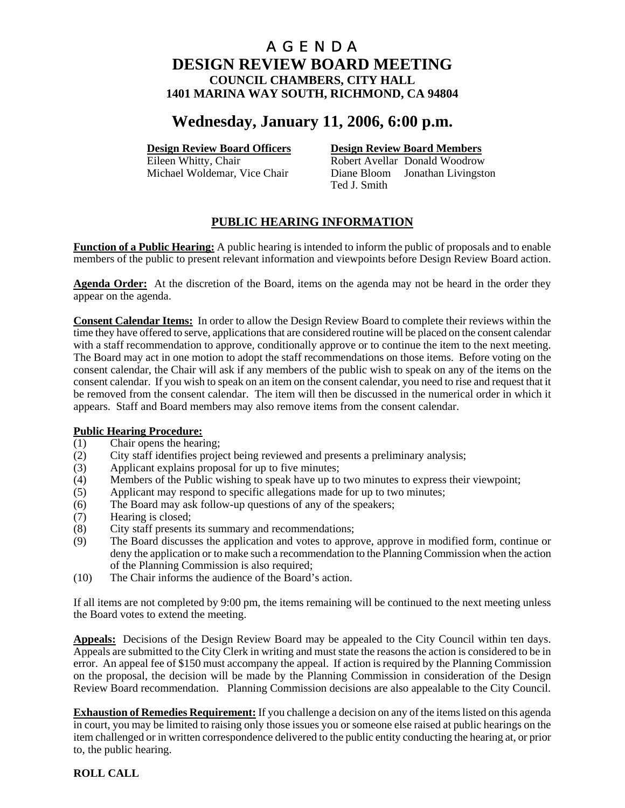# **Wednesday, January 11, 2006, 6:00 p.m.**

### **Design Review Board Officers Design Review Board Members**

Eileen Whitty, Chair **Robert Avellar** Donald Woodrow Michael Woldemar, Vice Chair Diane Bloom Jonathan Livingston Ted J. Smith

# **PUBLIC HEARING INFORMATION**

**Function of a Public Hearing:** A public hearing is intended to inform the public of proposals and to enable members of the public to present relevant information and viewpoints before Design Review Board action.

**Agenda Order:** At the discretion of the Board, items on the agenda may not be heard in the order they appear on the agenda.

**Consent Calendar Items:** In order to allow the Design Review Board to complete their reviews within the time they have offered to serve, applications that are considered routine will be placed on the consent calendar with a staff recommendation to approve, conditionally approve or to continue the item to the next meeting. The Board may act in one motion to adopt the staff recommendations on those items. Before voting on the consent calendar, the Chair will ask if any members of the public wish to speak on any of the items on the consent calendar. If you wish to speak on an item on the consent calendar, you need to rise and request that it be removed from the consent calendar. The item will then be discussed in the numerical order in which it appears. Staff and Board members may also remove items from the consent calendar.

- **Public Hearing Procedure:**<br>(1) Chair opens the hearing Chair opens the hearing;
- (2) City staff identifies project being reviewed and presents a preliminary analysis;
- (3) Applicant explains proposal for up to five minutes;
- (4) Members of the Public wishing to speak have up to two minutes to express their viewpoint;
- (5) Applicant may respond to specific allegations made for up to two minutes;
- (6) The Board may ask follow-up questions of any of the speakers;
- (7) Hearing is closed;
- (8) City staff presents its summary and recommendations;
- (9) The Board discusses the application and votes to approve, approve in modified form, continue or deny the application or to make such a recommendation to the Planning Commission when the action of the Planning Commission is also required;
- (10) The Chair informs the audience of the Board's action.

If all items are not completed by 9:00 pm, the items remaining will be continued to the next meeting unless the Board votes to extend the meeting.

**Appeals:** Decisions of the Design Review Board may be appealed to the City Council within ten days. Appeals are submitted to the City Clerk in writing and must state the reasons the action is considered to be in error. An appeal fee of \$150 must accompany the appeal. If action is required by the Planning Commission on the proposal, the decision will be made by the Planning Commission in consideration of the Design Review Board recommendation. Planning Commission decisions are also appealable to the City Council.

**Exhaustion of Remedies Requirement:** If you challenge a decision on any of the items listed on this agenda in court, you may be limited to raising only those issues you or someone else raised at public hearings on the item challenged or in written correspondence delivered to the public entity conducting the hearing at, or prior to, the public hearing.

### **ROLL CALL**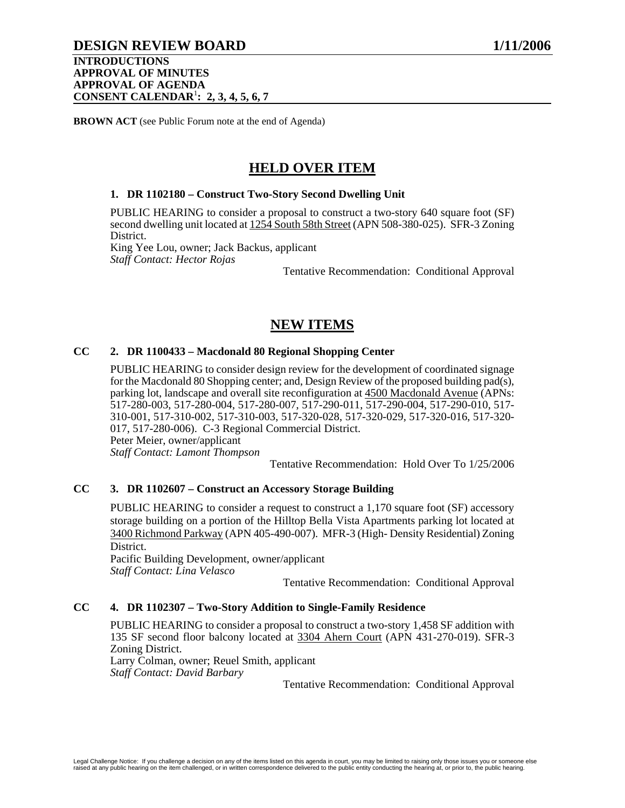### **DESIGN REVIEW BOARD 1/11/2006**

#### **INTRODUCTIONS APPROVAL OF MINUTES APPROVAL OF AGENDA CONSENT CALENDAR**<sup>1</sup> **: 2, 3, 4, 5, 6, 7**

**BROWN ACT** (see Public Forum note at the end of Agenda)

# **HELD OVER ITEM**

#### **1. DR 1102180 – Construct Two-Story Second Dwelling Unit**

PUBLIC HEARING to consider a proposal to construct a two-story 640 square foot (SF) second dwelling unit located at 1254 South 58th Street (APN 508-380-025). SFR-3 Zoning District.

King Yee Lou, owner; Jack Backus, applicant *Staff Contact: Hector Rojas* 

Tentative Recommendation: Conditional Approval

# **NEW ITEMS**

### **CC 2. DR 1100433 – Macdonald 80 Regional Shopping Center**

PUBLIC HEARING to consider design review for the development of coordinated signage for the Macdonald 80 Shopping center; and, Design Review of the proposed building pad(s), parking lot, landscape and overall site reconfiguration at 4500 Macdonald Avenue (APNs: 517-280-003, 517-280-004, 517-280-007, 517-290-011, 517-290-004, 517-290-010, 517- 310-001, 517-310-002, 517-310-003, 517-320-028, 517-320-029, 517-320-016, 517-320- 017, 517-280-006). C-3 Regional Commercial District. Peter Meier, owner/applicant *Staff Contact: Lamont Thompson* 

Tentative Recommendation: Hold Over To 1/25/2006

#### **CC 3. DR 1102607 – Construct an Accessory Storage Building**

PUBLIC HEARING to consider a request to construct a 1,170 square foot (SF) accessory storage building on a portion of the Hilltop Bella Vista Apartments parking lot located at 3400 Richmond Parkway (APN 405-490-007). MFR-3 (High- Density Residential) Zoning **District** 

Pacific Building Development, owner/applicant *Staff Contact: Lina Velasco* 

Tentative Recommendation: Conditional Approval

### **CC 4. DR 1102307 – Two-Story Addition to Single-Family Residence**

PUBLIC HEARING to consider a proposal to construct a two-story 1,458 SF addition with 135 SF second floor balcony located at 3304 Ahern Court (APN 431-270-019). SFR-3 Zoning District. Larry Colman, owner; Reuel Smith, applicant

*Staff Contact: David Barbary*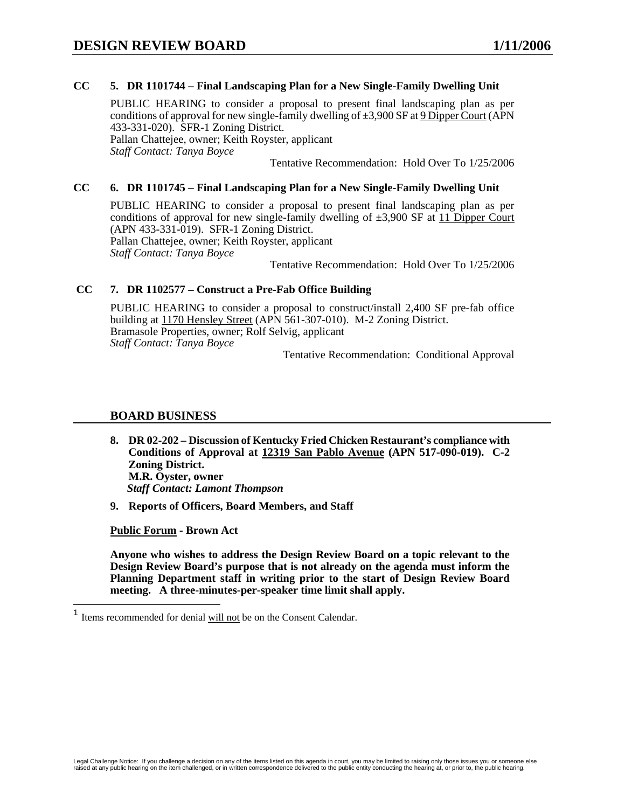#### **CC 5. DR 1101744 – Final Landscaping Plan for a New Single-Family Dwelling Unit**

PUBLIC HEARING to consider a proposal to present final landscaping plan as per conditions of approval for new single-family dwelling of  $\pm 3,900$  SF at 9 Dipper Court (APN 433-331-020). SFR-1 Zoning District. Pallan Chattejee, owner; Keith Royster, applicant *Staff Contact: Tanya Boyce* 

Tentative Recommendation: Hold Over To 1/25/2006

#### **CC 6. DR 1101745 – Final Landscaping Plan for a New Single-Family Dwelling Unit**

PUBLIC HEARING to consider a proposal to present final landscaping plan as per conditions of approval for new single-family dwelling of  $\pm 3,900$  SF at 11 Dipper Court (APN 433-331-019). SFR-1 Zoning District. Pallan Chattejee, owner; Keith Royster, applicant *Staff Contact: Tanya Boyce* 

Tentative Recommendation: Hold Over To 1/25/2006

### **CC 7. DR 1102577 – Construct a Pre-Fab Office Building**

PUBLIC HEARING to consider a proposal to construct/install 2,400 SF pre-fab office building at 1170 Hensley Street (APN 561-307-010). M-2 Zoning District. Bramasole Properties, owner; Rolf Selvig, applicant *Staff Contact: Tanya Boyce* 

Tentative Recommendation: Conditional Approval

#### **BOARD BUSINESS**

- **8. DR 02-202 Discussion of Kentucky Fried Chicken Restaurant's compliance with Conditions of Approval at 12319 San Pablo Avenue (APN 517-090-019). C-2 Zoning District. M.R. Oyster, owner**   *Staff Contact: Lamont Thompson*
- **9. Reports of Officers, Board Members, and Staff**

**Public Forum - Brown Act** 

 $\overline{\phantom{a}}$ 

<sup>&</sup>lt;sup>1</sup> Items recommended for denial will not be on the Consent Calendar.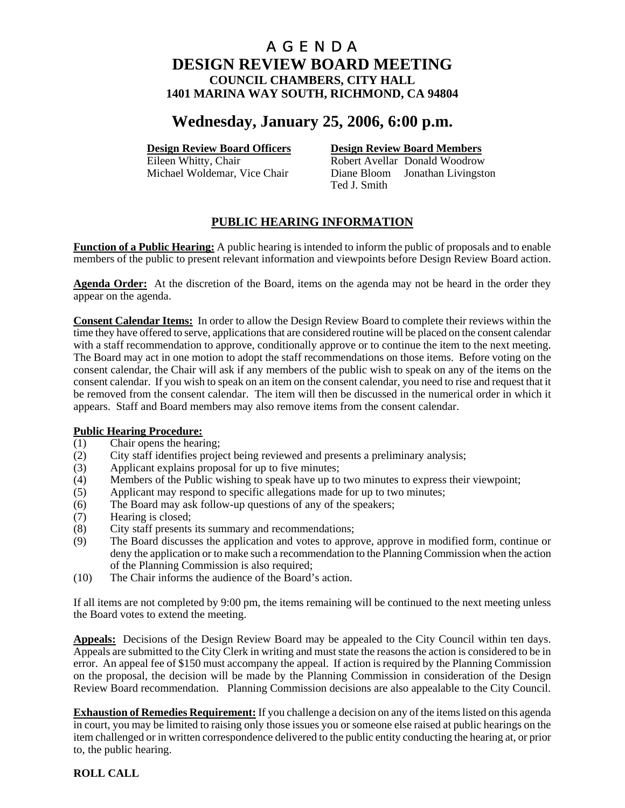# **Wednesday, January 25, 2006, 6:00 p.m.**

### **Design Review Board Officers Design Review Board Members**

Eileen Whitty, Chair **Robert Avellar** Donald Woodrow Michael Woldemar, Vice Chair Diane Bloom Jonathan Livingston Ted J. Smith

# **PUBLIC HEARING INFORMATION**

**Function of a Public Hearing:** A public hearing is intended to inform the public of proposals and to enable members of the public to present relevant information and viewpoints before Design Review Board action.

**Agenda Order:** At the discretion of the Board, items on the agenda may not be heard in the order they appear on the agenda.

**Consent Calendar Items:** In order to allow the Design Review Board to complete their reviews within the time they have offered to serve, applications that are considered routine will be placed on the consent calendar with a staff recommendation to approve, conditionally approve or to continue the item to the next meeting. The Board may act in one motion to adopt the staff recommendations on those items. Before voting on the consent calendar, the Chair will ask if any members of the public wish to speak on any of the items on the consent calendar. If you wish to speak on an item on the consent calendar, you need to rise and request that it be removed from the consent calendar. The item will then be discussed in the numerical order in which it appears. Staff and Board members may also remove items from the consent calendar.

# **Public Hearing Procedure:**<br>(1) Chair opens the hearing

- Chair opens the hearing;
- (2) City staff identifies project being reviewed and presents a preliminary analysis;
- (3) Applicant explains proposal for up to five minutes;
- (4) Members of the Public wishing to speak have up to two minutes to express their viewpoint;
- (5) Applicant may respond to specific allegations made for up to two minutes;
- (6) The Board may ask follow-up questions of any of the speakers;
- (7) Hearing is closed;
- (8) City staff presents its summary and recommendations;
- (9) The Board discusses the application and votes to approve, approve in modified form, continue or deny the application or to make such a recommendation to the Planning Commission when the action of the Planning Commission is also required;
- (10) The Chair informs the audience of the Board's action.

If all items are not completed by 9:00 pm, the items remaining will be continued to the next meeting unless the Board votes to extend the meeting.

**Appeals:** Decisions of the Design Review Board may be appealed to the City Council within ten days. Appeals are submitted to the City Clerk in writing and must state the reasons the action is considered to be in error. An appeal fee of \$150 must accompany the appeal. If action is required by the Planning Commission on the proposal, the decision will be made by the Planning Commission in consideration of the Design Review Board recommendation. Planning Commission decisions are also appealable to the City Council.

**Exhaustion of Remedies Requirement:** If you challenge a decision on any of the items listed on this agenda in court, you may be limited to raising only those issues you or someone else raised at public hearings on the item challenged or in written correspondence delivered to the public entity conducting the hearing at, or prior to, the public hearing.

#### **ROLL CALL**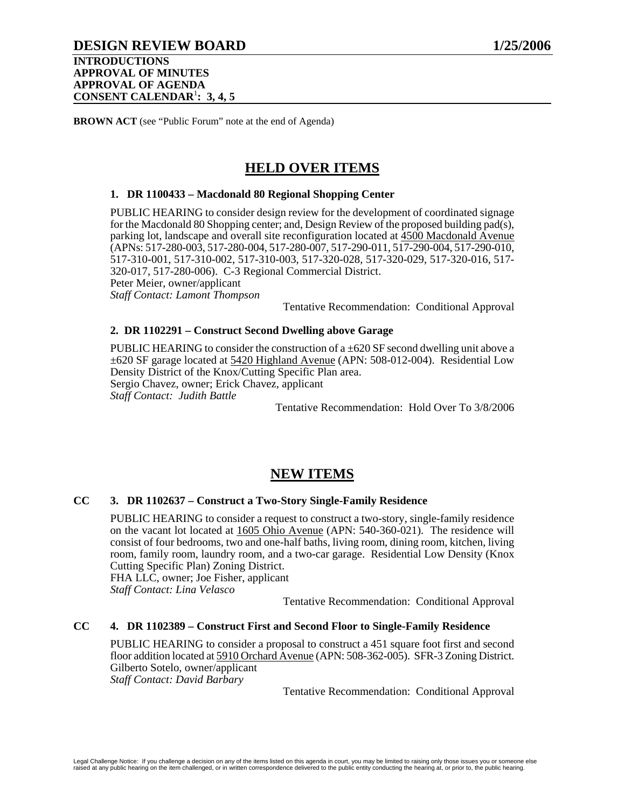# **DESIGN REVIEW BOARD 1/25/2006**

**BROWN ACT** (see "Public Forum" note at the end of Agenda)

# **HELD OVER ITEMS**

#### **1. DR 1100433 – Macdonald 80 Regional Shopping Center**

PUBLIC HEARING to consider design review for the development of coordinated signage for the Macdonald 80 Shopping center; and, Design Review of the proposed building pad(s), parking lot, landscape and overall site reconfiguration located at 4500 Macdonald Avenue (APNs: 517-280-003, 517-280-004, 517-280-007, 517-290-011, 517-290-004, 517-290-010, 517-310-001, 517-310-002, 517-310-003, 517-320-028, 517-320-029, 517-320-016, 517- 320-017, 517-280-006). C-3 Regional Commercial District. Peter Meier, owner/applicant *Staff Contact: Lamont Thompson* 

Tentative Recommendation: Conditional Approval

### **2. DR 1102291 – Construct Second Dwelling above Garage**

PUBLIC HEARING to consider the construction of  $a \pm 620$  SF second dwelling unit above a ±620 SF garage located at 5420 Highland Avenue (APN: 508-012-004). Residential Low Density District of the Knox/Cutting Specific Plan area. Sergio Chavez, owner; Erick Chavez, applicant *Staff Contact: Judith Battle* 

Tentative Recommendation: Hold Over To 3/8/2006

# **NEW ITEMS**

#### **CC 3. DR 1102637 – Construct a Two-Story Single-Family Residence**

PUBLIC HEARING to consider a request to construct a two-story, single-family residence on the vacant lot located at 1605 Ohio Avenue (APN: 540-360-021). The residence will consist of four bedrooms, two and one-half baths, living room, dining room, kitchen, living room, family room, laundry room, and a two-car garage. Residential Low Density (Knox Cutting Specific Plan) Zoning District.

FHA LLC, owner; Joe Fisher, applicant *Staff Contact: Lina Velasco* 

Tentative Recommendation: Conditional Approval

#### **CC 4. DR 1102389 – Construct First and Second Floor to Single-Family Residence**

PUBLIC HEARING to consider a proposal to construct a 451 square foot first and second floor addition located at 5910 Orchard Avenue (APN: 508-362-005). SFR-3 Zoning District. Gilberto Sotelo, owner/applicant *Staff Contact: David Barbary*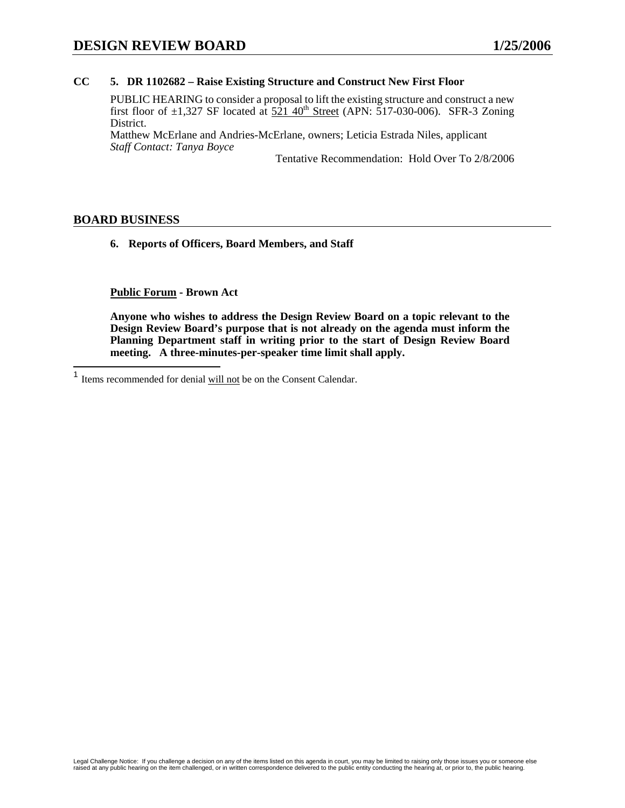#### **CC 5. DR 1102682 – Raise Existing Structure and Construct New First Floor**

PUBLIC HEARING to consider a proposal to lift the existing structure and construct a new first floor of  $\pm 1,327$  SF located at  $521$  40<sup>th</sup> Street (APN:  $\overline{5}17$ -030-006). SFR-3 Zoning District.

Matthew McErlane and Andries-McErlane, owners; Leticia Estrada Niles, applicant *Staff Contact: Tanya Boyce* 

Tentative Recommendation: Hold Over To 2/8/2006

#### **BOARD BUSINESS**

 $\overline{\phantom{a}}$ 

**6. Reports of Officers, Board Members, and Staff** 

**Public Forum - Brown Act** 

 $<sup>1</sup>$  Items recommended for denial will not be on the Consent Calendar.</sup>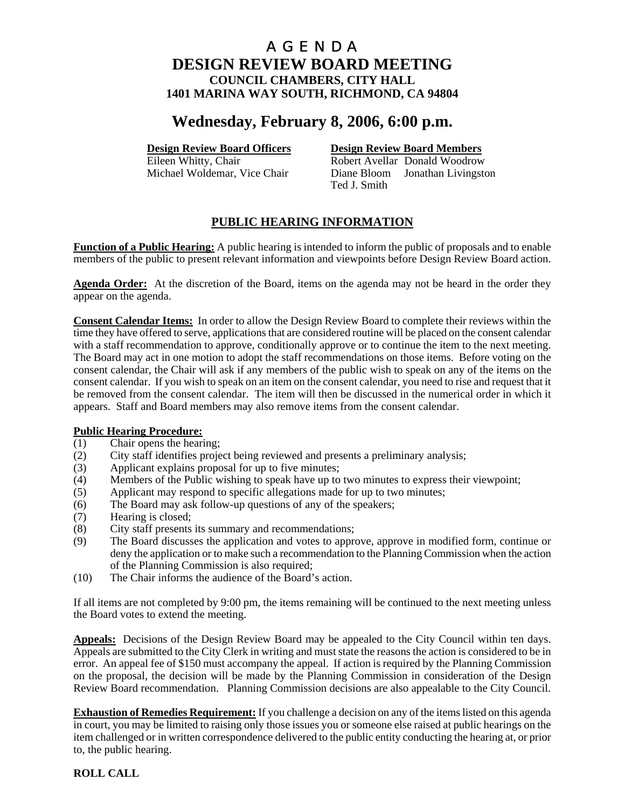# **Wednesday, February 8, 2006, 6:00 p.m.**

### **Design Review Board Officers Design Review Board Members**

Eileen Whitty, Chair **Robert Avellar** Donald Woodrow Michael Woldemar, Vice Chair Diane Bloom Jonathan Livingston Ted J. Smith

# **PUBLIC HEARING INFORMATION**

**Function of a Public Hearing:** A public hearing is intended to inform the public of proposals and to enable members of the public to present relevant information and viewpoints before Design Review Board action.

**Agenda Order:** At the discretion of the Board, items on the agenda may not be heard in the order they appear on the agenda.

**Consent Calendar Items:** In order to allow the Design Review Board to complete their reviews within the time they have offered to serve, applications that are considered routine will be placed on the consent calendar with a staff recommendation to approve, conditionally approve or to continue the item to the next meeting. The Board may act in one motion to adopt the staff recommendations on those items. Before voting on the consent calendar, the Chair will ask if any members of the public wish to speak on any of the items on the consent calendar. If you wish to speak on an item on the consent calendar, you need to rise and request that it be removed from the consent calendar. The item will then be discussed in the numerical order in which it appears. Staff and Board members may also remove items from the consent calendar.

- **Public Hearing Procedure:**<br>(1) Chair opens the hearing Chair opens the hearing;
- (2) City staff identifies project being reviewed and presents a preliminary analysis;
- (3) Applicant explains proposal for up to five minutes;
- (4) Members of the Public wishing to speak have up to two minutes to express their viewpoint;
- (5) Applicant may respond to specific allegations made for up to two minutes;
- (6) The Board may ask follow-up questions of any of the speakers;
- (7) Hearing is closed;
- (8) City staff presents its summary and recommendations;
- (9) The Board discusses the application and votes to approve, approve in modified form, continue or deny the application or to make such a recommendation to the Planning Commission when the action of the Planning Commission is also required;
- (10) The Chair informs the audience of the Board's action.

If all items are not completed by 9:00 pm, the items remaining will be continued to the next meeting unless the Board votes to extend the meeting.

**Appeals:** Decisions of the Design Review Board may be appealed to the City Council within ten days. Appeals are submitted to the City Clerk in writing and must state the reasons the action is considered to be in error. An appeal fee of \$150 must accompany the appeal. If action is required by the Planning Commission on the proposal, the decision will be made by the Planning Commission in consideration of the Design Review Board recommendation. Planning Commission decisions are also appealable to the City Council.

**Exhaustion of Remedies Requirement:** If you challenge a decision on any of the items listed on this agenda in court, you may be limited to raising only those issues you or someone else raised at public hearings on the item challenged or in written correspondence delivered to the public entity conducting the hearing at, or prior to, the public hearing.

### **ROLL CALL**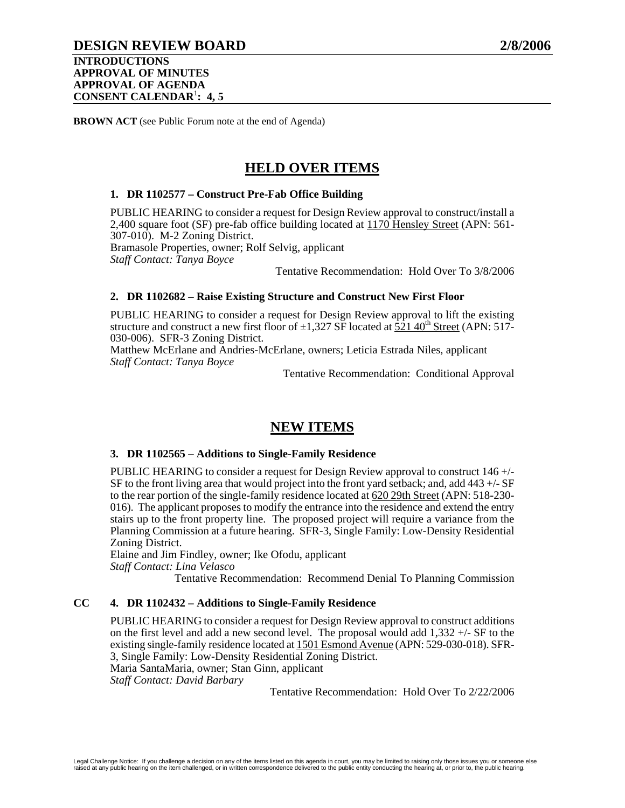**BROWN ACT** (see Public Forum note at the end of Agenda)

# **HELD OVER ITEMS**

#### **1. DR 1102577 – Construct Pre-Fab Office Building**

PUBLIC HEARING to consider a request for Design Review approval to construct/install a 2,400 square foot (SF) pre-fab office building located at 1170 Hensley Street (APN: 561-307-010). M-2 Zoning District. Bramasole Properties, owner; Rolf Selvig, applicant

*Staff Contact: Tanya Boyce* 

Tentative Recommendation: Hold Over To 3/8/2006

#### **2. DR 1102682 – Raise Existing Structure and Construct New First Floor**

PUBLIC HEARING to consider a request for Design Review approval to lift the existing structure and construct a new first floor of  $\pm 1.327$  SF located at 521 40<sup>th</sup> Street (APN: 517-030-006). SFR-3 Zoning District.

Matthew McErlane and Andries-McErlane, owners; Leticia Estrada Niles, applicant *Staff Contact: Tanya Boyce* 

Tentative Recommendation: Conditional Approval

# **NEW ITEMS**

#### **3. DR 1102565 – Additions to Single-Family Residence**

PUBLIC HEARING to consider a request for Design Review approval to construct 146 +/- SF to the front living area that would project into the front yard setback; and, add  $443 + (-SF)$ to the rear portion of the single-family residence located at 620 29th Street (APN: 518-230- 016). The applicant proposes to modify the entrance into the residence and extend the entry stairs up to the front property line. The proposed project will require a variance from the Planning Commission at a future hearing. SFR-3, Single Family: Low-Density Residential Zoning District.

Elaine and Jim Findley, owner; Ike Ofodu, applicant *Staff Contact: Lina Velasco* 

Tentative Recommendation: Recommend Denial To Planning Commission

### **CC 4. DR 1102432 – Additions to Single-Family Residence**

PUBLIC HEARING to consider a request for Design Review approval to construct additions on the first level and add a new second level. The proposal would add  $1,332 +/-$  SF to the existing single-family residence located at 1501 Esmond Avenue (APN: 529-030-018). SFR-3, Single Family: Low-Density Residential Zoning District. Maria SantaMaria, owner; Stan Ginn, applicant *Staff Contact: David Barbary* 

Tentative Recommendation: Hold Over To 2/22/2006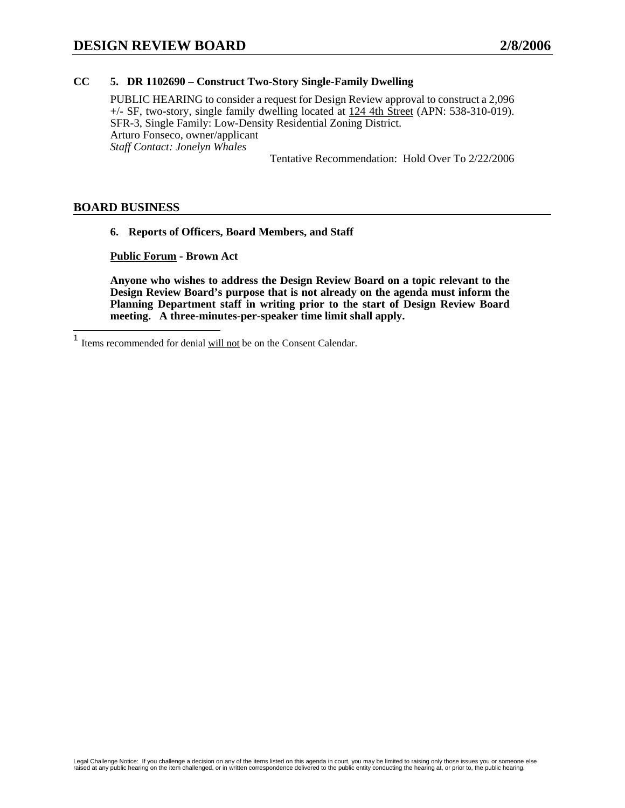### **CC 5. DR 1102690 – Construct Two-Story Single-Family Dwelling**

PUBLIC HEARING to consider a request for Design Review approval to construct a 2,096 +/- SF, two-story, single family dwelling located at 124 4th Street (APN: 538-310-019). SFR-3, Single Family: Low-Density Residential Zoning District. Arturo Fonseco, owner/applicant *Staff Contact: Jonelyn Whales* 

Tentative Recommendation: Hold Over To 2/22/2006

### **BOARD BUSINESS**

#### **6. Reports of Officers, Board Members, and Staff**

**Public Forum - Brown Act** 

<sup>1</sup> Items recommended for denial will not be on the Consent Calendar.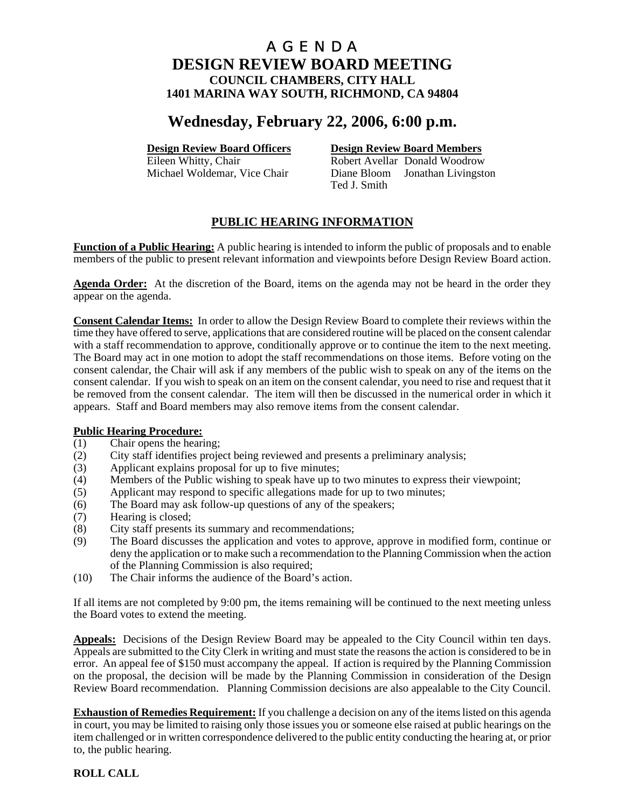# **Wednesday, February 22, 2006, 6:00 p.m.**

### **Design Review Board Officers Design Review Board Members**

Eileen Whitty, Chair **Robert Avellar** Donald Woodrow Michael Woldemar, Vice Chair Diane Bloom Jonathan Livingston Ted J. Smith

# **PUBLIC HEARING INFORMATION**

**Function of a Public Hearing:** A public hearing is intended to inform the public of proposals and to enable members of the public to present relevant information and viewpoints before Design Review Board action.

**Agenda Order:** At the discretion of the Board, items on the agenda may not be heard in the order they appear on the agenda.

**Consent Calendar Items:** In order to allow the Design Review Board to complete their reviews within the time they have offered to serve, applications that are considered routine will be placed on the consent calendar with a staff recommendation to approve, conditionally approve or to continue the item to the next meeting. The Board may act in one motion to adopt the staff recommendations on those items. Before voting on the consent calendar, the Chair will ask if any members of the public wish to speak on any of the items on the consent calendar. If you wish to speak on an item on the consent calendar, you need to rise and request that it be removed from the consent calendar. The item will then be discussed in the numerical order in which it appears. Staff and Board members may also remove items from the consent calendar.

- **Public Hearing Procedure:**<br>(1) Chair opens the hearing Chair opens the hearing;
- (2) City staff identifies project being reviewed and presents a preliminary analysis;
- (3) Applicant explains proposal for up to five minutes;
- (4) Members of the Public wishing to speak have up to two minutes to express their viewpoint;
- (5) Applicant may respond to specific allegations made for up to two minutes;
- (6) The Board may ask follow-up questions of any of the speakers;
- (7) Hearing is closed;
- (8) City staff presents its summary and recommendations;
- (9) The Board discusses the application and votes to approve, approve in modified form, continue or deny the application or to make such a recommendation to the Planning Commission when the action of the Planning Commission is also required;
- (10) The Chair informs the audience of the Board's action.

If all items are not completed by 9:00 pm, the items remaining will be continued to the next meeting unless the Board votes to extend the meeting.

**Appeals:** Decisions of the Design Review Board may be appealed to the City Council within ten days. Appeals are submitted to the City Clerk in writing and must state the reasons the action is considered to be in error. An appeal fee of \$150 must accompany the appeal. If action is required by the Planning Commission on the proposal, the decision will be made by the Planning Commission in consideration of the Design Review Board recommendation. Planning Commission decisions are also appealable to the City Council.

**Exhaustion of Remedies Requirement:** If you challenge a decision on any of the items listed on this agenda in court, you may be limited to raising only those issues you or someone else raised at public hearings on the item challenged or in written correspondence delivered to the public entity conducting the hearing at, or prior to, the public hearing.

### **ROLL CALL**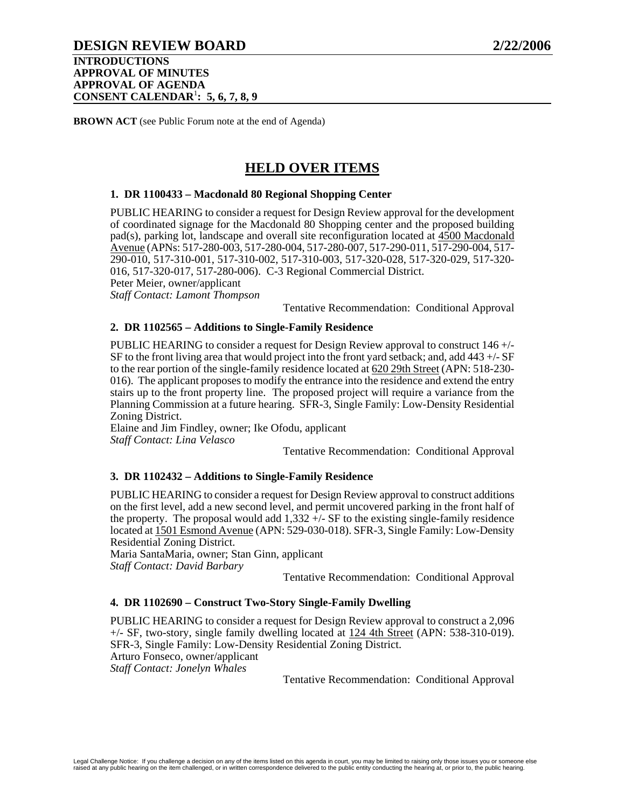# **DESIGN REVIEW BOARD 2/22/2006**

#### **INTRODUCTIONS APPROVAL OF MINUTES APPROVAL OF AGENDA CONSENT CALENDAR**<sup>1</sup> **: 5, 6, 7, 8, 9**

**BROWN ACT** (see Public Forum note at the end of Agenda)

# **HELD OVER ITEMS**

#### **1. DR 1100433 – Macdonald 80 Regional Shopping Center**

PUBLIC HEARING to consider a request for Design Review approval for the development of coordinated signage for the Macdonald 80 Shopping center and the proposed building pad(s), parking lot, landscape and overall site reconfiguration located at 4500 Macdonald Avenue (APNs: 517-280-003, 517-280-004, 517-280-007, 517-290-011, 517-290-004, 517- 290-010, 517-310-001, 517-310-002, 517-310-003, 517-320-028, 517-320-029, 517-320- 016, 517-320-017, 517-280-006). C-3 Regional Commercial District. Peter Meier, owner/applicant

*Staff Contact: Lamont Thompson* 

Tentative Recommendation: Conditional Approval

#### **2. DR 1102565 – Additions to Single-Family Residence**

PUBLIC HEARING to consider a request for Design Review approval to construct 146 +/- SF to the front living area that would project into the front yard setback; and, add 443 +/- SF to the rear portion of the single-family residence located at 620 29th Street (APN: 518-230- 016). The applicant proposes to modify the entrance into the residence and extend the entry stairs up to the front property line. The proposed project will require a variance from the Planning Commission at a future hearing. SFR-3, Single Family: Low-Density Residential Zoning District.

Elaine and Jim Findley, owner; Ike Ofodu, applicant *Staff Contact: Lina Velasco* 

Tentative Recommendation: Conditional Approval

#### **3. DR 1102432 – Additions to Single-Family Residence**

PUBLIC HEARING to consider a request for Design Review approval to construct additions on the first level, add a new second level, and permit uncovered parking in the front half of the property. The proposal would add  $1,332 +/-$  SF to the existing single-family residence located at 1501 Esmond Avenue (APN: 529-030-018). SFR-3, Single Family: Low-Density Residential Zoning District.

Maria SantaMaria, owner; Stan Ginn, applicant *Staff Contact: David Barbary* 

Tentative Recommendation: Conditional Approval

#### **4. DR 1102690 – Construct Two-Story Single-Family Dwelling**

PUBLIC HEARING to consider a request for Design Review approval to construct a 2,096 +/- SF, two-story, single family dwelling located at 124 4th Street (APN: 538-310-019). SFR-3, Single Family: Low-Density Residential Zoning District. Arturo Fonseco, owner/applicant *Staff Contact: Jonelyn Whales*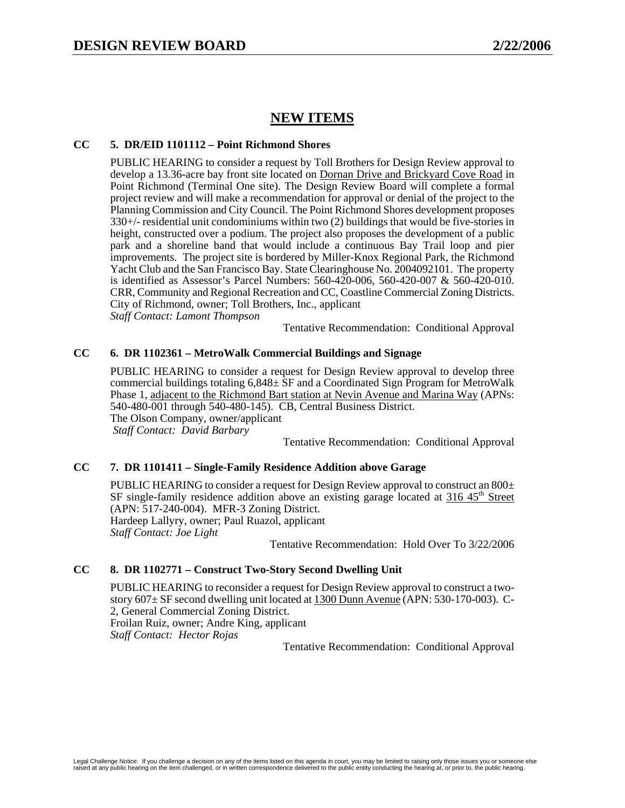# **NEW ITEMS**

#### **CC 5. DR/EID 1101112 – Point Richmond Shores**

PUBLIC HEARING to consider a request by Toll Brothers for Design Review approval to develop a 13.36-acre bay front site located on Dornan Drive and Brickyard Cove Road in Point Richmond (Terminal One site). The Design Review Board will complete a formal project review and will make a recommendation for approval or denial of the project to the Planning Commission and City Council. The Point Richmond Shores development proposes 330+/- residential unit condominiums within two (2) buildings that would be five-stories in height, constructed over a podium. The project also proposes the development of a public park and a shoreline band that would include a continuous Bay Trail loop and pier improvements. The project site is bordered by Miller-Knox Regional Park, the Richmond Yacht Club and the San Francisco Bay. State Clearinghouse No. 2004092101. The property is identified as Assessor's Parcel Numbers: 560-420-006, 560-420-007 & 560-420-010. CRR, Community and Regional Recreation and CC, Coastline Commercial Zoning Districts. City of Richmond, owner; Toll Brothers, Inc., applicant *Staff Contact: Lamont Thompson* 

Tentative Recommendation: Conditional Approval

#### **CC 6. DR 1102361 – MetroWalk Commercial Buildings and Signage**

PUBLIC HEARING to consider a request for Design Review approval to develop three commercial buildings totaling 6,848± SF and a Coordinated Sign Program for MetroWalk Phase 1, adjacent to the Richmond Bart station at Nevin Avenue and Marina Way (APNs: 540-480-001 through 540-480-145). CB, Central Business District. The Olson Company, owner/applicant  *Staff Contact: David Barbary* 

Tentative Recommendation: Conditional Approval

#### **CC 7. DR 1101411 – Single-Family Residence Addition above Garage**

PUBLIC HEARING to consider a request for Design Review approval to construct an  $800\pm$  $SF$  single-family residence addition above an existing garage located at 316  $45<sup>th</sup>$  Street (APN: 517-240-004). MFR-3 Zoning District. Hardeep Lallyry, owner; Paul Ruazol, applicant *Staff Contact: Joe Light* 

Tentative Recommendation: Hold Over To 3/22/2006

#### **CC 8. DR 1102771 – Construct Two-Story Second Dwelling Unit**

PUBLIC HEARING to reconsider a request for Design Review approval to construct a twostory 607± SF second dwelling unit located at 1300 Dunn Avenue (APN: 530-170-003). C-2, General Commercial Zoning District. Froilan Ruiz, owner; Andre King, applicant *Staff Contact: Hector Rojas*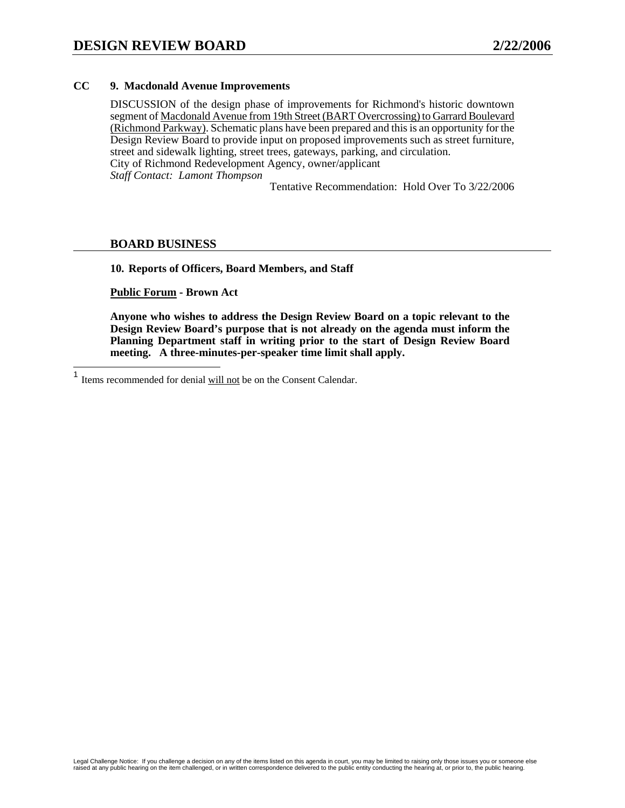#### **CC 9. Macdonald Avenue Improvements**

DISCUSSION of the design phase of improvements for Richmond's historic downtown segment of Macdonald Avenue from 19th Street (BART Overcrossing) to Garrard Boulevard (Richmond Parkway). Schematic plans have been prepared and this is an opportunity for the Design Review Board to provide input on proposed improvements such as street furniture, street and sidewalk lighting, street trees, gateways, parking, and circulation. City of Richmond Redevelopment Agency, owner/applicant *Staff Contact: Lamont Thompson* 

Tentative Recommendation: Hold Over To 3/22/2006

#### **BOARD BUSINESS**

**10. Reports of Officers, Board Members, and Staff** 

**Public Forum - Brown Act** 

 $\mathbf{1}$ Items recommended for denial will not be on the Consent Calendar.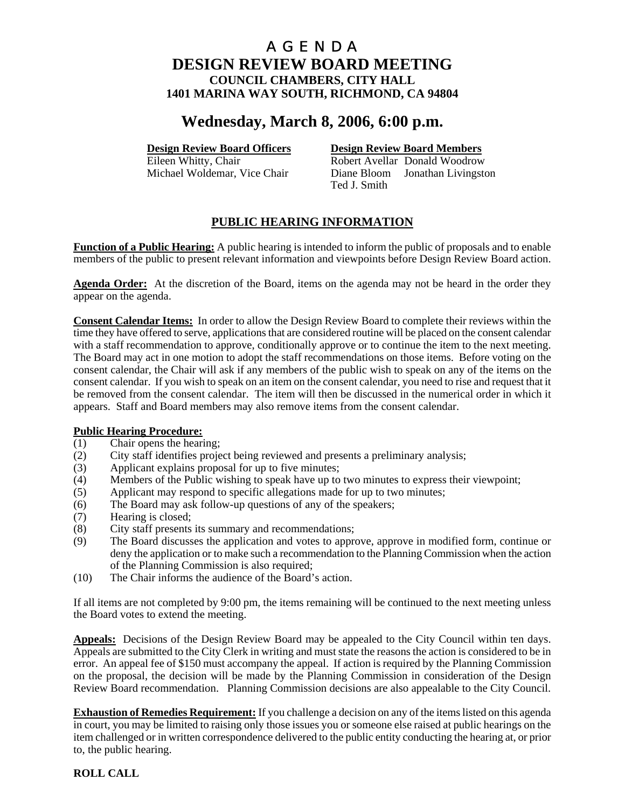# **Wednesday, March 8, 2006, 6:00 p.m.**

**Design Review Board Officers**<br> **Design Review Board Members**<br> **Robert Avellar Donald Woodrow** 

Robert Avellar Donald Woodrow Michael Woldemar, Vice Chair Diane Bloom Jonathan Livingston Ted J. Smith

# **PUBLIC HEARING INFORMATION**

**Function of a Public Hearing:** A public hearing is intended to inform the public of proposals and to enable members of the public to present relevant information and viewpoints before Design Review Board action.

**Agenda Order:** At the discretion of the Board, items on the agenda may not be heard in the order they appear on the agenda.

**Consent Calendar Items:** In order to allow the Design Review Board to complete their reviews within the time they have offered to serve, applications that are considered routine will be placed on the consent calendar with a staff recommendation to approve, conditionally approve or to continue the item to the next meeting. The Board may act in one motion to adopt the staff recommendations on those items. Before voting on the consent calendar, the Chair will ask if any members of the public wish to speak on any of the items on the consent calendar. If you wish to speak on an item on the consent calendar, you need to rise and request that it be removed from the consent calendar. The item will then be discussed in the numerical order in which it appears. Staff and Board members may also remove items from the consent calendar.

- **Public Hearing Procedure:**<br>(1) Chair opens the hearing Chair opens the hearing;
- (2) City staff identifies project being reviewed and presents a preliminary analysis;
- (3) Applicant explains proposal for up to five minutes;
- (4) Members of the Public wishing to speak have up to two minutes to express their viewpoint;
- (5) Applicant may respond to specific allegations made for up to two minutes;
- (6) The Board may ask follow-up questions of any of the speakers;
- (7) Hearing is closed;
- (8) City staff presents its summary and recommendations;
- (9) The Board discusses the application and votes to approve, approve in modified form, continue or deny the application or to make such a recommendation to the Planning Commission when the action of the Planning Commission is also required;
- (10) The Chair informs the audience of the Board's action.

If all items are not completed by 9:00 pm, the items remaining will be continued to the next meeting unless the Board votes to extend the meeting.

**Appeals:** Decisions of the Design Review Board may be appealed to the City Council within ten days. Appeals are submitted to the City Clerk in writing and must state the reasons the action is considered to be in error. An appeal fee of \$150 must accompany the appeal. If action is required by the Planning Commission on the proposal, the decision will be made by the Planning Commission in consideration of the Design Review Board recommendation. Planning Commission decisions are also appealable to the City Council.

**Exhaustion of Remedies Requirement:** If you challenge a decision on any of the items listed on this agenda in court, you may be limited to raising only those issues you or someone else raised at public hearings on the item challenged or in written correspondence delivered to the public entity conducting the hearing at, or prior to, the public hearing.

#### **ROLL CALL**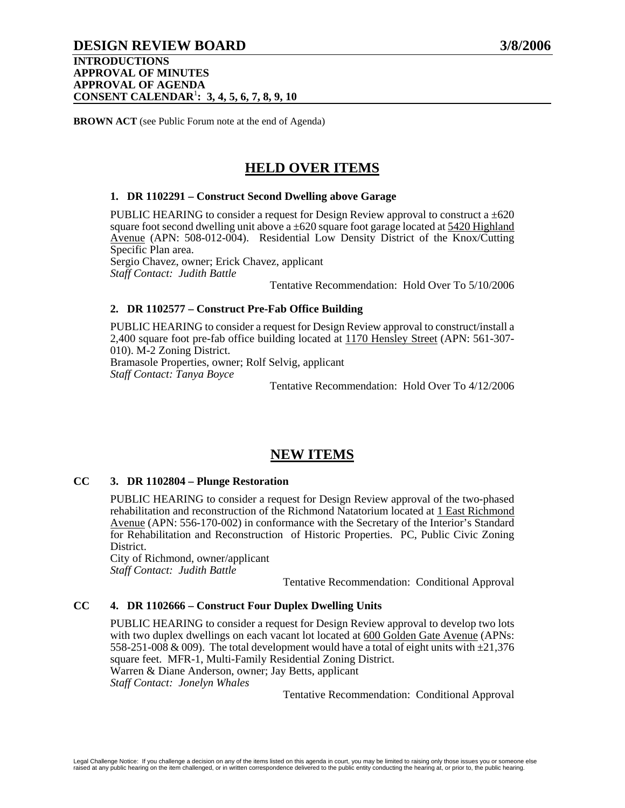# **DESIGN REVIEW BOARD 3/8/2006**

#### **INTRODUCTIONS APPROVAL OF MINUTES APPROVAL OF AGENDA CONSENT CALENDAR**<sup>1</sup> **: 3, 4, 5, 6, 7, 8, 9, 10**

**BROWN ACT** (see Public Forum note at the end of Agenda)

# **HELD OVER ITEMS**

### **1. DR 1102291 – Construct Second Dwelling above Garage**

PUBLIC HEARING to consider a request for Design Review approval to construct a  $\pm 620$ square foot second dwelling unit above a  $\pm 620$  square foot garage located at 5420 Highland Avenue (APN: 508-012-004). Residential Low Density District of the Knox/Cutting Specific Plan area.

Sergio Chavez, owner; Erick Chavez, applicant *Staff Contact: Judith Battle* 

Tentative Recommendation: Hold Over To 5/10/2006

### **2. DR 1102577 – Construct Pre-Fab Office Building**

PUBLIC HEARING to consider a request for Design Review approval to construct/install a 2,400 square foot pre-fab office building located at 1170 Hensley Street (APN: 561-307- 010). M-2 Zoning District. Bramasole Properties, owner; Rolf Selvig, applicant

*Staff Contact: Tanya Boyce* 

Tentative Recommendation: Hold Over To 4/12/2006

# **NEW ITEMS**

#### **CC 3. DR 1102804 – Plunge Restoration**

PUBLIC HEARING to consider a request for Design Review approval of the two-phased rehabilitation and reconstruction of the Richmond Natatorium located at 1 East Richmond Avenue (APN: 556-170-002) in conformance with the Secretary of the Interior's Standard for Rehabilitation and Reconstruction of Historic Properties. PC, Public Civic Zoning District.

City of Richmond, owner/applicant *Staff Contact: Judith Battle* 

Tentative Recommendation: Conditional Approval

### **CC 4. DR 1102666 – Construct Four Duplex Dwelling Units**

PUBLIC HEARING to consider a request for Design Review approval to develop two lots with two duplex dwellings on each vacant lot located at 600 Golden Gate Avenue (APNs: 558-251-008 & 009). The total development would have a total of eight units with  $\pm 21,376$ square feet. MFR-1, Multi-Family Residential Zoning District. Warren & Diane Anderson, owner; Jay Betts, applicant *Staff Contact: Jonelyn Whales*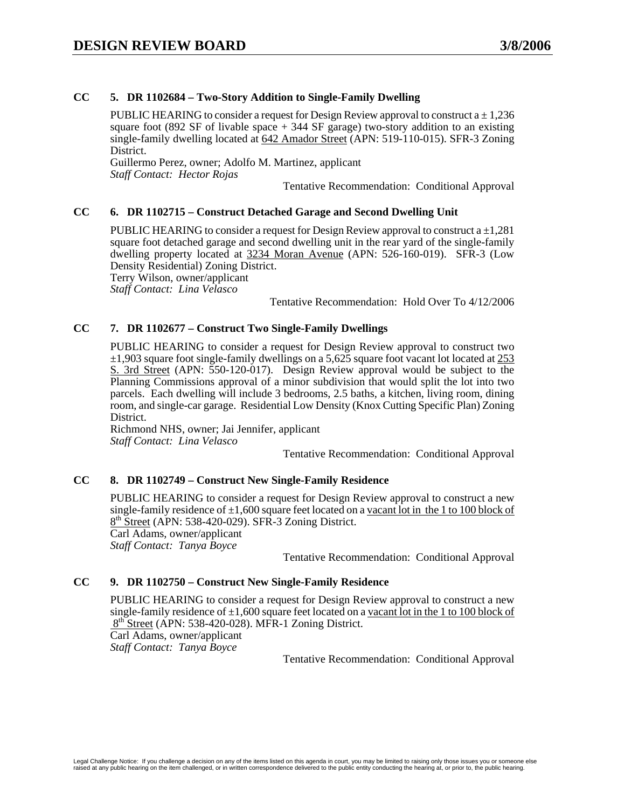### **CC 5. DR 1102684 – Two-Story Addition to Single-Family Dwelling**

PUBLIC HEARING to consider a request for Design Review approval to construct  $a \pm 1.236$ square foot (892 SF of livable space  $+$  344 SF garage) two-story addition to an existing single-family dwelling located at 642 Amador Street (APN: 519-110-015). SFR-3 Zoning District.

Guillermo Perez, owner; Adolfo M. Martinez, applicant *Staff Contact: Hector Rojas* 

Tentative Recommendation: Conditional Approval

#### **CC 6. DR 1102715 – Construct Detached Garage and Second Dwelling Unit**

PUBLIC HEARING to consider a request for Design Review approval to construct  $a \pm 1.281$ square foot detached garage and second dwelling unit in the rear yard of the single-family dwelling property located at 3234 Moran Avenue (APN: 526-160-019). SFR-3 (Low Density Residential) Zoning District.

Terry Wilson, owner/applicant

*Staff Contact: Lina Velasco* 

Tentative Recommendation: Hold Over To 4/12/2006

#### **CC 7. DR 1102677 – Construct Two Single-Family Dwellings**

PUBLIC HEARING to consider a request for Design Review approval to construct two  $\pm$ 1,903 square foot single-family dwellings on a 5,625 square foot vacant lot located at 253 S. 3rd Street (APN: 550-120-017). Design Review approval would be subject to the Planning Commissions approval of a minor subdivision that would split the lot into two parcels. Each dwelling will include 3 bedrooms, 2.5 baths, a kitchen, living room, dining room, and single-car garage. Residential Low Density (Knox Cutting Specific Plan) Zoning District.

Richmond NHS, owner; Jai Jennifer, applicant *Staff Contact: Lina Velasco* 

Tentative Recommendation: Conditional Approval

#### **CC 8. DR 1102749 – Construct New Single-Family Residence**

PUBLIC HEARING to consider a request for Design Review approval to construct a new single-family residence of  $\pm 1,600$  square feet located on a vacant lot in the 1 to 100 block of  $8<sup>th</sup>$  Street (APN: 538-420-029). SFR-3 Zoning District. Carl Adams, owner/applicant *Staff Contact: Tanya Boyce* 

Tentative Recommendation: Conditional Approval

#### **CC 9. DR 1102750 – Construct New Single-Family Residence**

PUBLIC HEARING to consider a request for Design Review approval to construct a new single-family residence of  $\pm 1,600$  square feet located on a vacant lot in the 1 to 100 block of 8<sup>th</sup> Street (APN: 538-420-028). MFR-1 Zoning District. Carl Adams, owner/applicant *Staff Contact: Tanya Boyce*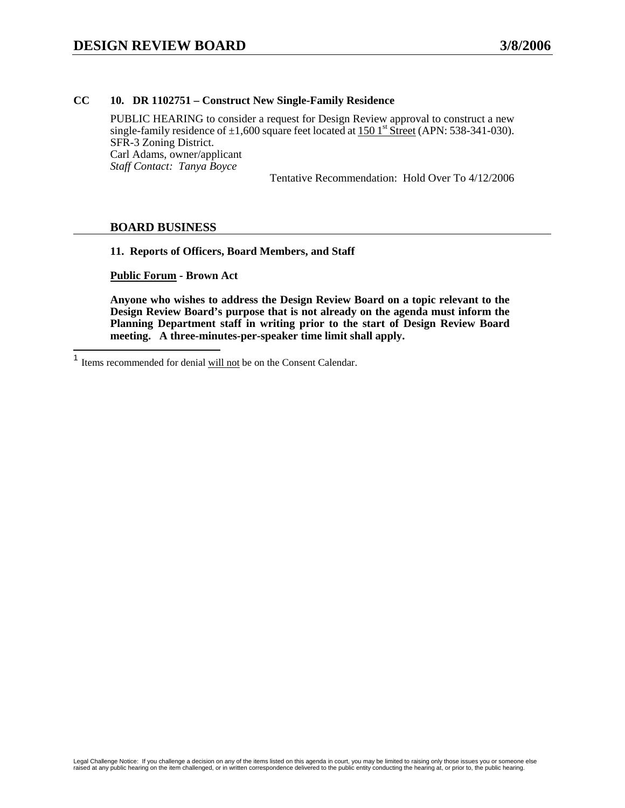#### **CC 10. DR 1102751 – Construct New Single-Family Residence**

PUBLIC HEARING to consider a request for Design Review approval to construct a new single-family residence of  $\pm 1,600$  square feet located at 150 1<sup>st</sup> Street (APN: 538-341-030). SFR-3 Zoning District. Carl Adams, owner/applicant *Staff Contact: Tanya Boyce* 

Tentative Recommendation: Hold Over To 4/12/2006

#### **BOARD BUSINESS**

**11. Reports of Officers, Board Members, and Staff** 

**Public Forum - Brown Act** 

 $\mathbf{1}$ Items recommended for denial will not be on the Consent Calendar.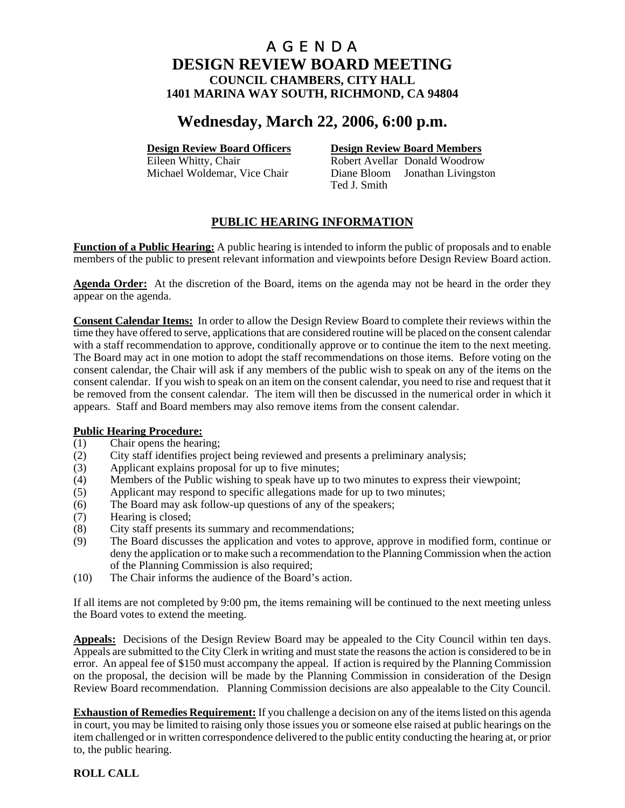# **Wednesday, March 22, 2006, 6:00 p.m.**

# **Design Review Board Officers**<br> **Design Review Board Members**<br> **Robert Avellar Donald Woodrow**

Robert Avellar Donald Woodrow Michael Woldemar, Vice Chair Diane Bloom Jonathan Livingston Ted J. Smith

# **PUBLIC HEARING INFORMATION**

**Function of a Public Hearing:** A public hearing is intended to inform the public of proposals and to enable members of the public to present relevant information and viewpoints before Design Review Board action.

**Agenda Order:** At the discretion of the Board, items on the agenda may not be heard in the order they appear on the agenda.

**Consent Calendar Items:** In order to allow the Design Review Board to complete their reviews within the time they have offered to serve, applications that are considered routine will be placed on the consent calendar with a staff recommendation to approve, conditionally approve or to continue the item to the next meeting. The Board may act in one motion to adopt the staff recommendations on those items. Before voting on the consent calendar, the Chair will ask if any members of the public wish to speak on any of the items on the consent calendar. If you wish to speak on an item on the consent calendar, you need to rise and request that it be removed from the consent calendar. The item will then be discussed in the numerical order in which it appears. Staff and Board members may also remove items from the consent calendar.

- **Public Hearing Procedure:**<br>(1) Chair opens the hearing Chair opens the hearing;
- (2) City staff identifies project being reviewed and presents a preliminary analysis;
- (3) Applicant explains proposal for up to five minutes;
- (4) Members of the Public wishing to speak have up to two minutes to express their viewpoint;
- (5) Applicant may respond to specific allegations made for up to two minutes;
- (6) The Board may ask follow-up questions of any of the speakers;
- (7) Hearing is closed;
- (8) City staff presents its summary and recommendations;
- (9) The Board discusses the application and votes to approve, approve in modified form, continue or deny the application or to make such a recommendation to the Planning Commission when the action of the Planning Commission is also required;
- (10) The Chair informs the audience of the Board's action.

If all items are not completed by 9:00 pm, the items remaining will be continued to the next meeting unless the Board votes to extend the meeting.

**Appeals:** Decisions of the Design Review Board may be appealed to the City Council within ten days. Appeals are submitted to the City Clerk in writing and must state the reasons the action is considered to be in error. An appeal fee of \$150 must accompany the appeal. If action is required by the Planning Commission on the proposal, the decision will be made by the Planning Commission in consideration of the Design Review Board recommendation. Planning Commission decisions are also appealable to the City Council.

**Exhaustion of Remedies Requirement:** If you challenge a decision on any of the items listed on this agenda in court, you may be limited to raising only those issues you or someone else raised at public hearings on the item challenged or in written correspondence delivered to the public entity conducting the hearing at, or prior to, the public hearing.

#### **ROLL CALL**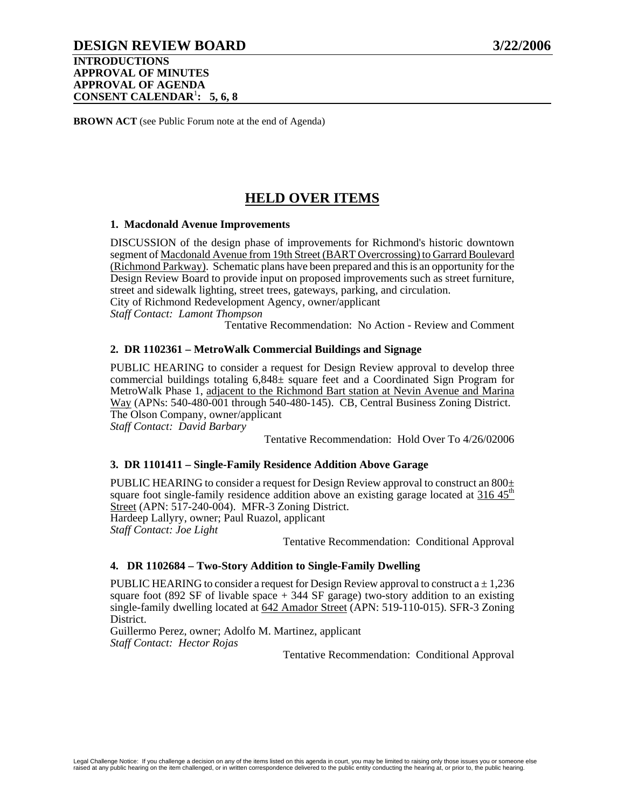# **DESIGN REVIEW BOARD 3/22/2006**

**INTRODUCTIONS APPROVAL OF MINUTES APPROVAL OF AGENDA CONSENT CALENDAR**<sup>1</sup> **: 5, 6, 8**

**BROWN ACT** (see Public Forum note at the end of Agenda)

# **HELD OVER ITEMS**

#### **1. Macdonald Avenue Improvements**

DISCUSSION of the design phase of improvements for Richmond's historic downtown segment of Macdonald Avenue from 19th Street (BART Overcrossing) to Garrard Boulevard (Richmond Parkway). Schematic plans have been prepared and this is an opportunity for the Design Review Board to provide input on proposed improvements such as street furniture, street and sidewalk lighting, street trees, gateways, parking, and circulation. City of Richmond Redevelopment Agency, owner/applicant *Staff Contact: Lamont Thompson* 

Tentative Recommendation: No Action - Review and Comment

#### **2. DR 1102361 – MetroWalk Commercial Buildings and Signage**

PUBLIC HEARING to consider a request for Design Review approval to develop three commercial buildings totaling  $6,848\pm$  square feet and a Coordinated Sign Program for MetroWalk Phase 1, adjacent to the Richmond Bart station at Nevin Avenue and Marina Way (APNs: 540-480-001 through 540-480-145). CB, Central Business Zoning District. The Olson Company, owner/applicant

*Staff Contact: David Barbary* 

Tentative Recommendation: Hold Over To 4/26/02006

#### **3. DR 1101411 – Single-Family Residence Addition Above Garage**

PUBLIC HEARING to consider a request for Design Review approval to construct an  $800<sub>±</sub>$ square foot single-family residence addition above an existing garage located at  $316.45<sup>th</sup>$ Street (APN: 517-240-004). MFR-3 Zoning District. Hardeep Lallyry, owner; Paul Ruazol, applicant *Staff Contact: Joe Light* 

Tentative Recommendation: Conditional Approval

#### **4. DR 1102684 – Two-Story Addition to Single-Family Dwelling**

PUBLIC HEARING to consider a request for Design Review approval to construct  $a \pm 1,236$ square foot (892 SF of livable space  $+$  344 SF garage) two-story addition to an existing single-family dwelling located at 642 Amador Street (APN: 519-110-015). SFR-3 Zoning District.

Guillermo Perez, owner; Adolfo M. Martinez, applicant *Staff Contact: Hector Rojas*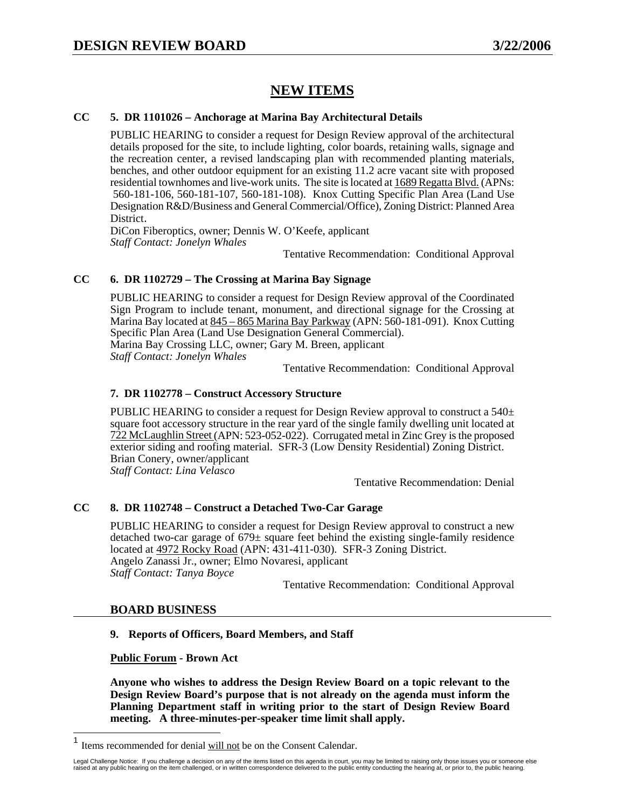# **NEW ITEMS**

#### **CC 5. DR 1101026 – Anchorage at Marina Bay Architectural Details**

PUBLIC HEARING to consider a request for Design Review approval of the architectural details proposed for the site, to include lighting, color boards, retaining walls, signage and the recreation center, a revised landscaping plan with recommended planting materials, benches, and other outdoor equipment for an existing 11.2 acre vacant site with proposed residential townhomes and live-work units. The site is located at 1689 Regatta Blvd. (APNs: 560-181-106, 560-181-107, 560-181-108). Knox Cutting Specific Plan Area (Land Use Designation R&D/Business and General Commercial/Office), Zoning District: Planned Area District.

DiCon Fiberoptics, owner; Dennis W. O'Keefe, applicant *Staff Contact: Jonelyn Whales* 

Tentative Recommendation: Conditional Approval

#### **CC 6. DR 1102729 – The Crossing at Marina Bay Signage**

PUBLIC HEARING to consider a request for Design Review approval of the Coordinated Sign Program to include tenant, monument, and directional signage for the Crossing at Marina Bay located at 845 – 865 Marina Bay Parkway (APN: 560-181-091). Knox Cutting Specific Plan Area (Land Use Designation General Commercial). Marina Bay Crossing LLC, owner; Gary M. Breen, applicant *Staff Contact: Jonelyn Whales* 

Tentative Recommendation: Conditional Approval

#### **7. DR 1102778 – Construct Accessory Structure**

PUBLIC HEARING to consider a request for Design Review approval to construct a  $540<sup>±</sup>$ square foot accessory structure in the rear yard of the single family dwelling unit located at 722 McLaughlin Street (APN: 523-052-022). Corrugated metal in Zinc Grey is the proposed exterior siding and roofing material. SFR-3 (Low Density Residential) Zoning District. Brian Conery, owner/applicant *Staff Contact: Lina Velasco* 

Tentative Recommendation: Denial

### **CC 8. DR 1102748 – Construct a Detached Two-Car Garage**

PUBLIC HEARING to consider a request for Design Review approval to construct a new detached two-car garage of  $679\pm$  square feet behind the existing single-family residence located at 4972 Rocky Road (APN: 431-411-030). SFR-3 Zoning District. Angelo Zanassi Jr., owner; Elmo Novaresi, applicant *Staff Contact: Tanya Boyce* 

Tentative Recommendation: Conditional Approval

#### **BOARD BUSINESS**

#### **9. Reports of Officers, Board Members, and Staff**

**Public Forum - Brown Act** 

 $\mathbf{1}$ Items recommended for denial will not be on the Consent Calendar.

Legal Challenge Notice: If you challenge a decision on any of the items listed on this agenda in court, you may be limited to raising only those issues you or someone else<br>raised at any public hearing on the item challenge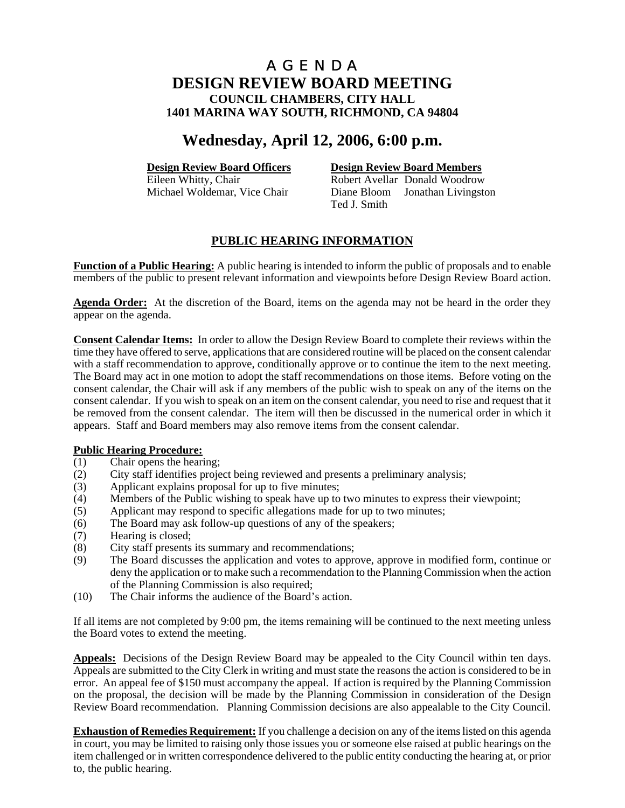# **Wednesday, April 12, 2006, 6:00 p.m.**

**Design Review Board Officers**<br> **Design Review Board Members**<br> **Robert Avellar Donald Woodrow** Robert Avellar Donald Woodrow Michael Woldemar, Vice Chair Diane Bloom Jonathan Livingston Ted J. Smith

## **PUBLIC HEARING INFORMATION**

**Function of a Public Hearing:** A public hearing is intended to inform the public of proposals and to enable members of the public to present relevant information and viewpoints before Design Review Board action.

**Agenda Order:** At the discretion of the Board, items on the agenda may not be heard in the order they appear on the agenda.

**Consent Calendar Items:** In order to allow the Design Review Board to complete their reviews within the time they have offered to serve, applications that are considered routine will be placed on the consent calendar with a staff recommendation to approve, conditionally approve or to continue the item to the next meeting. The Board may act in one motion to adopt the staff recommendations on those items. Before voting on the consent calendar, the Chair will ask if any members of the public wish to speak on any of the items on the consent calendar. If you wish to speak on an item on the consent calendar, you need to rise and request that it be removed from the consent calendar. The item will then be discussed in the numerical order in which it appears. Staff and Board members may also remove items from the consent calendar.

#### **Public Hearing Procedure:**

- (1) Chair opens the hearing;
- (2) City staff identifies project being reviewed and presents a preliminary analysis;
- (3) Applicant explains proposal for up to five minutes;
- (4) Members of the Public wishing to speak have up to two minutes to express their viewpoint;
- (5) Applicant may respond to specific allegations made for up to two minutes;
- (6) The Board may ask follow-up questions of any of the speakers;
- (7) Hearing is closed;
- (8) City staff presents its summary and recommendations;
- (9) The Board discusses the application and votes to approve, approve in modified form, continue or deny the application or to make such a recommendation to the Planning Commission when the action of the Planning Commission is also required;
- (10) The Chair informs the audience of the Board's action.

If all items are not completed by 9:00 pm, the items remaining will be continued to the next meeting unless the Board votes to extend the meeting.

**Appeals:** Decisions of the Design Review Board may be appealed to the City Council within ten days. Appeals are submitted to the City Clerk in writing and must state the reasons the action is considered to be in error. An appeal fee of \$150 must accompany the appeal. If action is required by the Planning Commission on the proposal, the decision will be made by the Planning Commission in consideration of the Design Review Board recommendation. Planning Commission decisions are also appealable to the City Council.

**Exhaustion of Remedies Requirement:** If you challenge a decision on any of the items listed on this agenda in court, you may be limited to raising only those issues you or someone else raised at public hearings on the item challenged or in written correspondence delivered to the public entity conducting the hearing at, or prior to, the public hearing.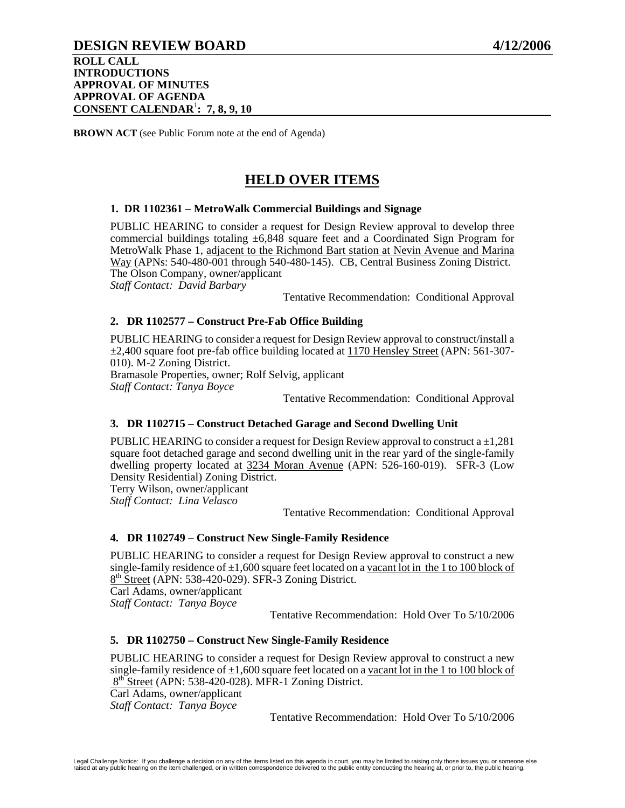# **DESIGN REVIEW BOARD 4/12/2006**

**ROLL CALL INTRODUCTIONS APPROVAL OF MINUTES APPROVAL OF AGENDA CONSENT CALENDAR**<sup>1</sup> **: 7, 8, 9, 10** 

**BROWN ACT** (see Public Forum note at the end of Agenda)

# **HELD OVER ITEMS**

#### **1. DR 1102361 – MetroWalk Commercial Buildings and Signage**

PUBLIC HEARING to consider a request for Design Review approval to develop three commercial buildings totaling  $\pm 6,848$  square feet and a Coordinated Sign Program for MetroWalk Phase 1, adjacent to the Richmond Bart station at Nevin Avenue and Marina Way (APNs: 540-480-001 through 540-480-145). CB, Central Business Zoning District. The Olson Company, owner/applicant *Staff Contact: David Barbary* 

Tentative Recommendation: Conditional Approval

#### **2. DR 1102577 – Construct Pre-Fab Office Building**

PUBLIC HEARING to consider a request for Design Review approval to construct/install a ±2,400 square foot pre-fab office building located at 1170 Hensley Street (APN: 561-307- 010). M-2 Zoning District.

Bramasole Properties, owner; Rolf Selvig, applicant

*Staff Contact: Tanya Boyce* 

Tentative Recommendation: Conditional Approval

#### **3. DR 1102715 – Construct Detached Garage and Second Dwelling Unit**

PUBLIC HEARING to consider a request for Design Review approval to construct a  $\pm 1,281$ square foot detached garage and second dwelling unit in the rear yard of the single-family dwelling property located at 3234 Moran Avenue (APN: 526-160-019). SFR-3 (Low Density Residential) Zoning District.

Terry Wilson, owner/applicant *Staff Contact: Lina Velasco* 

Tentative Recommendation: Conditional Approval

#### **4. DR 1102749 – Construct New Single-Family Residence**

PUBLIC HEARING to consider a request for Design Review approval to construct a new single-family residence of  $\pm 1,600$  square feet located on a vacant lot in the 1 to 100 block of 8th Street (APN: 538-420-029). SFR-3 Zoning District.

Carl Adams, owner/applicant *Staff Contact: Tanya Boyce* 

Tentative Recommendation: Hold Over To 5/10/2006

#### **5. DR 1102750 – Construct New Single-Family Residence**

PUBLIC HEARING to consider a request for Design Review approval to construct a new single-family residence of  $\pm 1,600$  square feet located on a vacant lot in the 1 to 100 block of 8<sup>th</sup> Street (APN: 538-420-028). MFR-1 Zoning District. Carl Adams, owner/applicant

*Staff Contact: Tanya Boyce* 

Tentative Recommendation: Hold Over To 5/10/2006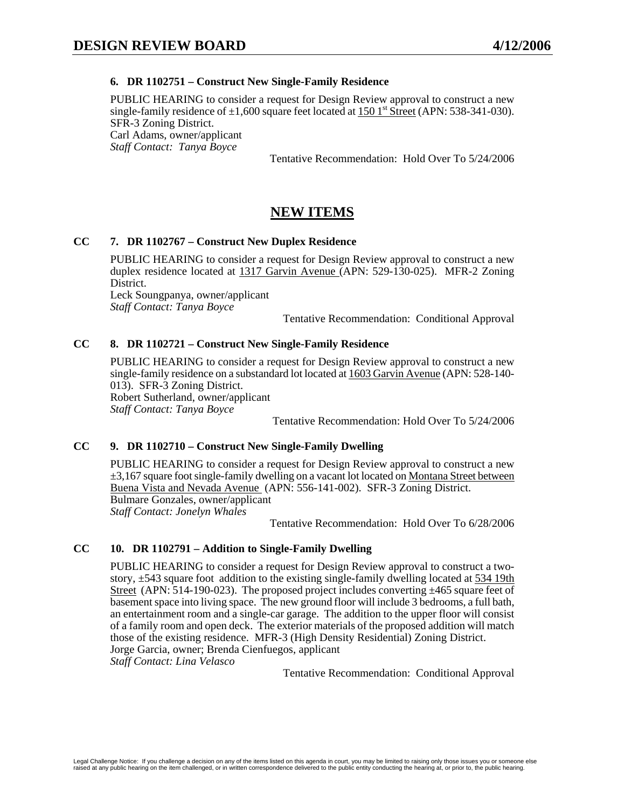#### **6. DR 1102751 – Construct New Single-Family Residence**

PUBLIC HEARING to consider a request for Design Review approval to construct a new single-family residence of  $\pm 1,600$  square feet located at 150 1<sup>st</sup> Street (APN: 538-341-030). SFR-3 Zoning District. Carl Adams, owner/applicant *Staff Contact: Tanya Boyce* 

Tentative Recommendation: Hold Over To 5/24/2006

# **NEW ITEMS**

#### **CC 7. DR 1102767 – Construct New Duplex Residence**

PUBLIC HEARING to consider a request for Design Review approval to construct a new duplex residence located at 1317 Garvin Avenue (APN: 529-130-025). MFR-2 Zoning District.

Leck Soungpanya, owner/applicant *Staff Contact: Tanya Boyce* 

Tentative Recommendation: Conditional Approval

#### **CC 8. DR 1102721 – Construct New Single-Family Residence**

PUBLIC HEARING to consider a request for Design Review approval to construct a new single-family residence on a substandard lot located at 1603 Garvin Avenue (APN: 528-140- 013). SFR-3 Zoning District. Robert Sutherland, owner/applicant *Staff Contact: Tanya Boyce* 

Tentative Recommendation: Hold Over To 5/24/2006

#### **CC 9. DR 1102710 – Construct New Single-Family Dwelling**

PUBLIC HEARING to consider a request for Design Review approval to construct a new  $\pm 3.167$  square foot single-family dwelling on a vacant lot located on Montana Street between Buena Vista and Nevada Avenue (APN: 556-141-002). SFR-3 Zoning District. Bulmare Gonzales, owner/applicant *Staff Contact: Jonelyn Whales* 

Tentative Recommendation: Hold Over To 6/28/2006

#### **CC 10. DR 1102791 – Addition to Single-Family Dwelling**

PUBLIC HEARING to consider a request for Design Review approval to construct a twostory, ±543 square foot addition to the existing single-family dwelling located at 534 19th Street (APN:  $514-190-023$ ). The proposed project includes converting  $\pm 465$  square feet of basement space into living space. The new ground floor will include 3 bedrooms, a full bath, an entertainment room and a single-car garage. The addition to the upper floor will consist of a family room and open deck. The exterior materials of the proposed addition will match those of the existing residence. MFR-3 (High Density Residential) Zoning District. Jorge Garcia, owner; Brenda Cienfuegos, applicant *Staff Contact: Lina Velasco*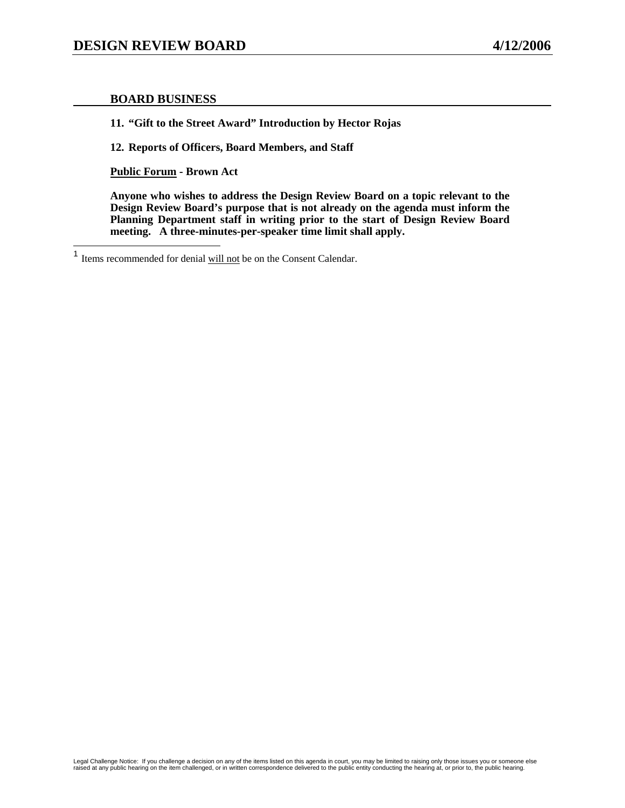#### **BOARD BUSINESS**

**11. "Gift to the Street Award" Introduction by Hector Rojas** 

**12. Reports of Officers, Board Members, and Staff** 

**Public Forum - Brown Act** 

 $\overline{1}$ Items recommended for denial will not be on the Consent Calendar.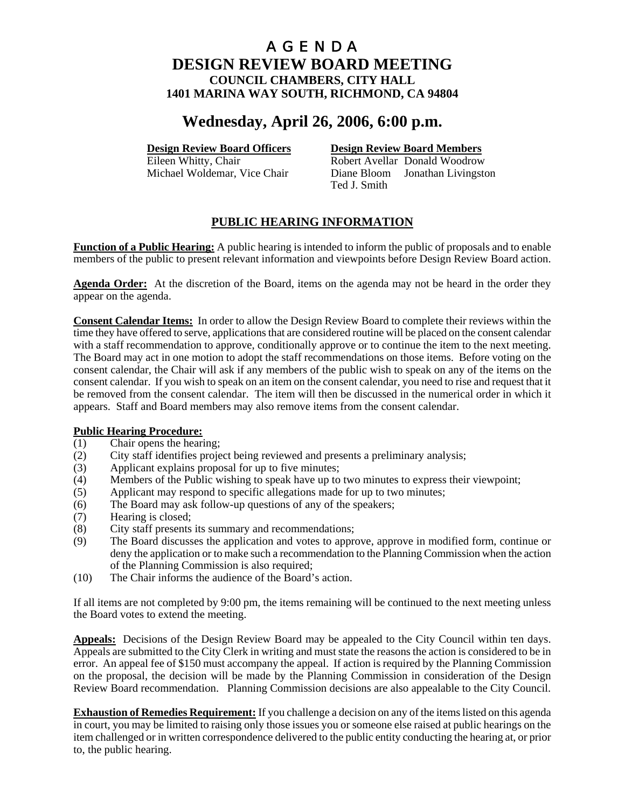# **Wednesday, April 26, 2006, 6:00 p.m.**

# **Design Review Board Officers**<br> **Design Review Board Members**<br> **Robert Avellar Donald Woodrow**

Robert Avellar Donald Woodrow Michael Woldemar, Vice Chair Diane Bloom Jonathan Livingston Ted J. Smith

# **PUBLIC HEARING INFORMATION**

**Function of a Public Hearing:** A public hearing is intended to inform the public of proposals and to enable members of the public to present relevant information and viewpoints before Design Review Board action.

**Agenda Order:** At the discretion of the Board, items on the agenda may not be heard in the order they appear on the agenda.

**Consent Calendar Items:** In order to allow the Design Review Board to complete their reviews within the time they have offered to serve, applications that are considered routine will be placed on the consent calendar with a staff recommendation to approve, conditionally approve or to continue the item to the next meeting. The Board may act in one motion to adopt the staff recommendations on those items. Before voting on the consent calendar, the Chair will ask if any members of the public wish to speak on any of the items on the consent calendar. If you wish to speak on an item on the consent calendar, you need to rise and request that it be removed from the consent calendar. The item will then be discussed in the numerical order in which it appears. Staff and Board members may also remove items from the consent calendar.

# **Public Hearing Procedure:**<br>(1) Chair opens the hearing

- Chair opens the hearing;
- (2) City staff identifies project being reviewed and presents a preliminary analysis;
- (3) Applicant explains proposal for up to five minutes;
- (4) Members of the Public wishing to speak have up to two minutes to express their viewpoint;
- (5) Applicant may respond to specific allegations made for up to two minutes;
- (6) The Board may ask follow-up questions of any of the speakers;
- (7) Hearing is closed;
- (8) City staff presents its summary and recommendations;
- (9) The Board discusses the application and votes to approve, approve in modified form, continue or deny the application or to make such a recommendation to the Planning Commission when the action of the Planning Commission is also required;
- (10) The Chair informs the audience of the Board's action.

If all items are not completed by 9:00 pm, the items remaining will be continued to the next meeting unless the Board votes to extend the meeting.

**Appeals:** Decisions of the Design Review Board may be appealed to the City Council within ten days. Appeals are submitted to the City Clerk in writing and must state the reasons the action is considered to be in error. An appeal fee of \$150 must accompany the appeal. If action is required by the Planning Commission on the proposal, the decision will be made by the Planning Commission in consideration of the Design Review Board recommendation. Planning Commission decisions are also appealable to the City Council.

**Exhaustion of Remedies Requirement:** If you challenge a decision on any of the items listed on this agenda in court, you may be limited to raising only those issues you or someone else raised at public hearings on the item challenged or in written correspondence delivered to the public entity conducting the hearing at, or prior to, the public hearing.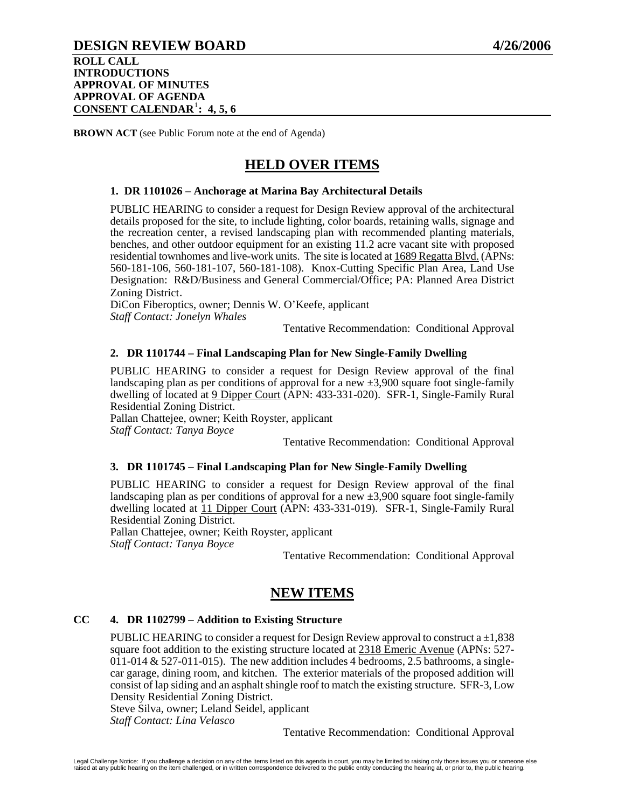**ROLL CALL INTRODUCTIONS APPROVAL OF MINUTES APPROVAL OF AGENDA CONSENT CALENDAR**[1](#page-26-0) **: 4, 5, 6**

**BROWN ACT** (see Public Forum note at the end of Agenda)

# **HELD OVER ITEMS**

#### **1. DR 1101026 – Anchorage at Marina Bay Architectural Details**

PUBLIC HEARING to consider a request for Design Review approval of the architectural details proposed for the site, to include lighting, color boards, retaining walls, signage and the recreation center, a revised landscaping plan with recommended planting materials, benches, and other outdoor equipment for an existing 11.2 acre vacant site with proposed residential townhomes and live-work units. The site is located at 1689 Regatta Blvd. (APNs: 560-181-106, 560-181-107, 560-181-108). Knox-Cutting Specific Plan Area, Land Use Designation: R&D/Business and General Commercial/Office; PA: Planned Area District Zoning District.

DiCon Fiberoptics, owner; Dennis W. O'Keefe, applicant *Staff Contact: Jonelyn Whales* 

Tentative Recommendation: Conditional Approval

#### **2. DR 1101744 – Final Landscaping Plan for New Single-Family Dwelling**

PUBLIC HEARING to consider a request for Design Review approval of the final landscaping plan as per conditions of approval for a new  $\pm 3,900$  square foot single-family dwelling of located at 9 Dipper Court (APN: 433-331-020). SFR-1, Single-Family Rural Residential Zoning District.

Pallan Chattejee, owner; Keith Royster, applicant *Staff Contact: Tanya Boyce* 

Tentative Recommendation: Conditional Approval

#### **3. DR 1101745 – Final Landscaping Plan for New Single-Family Dwelling**

PUBLIC HEARING to consider a request for Design Review approval of the final landscaping plan as per conditions of approval for a new  $\pm 3,900$  square foot single-family dwelling located at 11 Dipper Court (APN: 433-331-019). SFR-1, Single-Family Rural Residential Zoning District.

Pallan Chattejee, owner; Keith Royster, applicant *Staff Contact: Tanya Boyce* 

Tentative Recommendation: Conditional Approval

# **NEW ITEMS**

#### **CC 4. DR 1102799 – Addition to Existing Structure**

PUBLIC HEARING to consider a request for Design Review approval to construct a  $\pm 1.838$ square foot addition to the existing structure located at 2318 Emeric Avenue (APNs: 527-  $011-014 \& 527-011-015$ ). The new addition includes 4 bedrooms, 2.5 bathrooms, a singlecar garage, dining room, and kitchen. The exterior materials of the proposed addition will consist of lap siding and an asphalt shingle roof to match the existing structure. SFR-3, Low Density Residential Zoning District.

Steve Silva, owner; Leland Seidel, applicant *Staff Contact: Lina Velasco*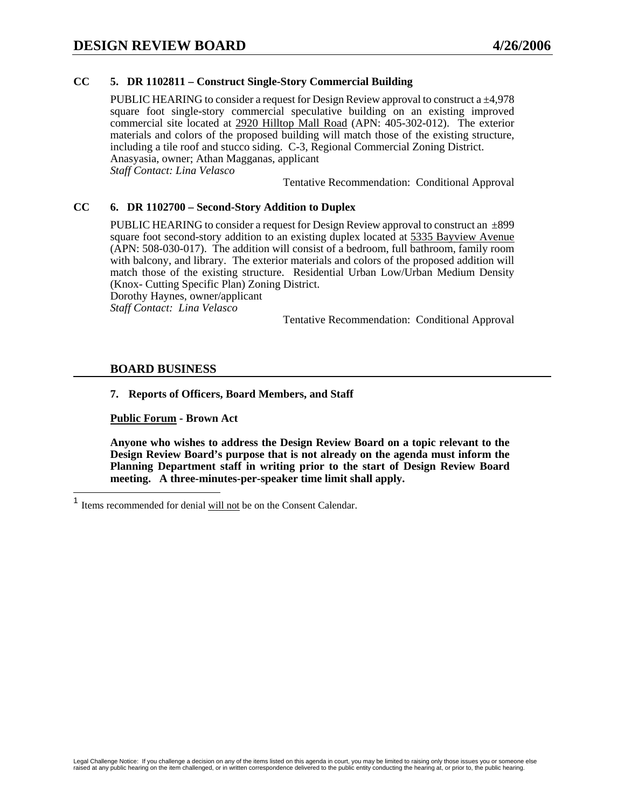### **CC 5. DR 1102811 – Construct Single-Story Commercial Building**

PUBLIC HEARING to consider a request for Design Review approval to construct a ±4,978 square foot single-story commercial speculative building on an existing improved commercial site located at 2920 Hilltop Mall Road (APN: 405-302-012). The exterior materials and colors of the proposed building will match those of the existing structure, including a tile roof and stucco siding. C-3, Regional Commercial Zoning District. Anasyasia, owner; Athan Magganas, applicant *Staff Contact: Lina Velasco* 

Tentative Recommendation: Conditional Approval

#### **CC 6. DR 1102700 – Second-Story Addition to Duplex**

PUBLIC HEARING to consider a request for Design Review approval to construct an  $\pm$ 899 square foot second-story addition to an existing duplex located at 5335 Bayview Avenue (APN: 508-030-017). The addition will consist of a bedroom, full bathroom, family room with balcony, and library. The exterior materials and colors of the proposed addition will match those of the existing structure. Residential Urban Low/Urban Medium Density (Knox- Cutting Specific Plan) Zoning District.

Dorothy Haynes, owner/applicant

*Staff Contact: Lina Velasco* 

Tentative Recommendation: Conditional Approval

#### **BOARD BUSINESS**

<span id="page-26-0"></span> $\overline{a}$ 

#### **7. Reports of Officers, Board Members, and Staff**

**Public Forum - Brown Act** 

Items recommended for denial will not be on the Consent Calendar.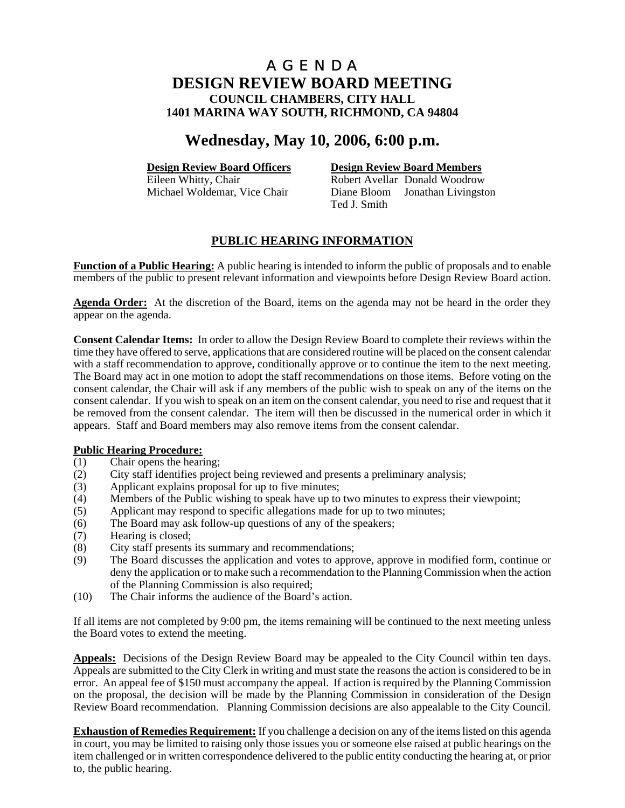# **Wednesday, May 10, 2006, 6:00 p.m.**

**Design Review Board Officers**<br> **Design Review Board Members**<br> **Robert Avellar Donald Woodrow** Robert Avellar Donald Woodrow Michael Woldemar, Vice Chair Diane Bloom Jonathan Livingston Ted J. Smith

# **PUBLIC HEARING INFORMATION**

**Function of a Public Hearing:** A public hearing is intended to inform the public of proposals and to enable members of the public to present relevant information and viewpoints before Design Review Board action.

**Agenda Order:** At the discretion of the Board, items on the agenda may not be heard in the order they appear on the agenda.

**Consent Calendar Items:** In order to allow the Design Review Board to complete their reviews within the time they have offered to serve, applications that are considered routine will be placed on the consent calendar with a staff recommendation to approve, conditionally approve or to continue the item to the next meeting. The Board may act in one motion to adopt the staff recommendations on those items. Before voting on the consent calendar, the Chair will ask if any members of the public wish to speak on any of the items on the consent calendar. If you wish to speak on an item on the consent calendar, you need to rise and request that it be removed from the consent calendar. The item will then be discussed in the numerical order in which it appears. Staff and Board members may also remove items from the consent calendar.

#### **Public Hearing Procedure:**

- (1) Chair opens the hearing;
- (2) City staff identifies project being reviewed and presents a preliminary analysis;
- (3) Applicant explains proposal for up to five minutes;
- (4) Members of the Public wishing to speak have up to two minutes to express their viewpoint;
- (5) Applicant may respond to specific allegations made for up to two minutes;
- (6) The Board may ask follow-up questions of any of the speakers;
- (7) Hearing is closed;
- (8) City staff presents its summary and recommendations;
- (9) The Board discusses the application and votes to approve, approve in modified form, continue or deny the application or to make such a recommendation to the Planning Commission when the action of the Planning Commission is also required;
- (10) The Chair informs the audience of the Board's action.

If all items are not completed by 9:00 pm, the items remaining will be continued to the next meeting unless the Board votes to extend the meeting.

**Appeals:** Decisions of the Design Review Board may be appealed to the City Council within ten days. Appeals are submitted to the City Clerk in writing and must state the reasons the action is considered to be in error. An appeal fee of \$150 must accompany the appeal. If action is required by the Planning Commission on the proposal, the decision will be made by the Planning Commission in consideration of the Design Review Board recommendation. Planning Commission decisions are also appealable to the City Council.

**Exhaustion of Remedies Requirement:** If you challenge a decision on any of the items listed on this agenda in court, you may be limited to raising only those issues you or someone else raised at public hearings on the item challenged or in written correspondence delivered to the public entity conducting the hearing at, or prior to, the public hearing.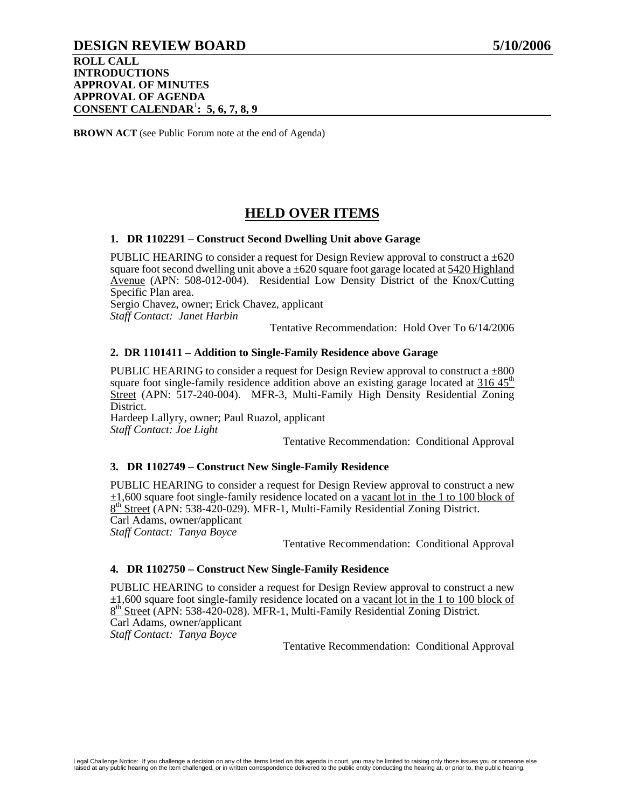## **DESIGN REVIEW BOARD 5/10/2006**

**ROLL CALL INTRODUCTIONS APPROVAL OF MINUTES APPROVAL OF AGENDA CONSENT CALENDAR**<sup>1</sup> **: 5, 6, 7, 8, 9**

**BROWN ACT** (see Public Forum note at the end of Agenda)

# **HELD OVER ITEMS**

#### **1. DR 1102291 – Construct Second Dwelling Unit above Garage**

PUBLIC HEARING to consider a request for Design Review approval to construct a  $\pm 620$ square foot second dwelling unit above a  $\pm 620$  square foot garage located at  $\frac{5420 \text{ Highland}}{200 \text{ highland}}$ Avenue (APN: 508-012-004). Residential Low Density District of the Knox/Cutting Specific Plan area.

Sergio Chavez, owner; Erick Chavez, applicant *Staff Contact: Janet Harbin* 

Tentative Recommendation: Hold Over To 6/14/2006

#### **2. DR 1101411 – Addition to Single-Family Residence above Garage**

PUBLIC HEARING to consider a request for Design Review approval to construct a  $\pm 800$ square foot single-family residence addition above an existing garage located at 316  $45<sup>th</sup>$ Street (APN: 517-240-004). MFR-3, Multi-Family High Density Residential Zoning District.

Hardeep Lallyry, owner; Paul Ruazol, applicant *Staff Contact: Joe Light* 

Tentative Recommendation: Conditional Approval

#### **3. DR 1102749 – Construct New Single-Family Residence**

PUBLIC HEARING to consider a request for Design Review approval to construct a new ±1,600 square foot single-family residence located on a vacant lot in the 1 to 100 block of 8<sup>th</sup> Street (APN: 538-420-029). MFR-1, Multi-Family Residential Zoning District. Carl Adams, owner/applicant *Staff Contact: Tanya Boyce* 

Tentative Recommendation: Conditional Approval

#### **4. DR 1102750 – Construct New Single-Family Residence**

PUBLIC HEARING to consider a request for Design Review approval to construct a new  $\pm 1,600$  square foot single-family residence located on a vacant lot in the 1 to 100 block of  $8<sup>th</sup>$  Street (APN: 538-420-028). MFR-1, Multi-Family Residential Zoning District. Carl Adams, owner/applicant *Staff Contact: Tanya Boyce*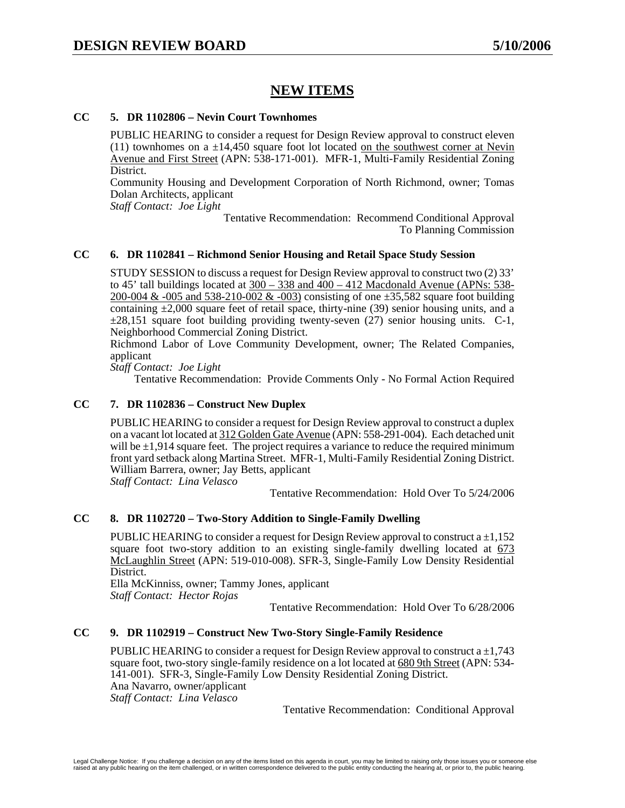# **NEW ITEMS**

#### **CC 5. DR 1102806 – Nevin Court Townhomes**

PUBLIC HEARING to consider a request for Design Review approval to construct eleven  $(11)$  townhomes on a  $\pm 14,450$  square foot lot located on the southwest corner at Nevin Avenue and First Street (APN: 538-171-001). MFR-1, Multi-Family Residential Zoning District.

Community Housing and Development Corporation of North Richmond, owner; Tomas Dolan Architects, applicant

*Staff Contact: Joe Light* 

Tentative Recommendation: Recommend Conditional Approval To Planning Commission

#### **CC 6. DR 1102841 – Richmond Senior Housing and Retail Space Study Session**

STUDY SESSION to discuss a request for Design Review approval to construct two (2) 33' to 45' tall buildings located at  $300 - 338$  and  $400 - 412$  Macdonald Avenue (APNs: 538-200-004 & -005 and 538-210-002 & -003) consisting of one  $\pm$ 35,582 square foot building containing  $\pm 2,000$  square feet of retail space, thirty-nine (39) senior housing units, and a  $\pm 28.151$  square foot building providing twenty-seven (27) senior housing units. C-1, Neighborhood Commercial Zoning District.

Richmond Labor of Love Community Development, owner; The Related Companies, applicant

*Staff Contact: Joe Light* 

Tentative Recommendation: Provide Comments Only - No Formal Action Required

#### **CC 7. DR 1102836 – Construct New Duplex**

PUBLIC HEARING to consider a request for Design Review approval to construct a duplex on a vacant lot located at 312 Golden Gate Avenue (APN: 558-291-004). Each detached unit will be  $\pm 1.914$  square feet. The project requires a variance to reduce the required minimum front yard setback along Martina Street. MFR-1, Multi-Family Residential Zoning District. William Barrera, owner; Jay Betts, applicant

*Staff Contact: Lina Velasco* 

Tentative Recommendation: Hold Over To 5/24/2006

#### **CC 8. DR 1102720 – Two-Story Addition to Single-Family Dwelling**

PUBLIC HEARING to consider a request for Design Review approval to construct  $a \pm 1,152$ square foot two-story addition to an existing single-family dwelling located at 673 McLaughlin Street (APN: 519-010-008). SFR-3, Single-Family Low Density Residential District.

Ella McKinniss, owner; Tammy Jones, applicant *Staff Contact: Hector Rojas* 

Tentative Recommendation: Hold Over To 6/28/2006

#### **CC 9. DR 1102919 – Construct New Two-Story Single-Family Residence**

PUBLIC HEARING to consider a request for Design Review approval to construct  $a \pm 1,743$ square foot, two-story single-family residence on a lot located at 680 9th Street (APN: 534- 141-001). SFR-3, Single-Family Low Density Residential Zoning District. Ana Navarro, owner/applicant

*Staff Contact: Lina Velasco*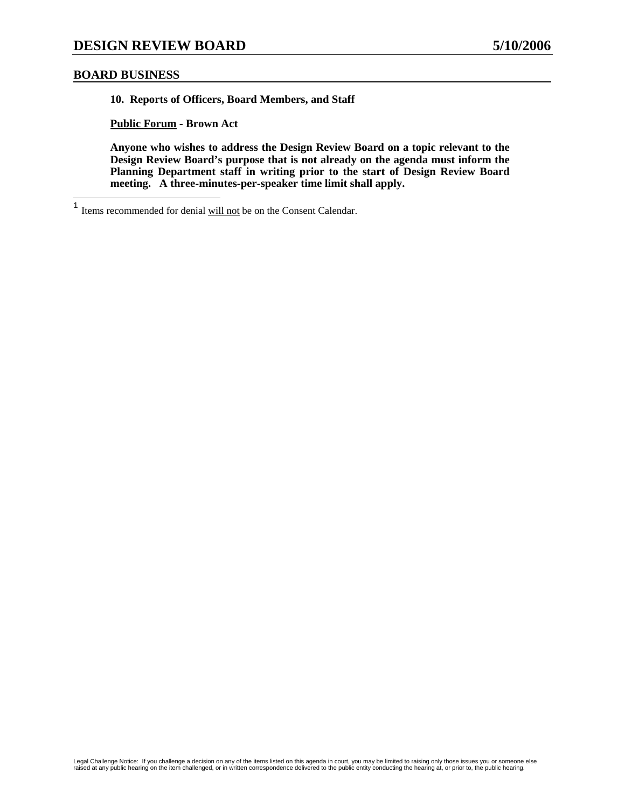#### **BOARD BUSINESS**

**10. Reports of Officers, Board Members, and Staff** 

**Public Forum - Brown Act** 

 $\mathbf{1}$ Items recommended for denial will not be on the Consent Calendar.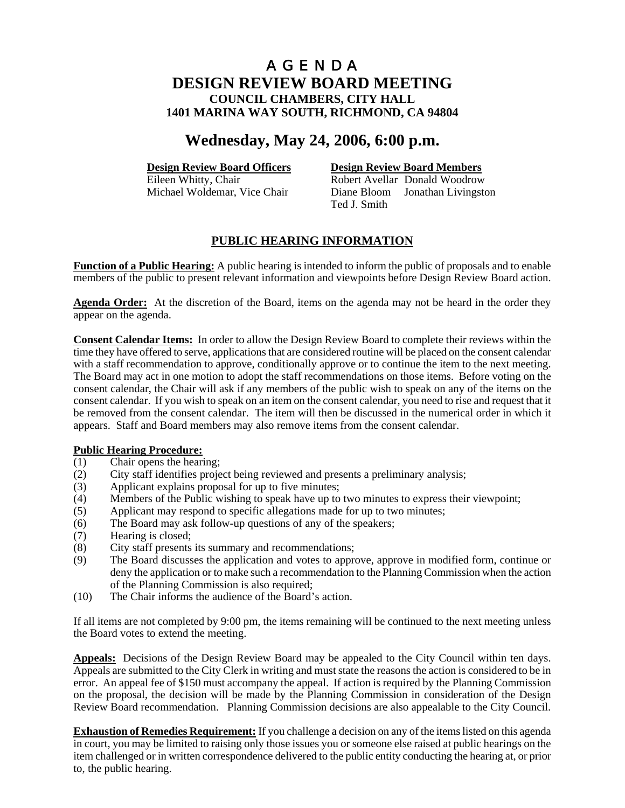# **Wednesday, May 24, 2006, 6:00 p.m.**

**Design Review Board Officers**<br> **Design Review Board Members**<br> **Robert Avellar Donald Woodrow** Robert Avellar Donald Woodrow Michael Woldemar, Vice Chair Diane Bloom Jonathan Livingston Ted J. Smith

# **PUBLIC HEARING INFORMATION**

**Function of a Public Hearing:** A public hearing is intended to inform the public of proposals and to enable members of the public to present relevant information and viewpoints before Design Review Board action.

**Agenda Order:** At the discretion of the Board, items on the agenda may not be heard in the order they appear on the agenda.

**Consent Calendar Items:** In order to allow the Design Review Board to complete their reviews within the time they have offered to serve, applications that are considered routine will be placed on the consent calendar with a staff recommendation to approve, conditionally approve or to continue the item to the next meeting. The Board may act in one motion to adopt the staff recommendations on those items. Before voting on the consent calendar, the Chair will ask if any members of the public wish to speak on any of the items on the consent calendar. If you wish to speak on an item on the consent calendar, you need to rise and request that it be removed from the consent calendar. The item will then be discussed in the numerical order in which it appears. Staff and Board members may also remove items from the consent calendar.

#### **Public Hearing Procedure:**

- (1) Chair opens the hearing;
- (2) City staff identifies project being reviewed and presents a preliminary analysis;
- (3) Applicant explains proposal for up to five minutes;
- (4) Members of the Public wishing to speak have up to two minutes to express their viewpoint;
- (5) Applicant may respond to specific allegations made for up to two minutes;
- (6) The Board may ask follow-up questions of any of the speakers;
- (7) Hearing is closed;
- (8) City staff presents its summary and recommendations;
- (9) The Board discusses the application and votes to approve, approve in modified form, continue or deny the application or to make such a recommendation to the Planning Commission when the action of the Planning Commission is also required;
- (10) The Chair informs the audience of the Board's action.

If all items are not completed by 9:00 pm, the items remaining will be continued to the next meeting unless the Board votes to extend the meeting.

**Appeals:** Decisions of the Design Review Board may be appealed to the City Council within ten days. Appeals are submitted to the City Clerk in writing and must state the reasons the action is considered to be in error. An appeal fee of \$150 must accompany the appeal. If action is required by the Planning Commission on the proposal, the decision will be made by the Planning Commission in consideration of the Design Review Board recommendation. Planning Commission decisions are also appealable to the City Council.

**Exhaustion of Remedies Requirement:** If you challenge a decision on any of the items listed on this agenda in court, you may be limited to raising only those issues you or someone else raised at public hearings on the item challenged or in written correspondence delivered to the public entity conducting the hearing at, or prior to, the public hearing.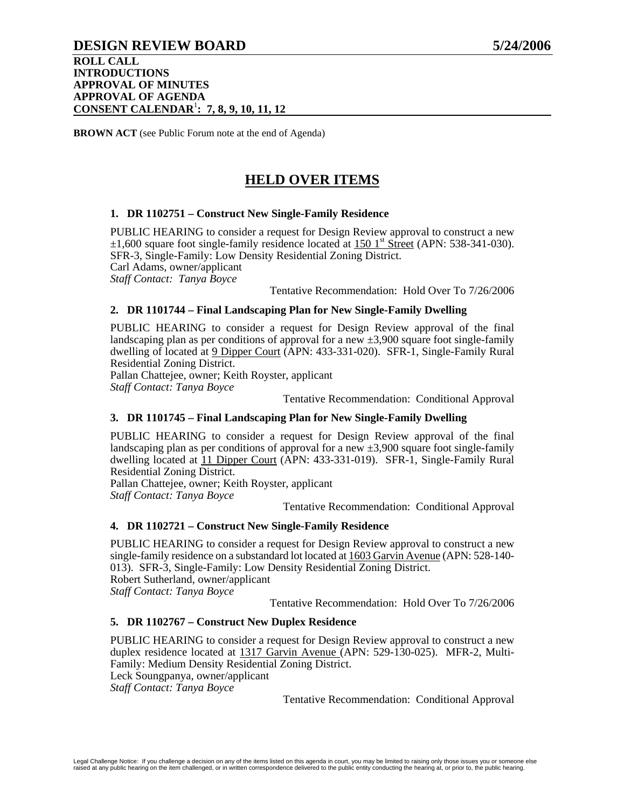## **DESIGN REVIEW BOARD 5/24/2006**

#### **ROLL CALL INTRODUCTIONS APPROVAL OF MINUTES APPROVAL OF AGENDA CONSENT CALENDAR**<sup>1</sup> **: 7, 8, 9, 10, 11, 12**

**BROWN ACT** (see Public Forum note at the end of Agenda)

# **HELD OVER ITEMS**

#### **1. DR 1102751 – Construct New Single-Family Residence**

PUBLIC HEARING to consider a request for Design Review approval to construct a new  $\pm 1,600$  square foot single-family residence located at 150 1<sup>st</sup> Street (APN: 538-341-030). SFR-3, Single-Family: Low Density Residential Zoning District. Carl Adams, owner/applicant *Staff Contact: Tanya Boyce*  Tentative Recommendation: Hold Over To 7/26/2006

# **2. DR 1101744 – Final Landscaping Plan for New Single-Family Dwelling**

PUBLIC HEARING to consider a request for Design Review approval of the final landscaping plan as per conditions of approval for a new  $\pm 3,900$  square foot single-family dwelling of located at 9 Dipper Court (APN: 433-331-020). SFR-1, Single-Family Rural Residential Zoning District.

Pallan Chattejee, owner; Keith Royster, applicant

*Staff Contact: Tanya Boyce* 

Tentative Recommendation: Conditional Approval

#### **3. DR 1101745 – Final Landscaping Plan for New Single-Family Dwelling**

PUBLIC HEARING to consider a request for Design Review approval of the final landscaping plan as per conditions of approval for a new  $\pm 3,900$  square foot single-family dwelling located at 11 Dipper Court (APN: 433-331-019). SFR-1, Single-Family Rural Residential Zoning District.

Pallan Chattejee, owner; Keith Royster, applicant

*Staff Contact: Tanya Boyce* 

Tentative Recommendation: Conditional Approval

#### **4. DR 1102721 – Construct New Single-Family Residence**

PUBLIC HEARING to consider a request for Design Review approval to construct a new single-family residence on a substandard lot located at 1603 Garvin Avenue (APN: 528-140- 013). SFR-3, Single-Family: Low Density Residential Zoning District. Robert Sutherland, owner/applicant *Staff Contact: Tanya Boyce* 

Tentative Recommendation: Hold Over To 7/26/2006

#### **5. DR 1102767 – Construct New Duplex Residence**

PUBLIC HEARING to consider a request for Design Review approval to construct a new duplex residence located at 1317 Garvin Avenue (APN: 529-130-025). MFR-2, Multi-Family: Medium Density Residential Zoning District. Leck Soungpanya, owner/applicant

*Staff Contact: Tanya Boyce*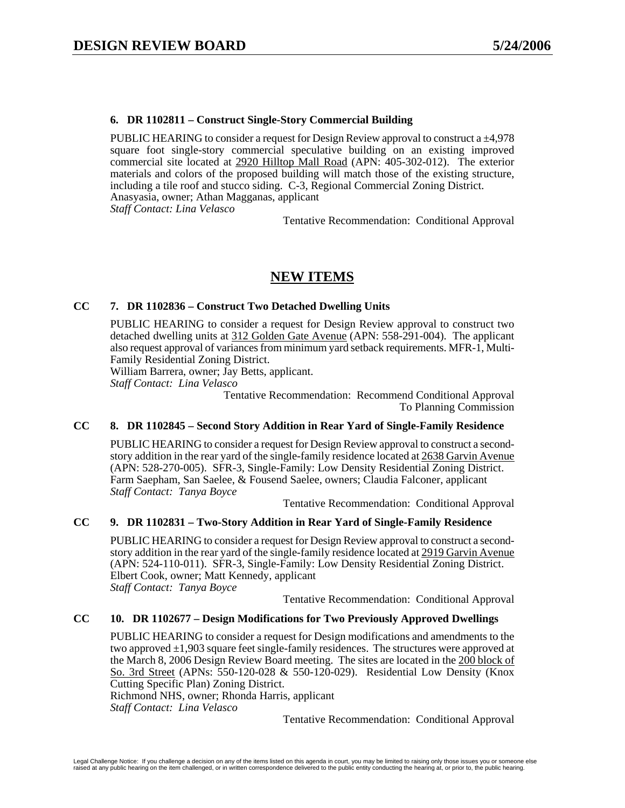#### **6. DR 1102811 – Construct Single-Story Commercial Building**

PUBLIC HEARING to consider a request for Design Review approval to construct a ±4,978 square foot single-story commercial speculative building on an existing improved commercial site located at 2920 Hilltop Mall Road (APN: 405-302-012). The exterior materials and colors of the proposed building will match those of the existing structure, including a tile roof and stucco siding. C-3, Regional Commercial Zoning District. Anasyasia, owner; Athan Magganas, applicant

*Staff Contact: Lina Velasco* 

Tentative Recommendation: Conditional Approval

# **NEW ITEMS**

#### **CC 7. DR 1102836 – Construct Two Detached Dwelling Units**

PUBLIC HEARING to consider a request for Design Review approval to construct two detached dwelling units at 312 Golden Gate Avenue (APN: 558-291-004). The applicant also request approval of variances from minimum yard setback requirements. MFR-1, Multi-Family Residential Zoning District.

William Barrera, owner; Jay Betts, applicant.

*Staff Contact: Lina Velasco* 

Tentative Recommendation: Recommend Conditional Approval To Planning Commission

### **CC 8. DR 1102845 – Second Story Addition in Rear Yard of Single-Family Residence**

PUBLIC HEARING to consider a request for Design Review approval to construct a secondstory addition in the rear yard of the single-family residence located at 2638 Garvin Avenue (APN: 528-270-005). SFR-3, Single-Family: Low Density Residential Zoning District. Farm Saepham, San Saelee, & Fousend Saelee, owners; Claudia Falconer, applicant *Staff Contact: Tanya Boyce* 

Tentative Recommendation: Conditional Approval

#### **CC 9. DR 1102831 – Two-Story Addition in Rear Yard of Single-Family Residence**

PUBLIC HEARING to consider a request for Design Review approval to construct a secondstory addition in the rear yard of the single-family residence located at 2919 Garvin Avenue (APN: 524-110-011). SFR-3, Single-Family: Low Density Residential Zoning District. Elbert Cook, owner; Matt Kennedy, applicant *Staff Contact: Tanya Boyce* 

Tentative Recommendation: Conditional Approval

#### **CC 10. DR 1102677 – Design Modifications for Two Previously Approved Dwellings**

PUBLIC HEARING to consider a request for Design modifications and amendments to the two approved  $\pm 1,903$  square feet single-family residences. The structures were approved at the March 8, 2006 Design Review Board meeting. The sites are located in the 200 block of So. 3rd Street (APNs: 550-120-028 & 550-120-029). Residential Low Density (Knox Cutting Specific Plan) Zoning District.

Richmond NHS, owner; Rhonda Harris, applicant

*Staff Contact: Lina Velasco*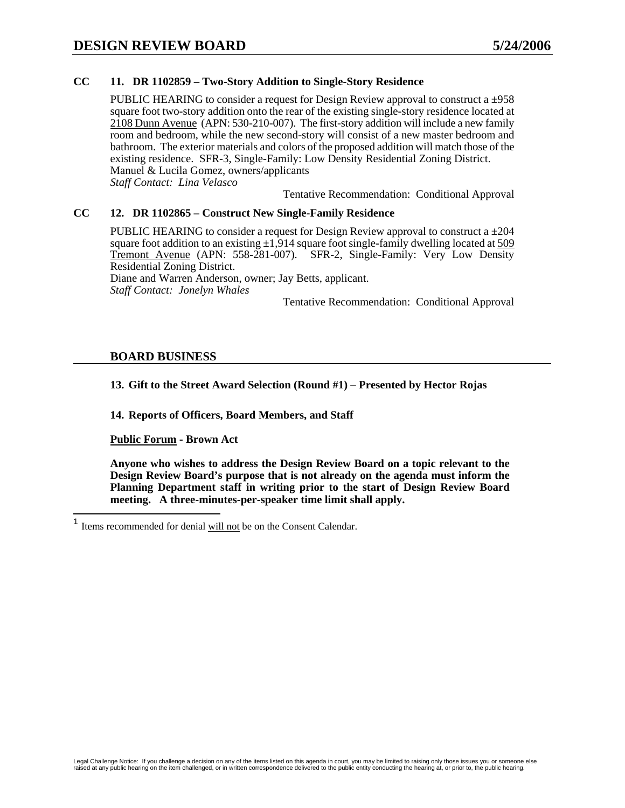### **CC 11. DR 1102859 – Two-Story Addition to Single-Story Residence**

PUBLIC HEARING to consider a request for Design Review approval to construct a  $\pm$ 958 square foot two-story addition onto the rear of the existing single-story residence located at 2108 Dunn Avenue (APN: 530-210-007). The first-story addition will include a new family room and bedroom, while the new second-story will consist of a new master bedroom and bathroom. The exterior materials and colors of the proposed addition will match those of the existing residence. SFR-3, Single-Family: Low Density Residential Zoning District. Manuel & Lucila Gomez, owners/applicants *Staff Contact: Lina Velasco* 

Tentative Recommendation: Conditional Approval

#### **CC 12. DR 1102865 – Construct New Single-Family Residence**

PUBLIC HEARING to consider a request for Design Review approval to construct a  $\pm 204$ square foot addition to an existing  $\pm 1.914$  square foot single-family dwelling located at 509 Tremont Avenue (APN: 558-281-007). SFR-2, Single-Family: Very Low Density Residential Zoning District.

Diane and Warren Anderson, owner; Jay Betts, applicant. *Staff Contact: Jonelyn Whales* 

Tentative Recommendation: Conditional Approval

### **BOARD BUSINESS**

**13. Gift to the Street Award Selection (Round #1) – Presented by Hector Rojas** 

**14. Reports of Officers, Board Members, and Staff** 

**Public Forum - Brown Act** 

 $\mathbf{1}$ Items recommended for denial will not be on the Consent Calendar.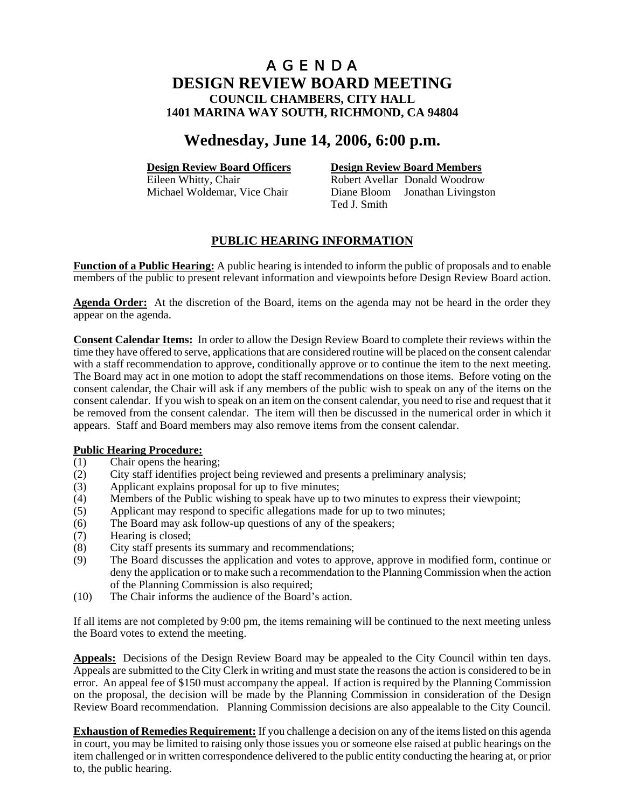# **Wednesday, June 14, 2006, 6:00 p.m.**

**Design Review Board Officers**<br> **Design Review Board Members**<br> **Robert Avellar Donald Woodrow** Robert Avellar Donald Woodrow Michael Woldemar, Vice Chair Diane Bloom Jonathan Livingston Ted J. Smith

# **PUBLIC HEARING INFORMATION**

**Function of a Public Hearing:** A public hearing is intended to inform the public of proposals and to enable members of the public to present relevant information and viewpoints before Design Review Board action.

**Agenda Order:** At the discretion of the Board, items on the agenda may not be heard in the order they appear on the agenda.

**Consent Calendar Items:** In order to allow the Design Review Board to complete their reviews within the time they have offered to serve, applications that are considered routine will be placed on the consent calendar with a staff recommendation to approve, conditionally approve or to continue the item to the next meeting. The Board may act in one motion to adopt the staff recommendations on those items. Before voting on the consent calendar, the Chair will ask if any members of the public wish to speak on any of the items on the consent calendar. If you wish to speak on an item on the consent calendar, you need to rise and request that it be removed from the consent calendar. The item will then be discussed in the numerical order in which it appears. Staff and Board members may also remove items from the consent calendar.

#### **Public Hearing Procedure:**

- (1) Chair opens the hearing;
- (2) City staff identifies project being reviewed and presents a preliminary analysis;
- (3) Applicant explains proposal for up to five minutes;
- (4) Members of the Public wishing to speak have up to two minutes to express their viewpoint;
- (5) Applicant may respond to specific allegations made for up to two minutes;
- (6) The Board may ask follow-up questions of any of the speakers;
- (7) Hearing is closed;
- (8) City staff presents its summary and recommendations;
- (9) The Board discusses the application and votes to approve, approve in modified form, continue or deny the application or to make such a recommendation to the Planning Commission when the action of the Planning Commission is also required;
- (10) The Chair informs the audience of the Board's action.

If all items are not completed by 9:00 pm, the items remaining will be continued to the next meeting unless the Board votes to extend the meeting.

**Appeals:** Decisions of the Design Review Board may be appealed to the City Council within ten days. Appeals are submitted to the City Clerk in writing and must state the reasons the action is considered to be in error. An appeal fee of \$150 must accompany the appeal. If action is required by the Planning Commission on the proposal, the decision will be made by the Planning Commission in consideration of the Design Review Board recommendation. Planning Commission decisions are also appealable to the City Council.

**Exhaustion of Remedies Requirement:** If you challenge a decision on any of the items listed on this agenda in court, you may be limited to raising only those issues you or someone else raised at public hearings on the item challenged or in written correspondence delivered to the public entity conducting the hearing at, or prior to, the public hearing.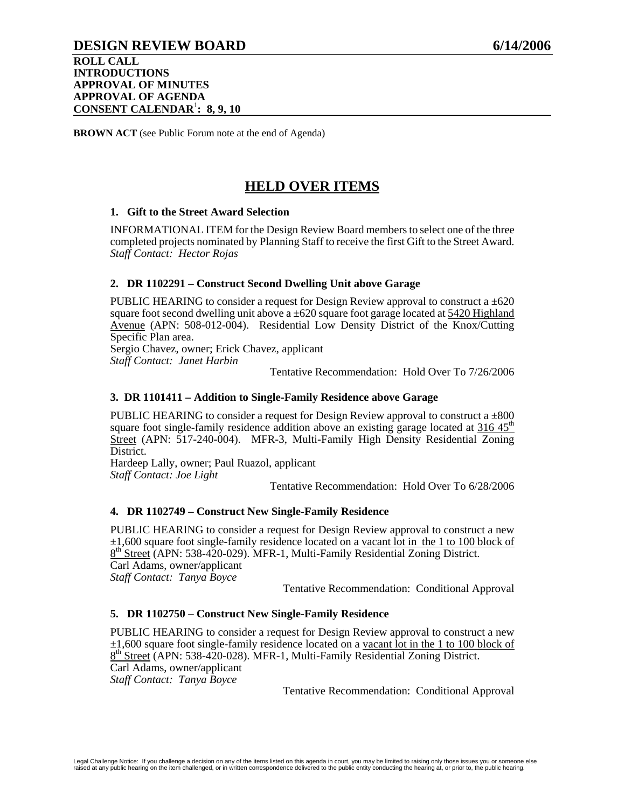# **DESIGN REVIEW BOARD 6/14/2006**

**ROLL CALL INTRODUCTIONS APPROVAL OF MINUTES APPROVAL OF AGENDA CONSENT CALENDAR**<sup>1</sup> **: 8, 9, 10**

**BROWN ACT** (see Public Forum note at the end of Agenda)

# **HELD OVER ITEMS**

### **1. Gift to the Street Award Selection**

INFORMATIONAL ITEM for the Design Review Board members to select one of the three completed projects nominated by Planning Staff to receive the first Gift to the Street Award. *Staff Contact: Hector Rojas*

## **2. DR 1102291 – Construct Second Dwelling Unit above Garage**

PUBLIC HEARING to consider a request for Design Review approval to construct a  $\pm 620$ square foot second dwelling unit above a  $\pm 620$  square foot garage located at  $\frac{5420 \text{ Highland}}{200 \text{ highland}}$ Avenue (APN: 508-012-004). Residential Low Density District of the Knox/Cutting Specific Plan area.

Sergio Chavez, owner; Erick Chavez, applicant *Staff Contact: Janet Harbin* 

Tentative Recommendation: Hold Over To 7/26/2006

#### **3. DR 1101411 – Addition to Single-Family Residence above Garage**

PUBLIC HEARING to consider a request for Design Review approval to construct a  $\pm 800$ square foot single-family residence addition above an existing garage located at  $316.45<sup>th</sup>$ Street (APN: 517-240-004). MFR-3, Multi-Family High Density Residential Zoning District.

Hardeep Lally, owner; Paul Ruazol, applicant *Staff Contact: Joe Light* 

Tentative Recommendation: Hold Over To 6/28/2006

#### **4. DR 1102749 – Construct New Single-Family Residence**

PUBLIC HEARING to consider a request for Design Review approval to construct a new  $\pm 1,600$  square foot single-family residence located on a vacant lot in the 1 to 100 block of 8<sup>th</sup> Street (APN: 538-420-029). MFR-1, Multi-Family Residential Zoning District. Carl Adams, owner/applicant

*Staff Contact: Tanya Boyce* 

Tentative Recommendation: Conditional Approval

#### **5. DR 1102750 – Construct New Single-Family Residence**

PUBLIC HEARING to consider a request for Design Review approval to construct a new  $\pm 1,600$  square foot single-family residence located on a vacant lot in the 1 to 100 block of 8<sup>th</sup> Street (APN: 538-420-028). MFR-1, Multi-Family Residential Zoning District. Carl Adams, owner/applicant

*Staff Contact: Tanya Boyce*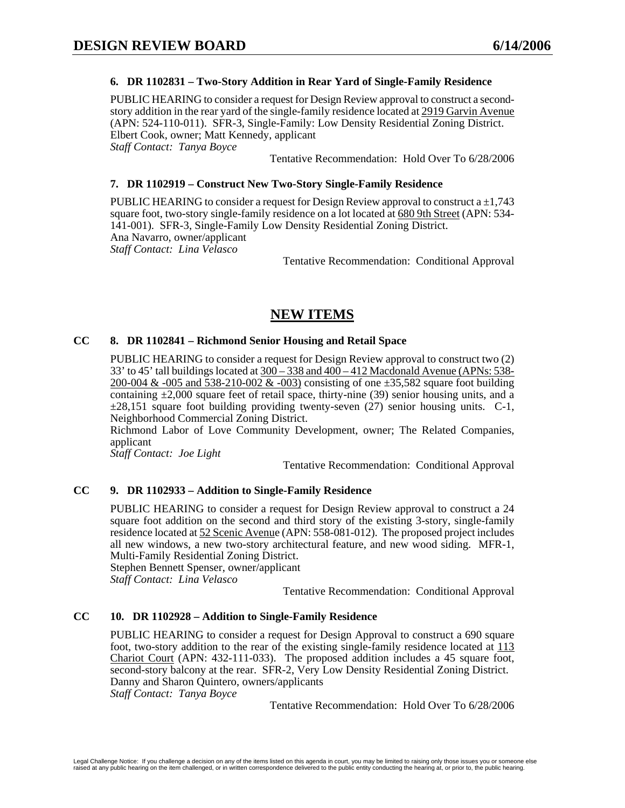### **6. DR 1102831 – Two-Story Addition in Rear Yard of Single-Family Residence**

PUBLIC HEARING to consider a request for Design Review approval to construct a secondstory addition in the rear yard of the single-family residence located at 2919 Garvin Avenue (APN: 524-110-011). SFR-3, Single-Family: Low Density Residential Zoning District. Elbert Cook, owner; Matt Kennedy, applicant *Staff Contact: Tanya Boyce* 

Tentative Recommendation: Hold Over To 6/28/2006

### **7. DR 1102919 – Construct New Two-Story Single-Family Residence**

PUBLIC HEARING to consider a request for Design Review approval to construct a  $\pm 1,743$ square foot, two-story single-family residence on a lot located at 680 9th Street (APN: 534- 141-001). SFR-3, Single-Family Low Density Residential Zoning District. Ana Navarro, owner/applicant *Staff Contact: Lina Velasco* 

Tentative Recommendation: Conditional Approval

# **NEW ITEMS**

### **CC 8. DR 1102841 – Richmond Senior Housing and Retail Space**

PUBLIC HEARING to consider a request for Design Review approval to construct two (2) 33' to 45' tall buildings located at 300 – 338 and 400 – 412 Macdonald Avenue (APNs: 538- 200-004 & -005 and 538-210-002 & -003) consisting of one  $\pm$ 35,582 square foot building containing  $\pm 2,000$  square feet of retail space, thirty-nine (39) senior housing units, and a  $\pm 28.151$  square foot building providing twenty-seven (27) senior housing units. C-1, Neighborhood Commercial Zoning District.

Richmond Labor of Love Community Development, owner; The Related Companies, applicant

*Staff Contact: Joe Light* 

Tentative Recommendation: Conditional Approval

## **CC 9. DR 1102933 – Addition to Single-Family Residence**

PUBLIC HEARING to consider a request for Design Review approval to construct a 24 square foot addition on the second and third story of the existing 3-story, single-family residence located at 52 Scenic Avenue (APN: 558-081-012). The proposed project includes all new windows, a new two-story architectural feature, and new wood siding. MFR-1, Multi-Family Residential Zoning District.

Stephen Bennett Spenser, owner/applicant

*Staff Contact: Lina Velasco* 

Tentative Recommendation: Conditional Approval

#### **CC 10. DR 1102928 – Addition to Single-Family Residence**

PUBLIC HEARING to consider a request for Design Approval to construct a 690 square foot, two-story addition to the rear of the existing single-family residence located at 113 Chariot Court (APN: 432-111-033). The proposed addition includes a 45 square foot, second-story balcony at the rear. SFR-2, Very Low Density Residential Zoning District. Danny and Sharon Quintero, owners/applicants

*Staff Contact: Tanya Boyce* 

Tentative Recommendation: Hold Over To 6/28/2006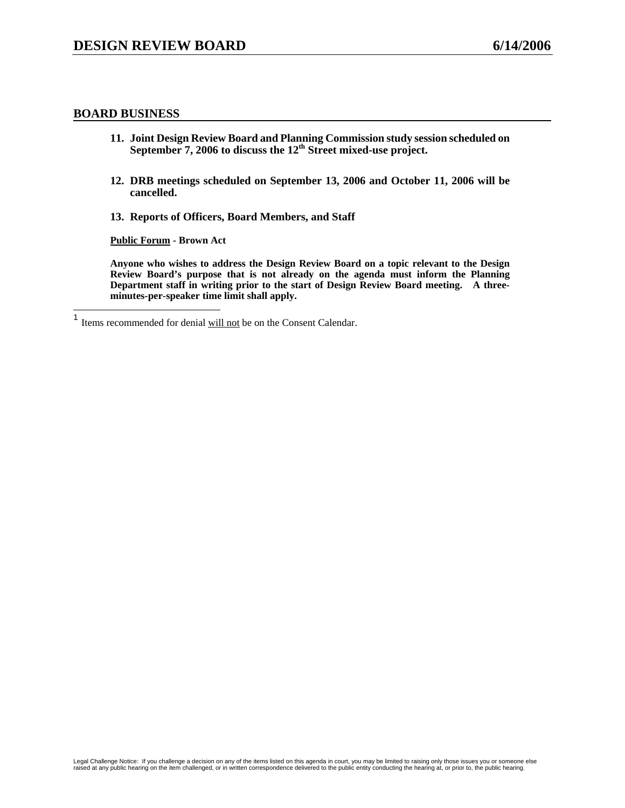### **BOARD BUSINESS**

 $\overline{\phantom{a}}$ 

- **11. Joint Design Review Board and Planning Commission study session scheduled on September 7, 2006 to discuss the 12th Street mixed-use project.**
- **12. DRB meetings scheduled on September 13, 2006 and October 11, 2006 will be cancelled.**
- **13. Reports of Officers, Board Members, and Staff**

**Public Forum - Brown Act** 

**Anyone who wishes to address the Design Review Board on a topic relevant to the Design Review Board's purpose that is not already on the agenda must inform the Planning Department staff in writing prior to the start of Design Review Board meeting. A threeminutes-per-speaker time limit shall apply.** 

 $<sup>1</sup>$  Items recommended for denial will not be on the Consent Calendar.</sup>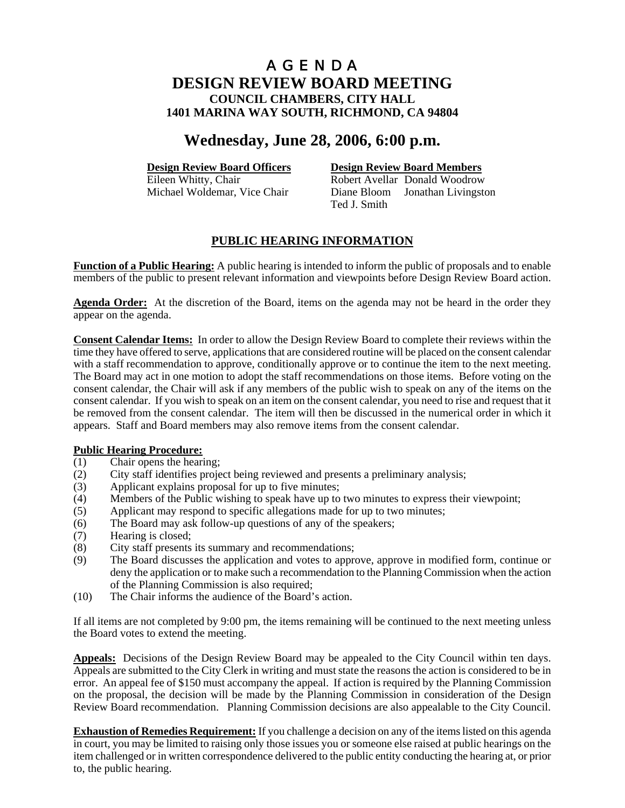# **Wednesday, June 28, 2006, 6:00 p.m.**

**Design Review Board Officers**<br> **Design Review Board Members**<br> **Robert Avellar Donald Woodrow** Robert Avellar Donald Woodrow Michael Woldemar, Vice Chair Diane Bloom Jonathan Livingston Ted J. Smith

# **PUBLIC HEARING INFORMATION**

**Function of a Public Hearing:** A public hearing is intended to inform the public of proposals and to enable members of the public to present relevant information and viewpoints before Design Review Board action.

**Agenda Order:** At the discretion of the Board, items on the agenda may not be heard in the order they appear on the agenda.

**Consent Calendar Items:** In order to allow the Design Review Board to complete their reviews within the time they have offered to serve, applications that are considered routine will be placed on the consent calendar with a staff recommendation to approve, conditionally approve or to continue the item to the next meeting. The Board may act in one motion to adopt the staff recommendations on those items. Before voting on the consent calendar, the Chair will ask if any members of the public wish to speak on any of the items on the consent calendar. If you wish to speak on an item on the consent calendar, you need to rise and request that it be removed from the consent calendar. The item will then be discussed in the numerical order in which it appears. Staff and Board members may also remove items from the consent calendar.

## **Public Hearing Procedure:**

- (1) Chair opens the hearing;
- (2) City staff identifies project being reviewed and presents a preliminary analysis;
- (3) Applicant explains proposal for up to five minutes;
- (4) Members of the Public wishing to speak have up to two minutes to express their viewpoint;
- (5) Applicant may respond to specific allegations made for up to two minutes;
- (6) The Board may ask follow-up questions of any of the speakers;
- (7) Hearing is closed;
- (8) City staff presents its summary and recommendations;
- (9) The Board discusses the application and votes to approve, approve in modified form, continue or deny the application or to make such a recommendation to the Planning Commission when the action of the Planning Commission is also required;
- (10) The Chair informs the audience of the Board's action.

If all items are not completed by 9:00 pm, the items remaining will be continued to the next meeting unless the Board votes to extend the meeting.

**Appeals:** Decisions of the Design Review Board may be appealed to the City Council within ten days. Appeals are submitted to the City Clerk in writing and must state the reasons the action is considered to be in error. An appeal fee of \$150 must accompany the appeal. If action is required by the Planning Commission on the proposal, the decision will be made by the Planning Commission in consideration of the Design Review Board recommendation. Planning Commission decisions are also appealable to the City Council.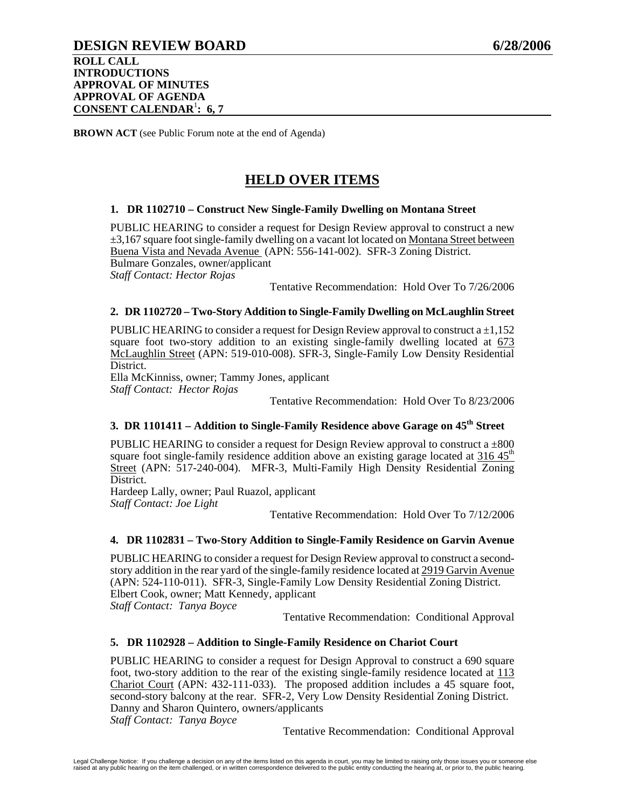**BROWN ACT** (see Public Forum note at the end of Agenda)

# **HELD OVER ITEMS**

### **1. DR 1102710 – Construct New Single-Family Dwelling on Montana Street**

PUBLIC HEARING to consider a request for Design Review approval to construct a new  $\pm$ 3,167 square foot single-family dwelling on a vacant lot located on Montana Street between Buena Vista and Nevada Avenue (APN: 556-141-002). SFR-3 Zoning District. Bulmare Gonzales, owner/applicant

*Staff Contact: Hector Rojas* 

Tentative Recommendation: Hold Over To 7/26/2006

### **2. DR 1102720 – Two-Story Addition to Single-Family Dwelling on McLaughlin Street**

PUBLIC HEARING to consider a request for Design Review approval to construct  $a \pm 1,152$ square foot two-story addition to an existing single-family dwelling located at 673 McLaughlin Street (APN: 519-010-008). SFR-3, Single-Family Low Density Residential District.

Ella McKinniss, owner; Tammy Jones, applicant *Staff Contact: Hector Rojas* 

Tentative Recommendation: Hold Over To 8/23/2006

# **3. DR 1101411 – Addition to Single-Family Residence above Garage on 45<sup>th</sup> Street**

PUBLIC HEARING to consider a request for Design Review approval to construct  $a \pm 800$ square foot single-family residence addition above an existing garage located at  $316.45<sup>th</sup>$ Street (APN: 517-240-004). MFR-3, Multi-Family High Density Residential Zoning District.

Hardeep Lally, owner; Paul Ruazol, applicant *Staff Contact: Joe Light* 

Tentative Recommendation: Hold Over To 7/12/2006

#### **4. DR 1102831 – Two-Story Addition to Single-Family Residence on Garvin Avenue**

PUBLIC HEARING to consider a request for Design Review approval to construct a secondstory addition in the rear yard of the single-family residence located at 2919 Garvin Avenue (APN: 524-110-011). SFR-3, Single-Family Low Density Residential Zoning District. Elbert Cook, owner; Matt Kennedy, applicant *Staff Contact: Tanya Boyce* 

Tentative Recommendation: Conditional Approval

## **5. DR 1102928 – Addition to Single-Family Residence on Chariot Court**

PUBLIC HEARING to consider a request for Design Approval to construct a 690 square foot, two-story addition to the rear of the existing single-family residence located at 113 Chariot Court (APN: 432-111-033). The proposed addition includes a 45 square foot, second-story balcony at the rear. SFR-2, Very Low Density Residential Zoning District. Danny and Sharon Quintero, owners/applicants *Staff Contact: Tanya Boyce*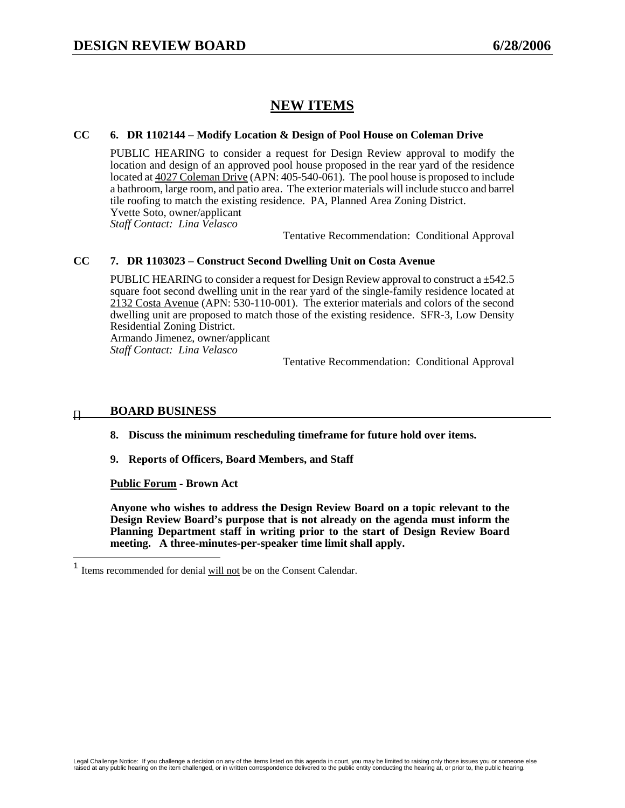# **NEW ITEMS**

# **CC 6. DR 1102144 – Modify Location & Design of Pool House on Coleman Drive**

PUBLIC HEARING to consider a request for Design Review approval to modify the location and design of an approved pool house proposed in the rear yard of the residence located at 4027 Coleman Drive (APN: 405-540-061). The pool house is proposed to include a bathroom, large room, and patio area. The exterior materials will include stucco and barrel tile roofing to match the existing residence. PA, Planned Area Zoning District. Yvette Soto, owner/applicant *Staff Contact: Lina Velasco* 

Tentative Recommendation: Conditional Approval

## **CC 7. DR 1103023 – Construct Second Dwelling Unit on Costa Avenue**

PUBLIC HEARING to consider a request for Design Review approval to construct a ±542.5 square foot second dwelling unit in the rear yard of the single-family residence located at 2132 Costa Avenue (APN: 530-110-001). The exterior materials and colors of the second dwelling unit are proposed to match those of the existing residence. SFR-3, Low Density Residential Zoning District. Armando Jimenez, owner/applicant

*Staff Contact: Lina Velasco* 

Tentative Recommendation: Conditional Approval

# **BOARD BUSINESS** []

**8. Discuss the minimum rescheduling timeframe for future hold over items.** 

**9. Reports of Officers, Board Members, and Staff** 

**Public Forum - Brown Act** 

**Anyone who wishes to address the Design Review Board on a topic relevant to the Design Review Board's purpose that is not already on the agenda must inform the Planning Department staff in writing prior to the start of Design Review Board meeting. A three-minutes-per-speaker time limit shall apply.** 

 $\mathbf{1}$ Items recommended for denial will not be on the Consent Calendar.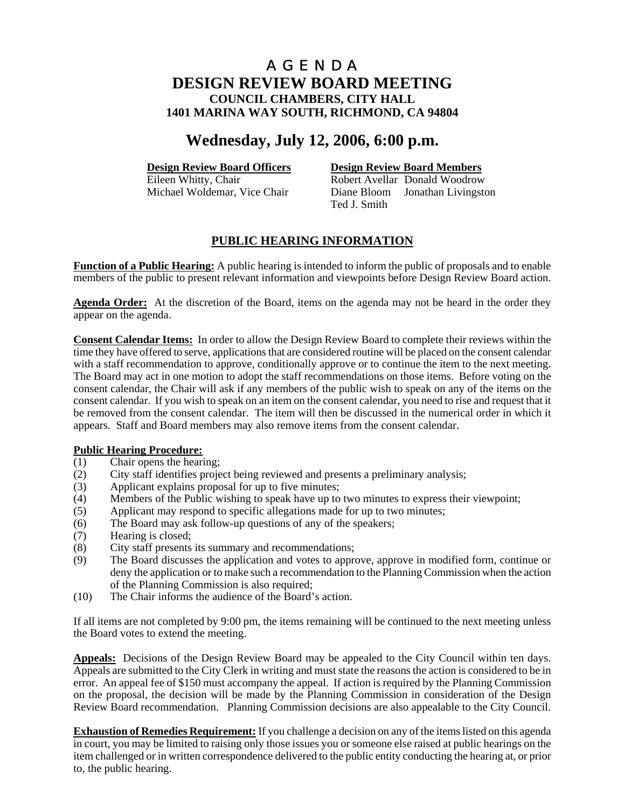# **Wednesday, July 12, 2006, 6:00 p.m.**

**Design Review Board Officers**<br> **Design Review Board Members**<br> **Robert Avellar Donald Woodrow** Robert Avellar Donald Woodrow Michael Woldemar, Vice Chair Diane Bloom Jonathan Livingston Ted J. Smith

# **PUBLIC HEARING INFORMATION**

**Function of a Public Hearing:** A public hearing is intended to inform the public of proposals and to enable members of the public to present relevant information and viewpoints before Design Review Board action.

**Agenda Order:** At the discretion of the Board, items on the agenda may not be heard in the order they appear on the agenda.

**Consent Calendar Items:** In order to allow the Design Review Board to complete their reviews within the time they have offered to serve, applications that are considered routine will be placed on the consent calendar with a staff recommendation to approve, conditionally approve or to continue the item to the next meeting. The Board may act in one motion to adopt the staff recommendations on those items. Before voting on the consent calendar, the Chair will ask if any members of the public wish to speak on any of the items on the consent calendar. If you wish to speak on an item on the consent calendar, you need to rise and request that it be removed from the consent calendar. The item will then be discussed in the numerical order in which it appears. Staff and Board members may also remove items from the consent calendar.

## **Public Hearing Procedure:**

- (1) Chair opens the hearing;
- (2) City staff identifies project being reviewed and presents a preliminary analysis;
- (3) Applicant explains proposal for up to five minutes;
- (4) Members of the Public wishing to speak have up to two minutes to express their viewpoint;
- (5) Applicant may respond to specific allegations made for up to two minutes;
- (6) The Board may ask follow-up questions of any of the speakers;
- (7) Hearing is closed;
- (8) City staff presents its summary and recommendations;
- (9) The Board discusses the application and votes to approve, approve in modified form, continue or deny the application or to make such a recommendation to the Planning Commission when the action of the Planning Commission is also required;
- (10) The Chair informs the audience of the Board's action.

If all items are not completed by 9:00 pm, the items remaining will be continued to the next meeting unless the Board votes to extend the meeting.

**Appeals:** Decisions of the Design Review Board may be appealed to the City Council within ten days. Appeals are submitted to the City Clerk in writing and must state the reasons the action is considered to be in error. An appeal fee of \$150 must accompany the appeal. If action is required by the Planning Commission on the proposal, the decision will be made by the Planning Commission in consideration of the Design Review Board recommendation. Planning Commission decisions are also appealable to the City Council.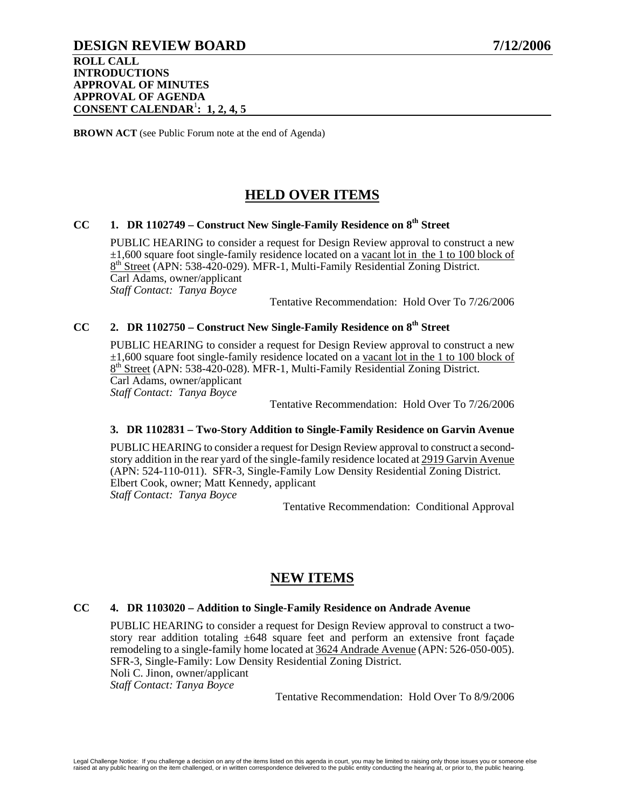# **DESIGN REVIEW BOARD 7/12/2006**

**ROLL CALL INTRODUCTIONS APPROVAL OF MINUTES APPROVAL OF AGENDA CONSENT CALENDAR**<sup>1</sup> **: 1, 2, 4, 5**

**BROWN ACT** (see Public Forum note at the end of Agenda)

# **HELD OVER ITEMS**

# CC 1. DR 1102749 – Construct New Single-Family Residence on 8<sup>th</sup> Street

PUBLIC HEARING to consider a request for Design Review approval to construct a new  $\pm 1,600$  square foot single-family residence located on a vacant lot in the 1 to 100 block of 8<sup>th</sup> Street (APN: 538-420-029). MFR-1, Multi-Family Residential Zoning District. Carl Adams, owner/applicant *Staff Contact: Tanya Boyce* 

Tentative Recommendation: Hold Over To 7/26/2006

# CC 2. DR 1102750 – Construct New Single-Family Residence on 8<sup>th</sup> Street

PUBLIC HEARING to consider a request for Design Review approval to construct a new ±1,600 square foot single-family residence located on a vacant lot in the 1 to 100 block of 8<sup>th</sup> Street (APN: 538-420-028). MFR-1, Multi-Family Residential Zoning District. Carl Adams, owner/applicant *Staff Contact: Tanya Boyce* 

Tentative Recommendation: Hold Over To 7/26/2006

#### **3. DR 1102831 – Two-Story Addition to Single-Family Residence on Garvin Avenue**

PUBLIC HEARING to consider a request for Design Review approval to construct a secondstory addition in the rear yard of the single-family residence located at 2919 Garvin Avenue (APN: 524-110-011). SFR-3, Single-Family Low Density Residential Zoning District. Elbert Cook, owner; Matt Kennedy, applicant *Staff Contact: Tanya Boyce* 

Tentative Recommendation: Conditional Approval

# **NEW ITEMS**

#### **CC 4. DR 1103020 – Addition to Single-Family Residence on Andrade Avenue**

PUBLIC HEARING to consider a request for Design Review approval to construct a twostory rear addition totaling  $\pm 648$  square feet and perform an extensive front facade remodeling to a single-family home located at 3624 Andrade Avenue (APN: 526-050-005). SFR-3, Single-Family: Low Density Residential Zoning District. Noli C. Jinon, owner/applicant *Staff Contact: Tanya Boyce* 

Tentative Recommendation: Hold Over To 8/9/2006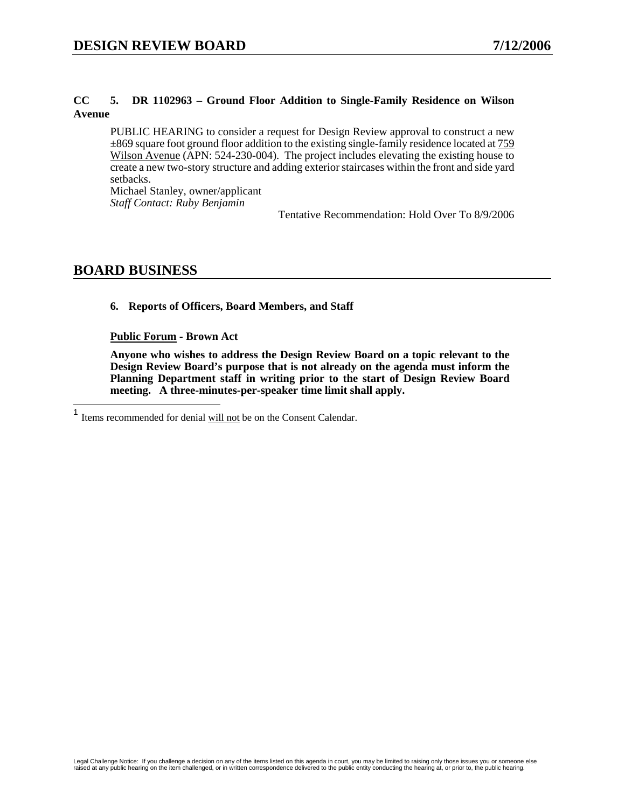## **CC 5. DR 1102963 – Ground Floor Addition to Single-Family Residence on Wilson Avenue**

PUBLIC HEARING to consider a request for Design Review approval to construct a new ±869 square foot ground floor addition to the existing single-family residence located at 759 Wilson Avenue (APN: 524-230-004). The project includes elevating the existing house to create a new two-story structure and adding exterior staircases within the front and side yard setbacks.

Michael Stanley, owner/applicant *Staff Contact: Ruby Benjamin* 

Tentative Recommendation: Hold Over To 8/9/2006

# **BOARD BUSINESS**

**6. Reports of Officers, Board Members, and Staff** 

**Public Forum - Brown Act** 

**Anyone who wishes to address the Design Review Board on a topic relevant to the Design Review Board's purpose that is not already on the agenda must inform the Planning Department staff in writing prior to the start of Design Review Board meeting. A three-minutes-per-speaker time limit shall apply.** 

<sup>1</sup> <sup>1</sup> Items recommended for denial will not be on the Consent Calendar.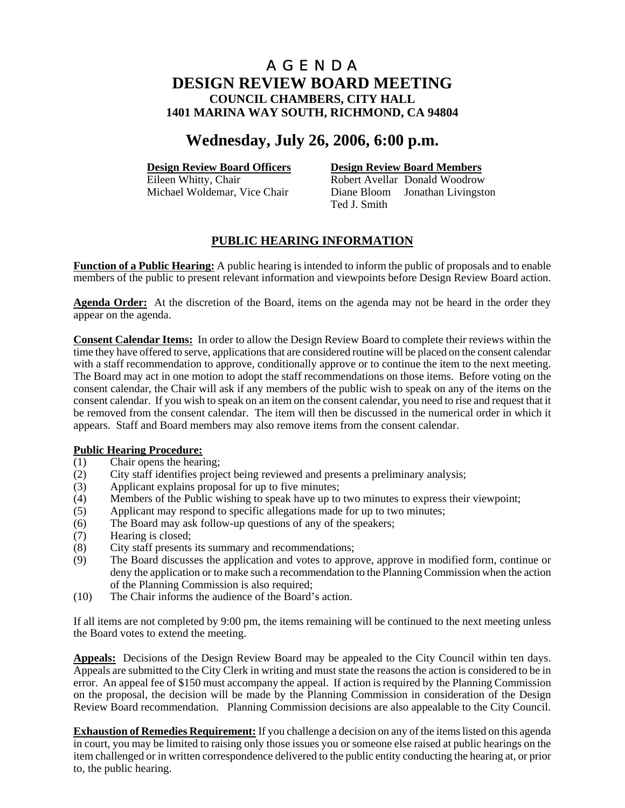# **Wednesday, July 26, 2006, 6:00 p.m.**

**Design Review Board Officers**<br> **Design Review Board Members**<br> **Robert Avellar Donald Woodrow** Robert Avellar Donald Woodrow Michael Woldemar, Vice Chair Diane Bloom Jonathan Livingston Ted J. Smith

# **PUBLIC HEARING INFORMATION**

**Function of a Public Hearing:** A public hearing is intended to inform the public of proposals and to enable members of the public to present relevant information and viewpoints before Design Review Board action.

**Agenda Order:** At the discretion of the Board, items on the agenda may not be heard in the order they appear on the agenda.

**Consent Calendar Items:** In order to allow the Design Review Board to complete their reviews within the time they have offered to serve, applications that are considered routine will be placed on the consent calendar with a staff recommendation to approve, conditionally approve or to continue the item to the next meeting. The Board may act in one motion to adopt the staff recommendations on those items. Before voting on the consent calendar, the Chair will ask if any members of the public wish to speak on any of the items on the consent calendar. If you wish to speak on an item on the consent calendar, you need to rise and request that it be removed from the consent calendar. The item will then be discussed in the numerical order in which it appears. Staff and Board members may also remove items from the consent calendar.

## **Public Hearing Procedure:**

- (1) Chair opens the hearing;
- (2) City staff identifies project being reviewed and presents a preliminary analysis;
- (3) Applicant explains proposal for up to five minutes;
- (4) Members of the Public wishing to speak have up to two minutes to express their viewpoint;
- (5) Applicant may respond to specific allegations made for up to two minutes;
- (6) The Board may ask follow-up questions of any of the speakers;
- (7) Hearing is closed;
- (8) City staff presents its summary and recommendations;
- (9) The Board discusses the application and votes to approve, approve in modified form, continue or deny the application or to make such a recommendation to the Planning Commission when the action of the Planning Commission is also required;
- (10) The Chair informs the audience of the Board's action.

If all items are not completed by 9:00 pm, the items remaining will be continued to the next meeting unless the Board votes to extend the meeting.

**Appeals:** Decisions of the Design Review Board may be appealed to the City Council within ten days. Appeals are submitted to the City Clerk in writing and must state the reasons the action is considered to be in error. An appeal fee of \$150 must accompany the appeal. If action is required by the Planning Commission on the proposal, the decision will be made by the Planning Commission in consideration of the Design Review Board recommendation. Planning Commission decisions are also appealable to the City Council.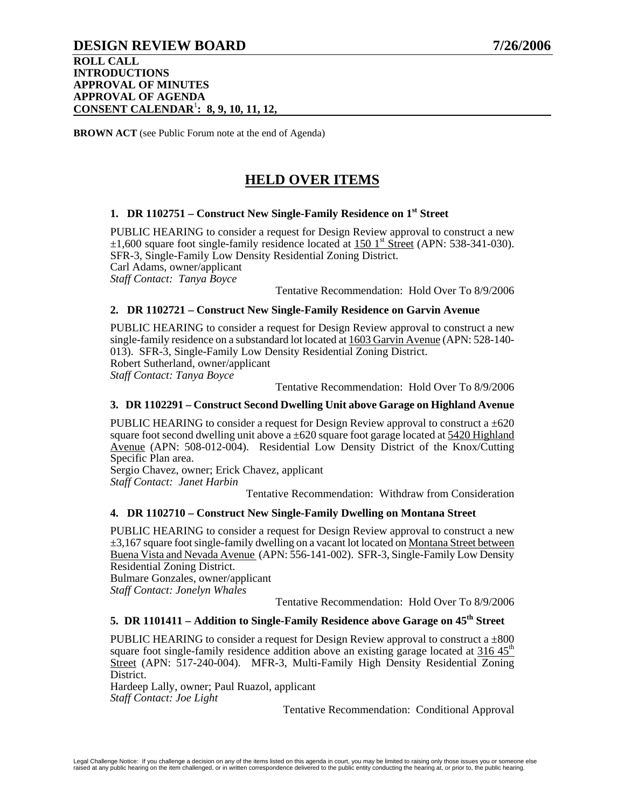# **DESIGN REVIEW BOARD 7/26/2006**

### **ROLL CALL INTRODUCTIONS APPROVAL OF MINUTES APPROVAL OF AGENDA CONSENT CALENDAR**<sup>1</sup> **: 8, 9, 10, 11, 12,**

**BROWN ACT** (see Public Forum note at the end of Agenda)

# **HELD OVER ITEMS**

# **1. DR 1102751 – Construct New Single-Family Residence on 1st Street**

PUBLIC HEARING to consider a request for Design Review approval to construct a new  $\pm 1,600$  square foot single-family residence located at 150 1<sup>st</sup> Street (APN: 538-341-030). SFR-3, Single-Family Low Density Residential Zoning District. Carl Adams, owner/applicant *Staff Contact: Tanya Boyce* 

# Tentative Recommendation: Hold Over To 8/9/2006

### **2. DR 1102721 – Construct New Single-Family Residence on Garvin Avenue**

PUBLIC HEARING to consider a request for Design Review approval to construct a new single-family residence on a substandard lot located at 1603 Garvin Avenue (APN: 528-140- 013). SFR-3, Single-Family Low Density Residential Zoning District. Robert Sutherland, owner/applicant *Staff Contact: Tanya Boyce* 

Tentative Recommendation: Hold Over To 8/9/2006

### **3. DR 1102291 – Construct Second Dwelling Unit above Garage on Highland Avenue**

PUBLIC HEARING to consider a request for Design Review approval to construct a  $\pm 620$ square foot second dwelling unit above a  $\pm 620$  square foot garage located at 5420 Highland Avenue (APN: 508-012-004). Residential Low Density District of the Knox/Cutting Specific Plan area.

Sergio Chavez, owner; Erick Chavez, applicant *Staff Contact: Janet Harbin* 

Tentative Recommendation: Withdraw from Consideration

#### **4. DR 1102710 – Construct New Single-Family Dwelling on Montana Street**

PUBLIC HEARING to consider a request for Design Review approval to construct a new ±3,167 square foot single-family dwelling on a vacant lot located on Montana Street between Buena Vista and Nevada Avenue (APN: 556-141-002). SFR-3, Single-Family Low Density Residential Zoning District.

Bulmare Gonzales, owner/applicant *Staff Contact: Jonelyn Whales* 

Tentative Recommendation: Hold Over To 8/9/2006

#### **5. DR 1101411 – Addition to Single-Family Residence above Garage on 45th Street**

PUBLIC HEARING to consider a request for Design Review approval to construct a  $\pm 800$ square foot single-family residence addition above an existing garage located at  $316.45<sup>th</sup>$ Street (APN: 517-240-004). MFR-3, Multi-Family High Density Residential Zoning District.

Hardeep Lally, owner; Paul Ruazol, applicant *Staff Contact: Joe Light*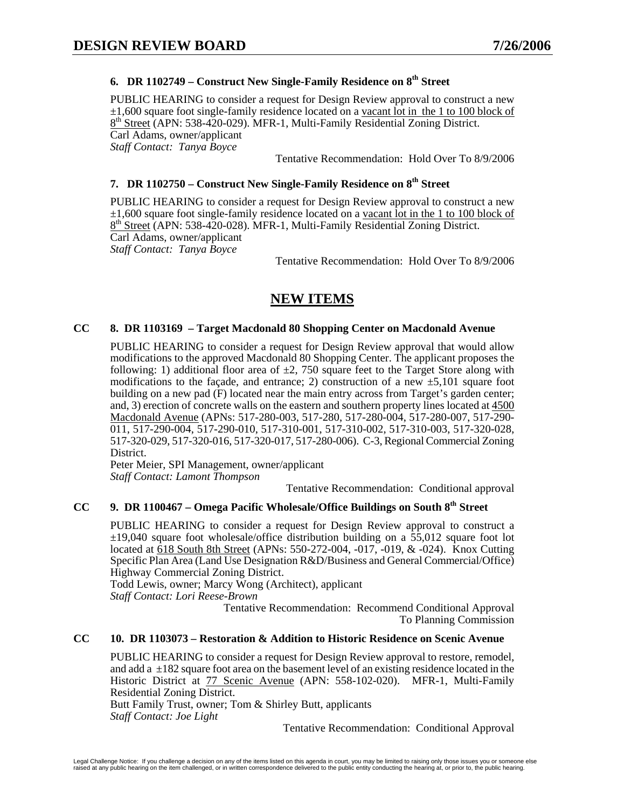# **6. DR 1102749 – Construct New Single-Family Residence on 8th Street**

PUBLIC HEARING to consider a request for Design Review approval to construct a new ±1,600 square foot single-family residence located on a vacant lot in the 1 to 100 block of 8<sup>th</sup> Street (APN: 538-420-029). MFR-1, Multi-Family Residential Zoning District. Carl Adams, owner/applicant *Staff Contact: Tanya Boyce* 

Tentative Recommendation: Hold Over To 8/9/2006

# **7. DR 1102750 – Construct New Single-Family Residence on 8th Street**

PUBLIC HEARING to consider a request for Design Review approval to construct a new  $\pm 1,600$  square foot single-family residence located on a vacant lot in the 1 to 100 block of 8<sup>th</sup> Street (APN: 538-420-028). MFR-1, Multi-Family Residential Zoning District. Carl Adams, owner/applicant *Staff Contact: Tanya Boyce* 

Tentative Recommendation: Hold Over To 8/9/2006

# **NEW ITEMS**

### **CC 8. DR 1103169 – Target Macdonald 80 Shopping Center on Macdonald Avenue**

PUBLIC HEARING to consider a request for Design Review approval that would allow modifications to the approved Macdonald 80 Shopping Center. The applicant proposes the following: 1) additional floor area of  $\pm 2$ , 750 square feet to the Target Store along with modifications to the façade, and entrance; 2) construction of a new  $\pm$ 5,101 square foot building on a new pad (F) located near the main entry across from Target's garden center; and, 3) erection of concrete walls on the eastern and southern property lines located at 4500 Macdonald Avenue (APNs: 517-280-003, 517-280, 517-280-004, 517-280-007, 517-290- 011, 517-290-004, 517-290-010, 517-310-001, 517-310-002, 517-310-003, 517-320-028, 517-320-029, 517-320-016, 517-320-017, 517-280-006). C-3, Regional Commercial Zoning District.

Peter Meier, SPI Management, owner/applicant *Staff Contact: Lamont Thompson* 

Tentative Recommendation: Conditional approval

# **CC 9. DR 1100467 – Omega Pacific Wholesale/Office Buildings on South 8th Street**

PUBLIC HEARING to consider a request for Design Review approval to construct a ±19,040 square foot wholesale/office distribution building on a 55,012 square foot lot located at 618 South 8th Street (APNs: 550-272-004, -017, -019, & -024). Knox Cutting Specific Plan Area (Land Use Designation R&D/Business and General Commercial/Office) Highway Commercial Zoning District.

Todd Lewis, owner; Marcy Wong (Architect), applicant *Staff Contact: Lori Reese-Brown* 

Tentative Recommendation: Recommend Conditional Approval To Planning Commission

### **CC 10. DR 1103073 – Restoration & Addition to Historic Residence on Scenic Avenue**

PUBLIC HEARING to consider a request for Design Review approval to restore, remodel, and add a  $\pm 182$  square foot area on the basement level of an existing residence located in the Historic District at 77 Scenic Avenue (APN: 558-102-020). MFR-1, Multi-Family Residential Zoning District.

Butt Family Trust, owner; Tom & Shirley Butt, applicants *Staff Contact: Joe Light*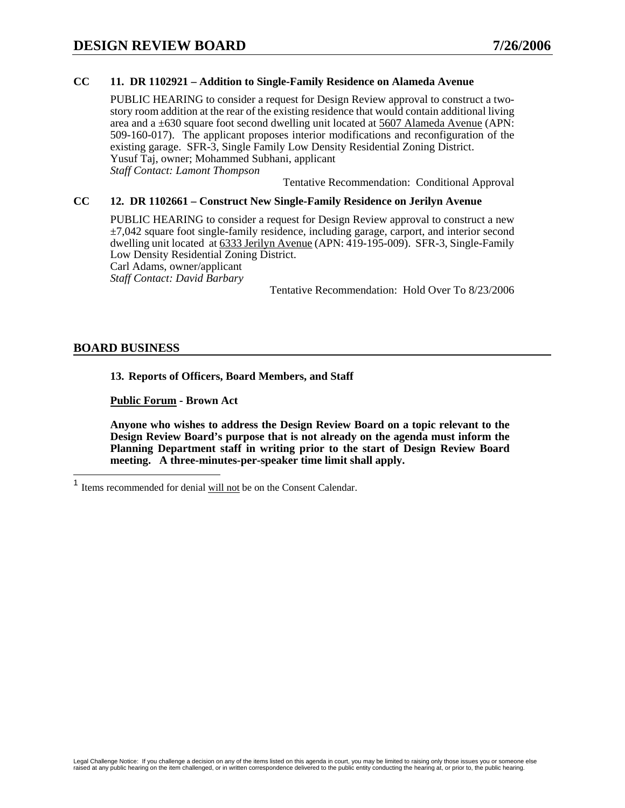# **CC 11. DR 1102921 – Addition to Single-Family Residence on Alameda Avenue**

PUBLIC HEARING to consider a request for Design Review approval to construct a twostory room addition at the rear of the existing residence that would contain additional living area and a  $\pm 630$  square foot second dwelling unit located at 5607 Alameda Avenue (APN: 509-160-017). The applicant proposes interior modifications and reconfiguration of the existing garage. SFR-3, Single Family Low Density Residential Zoning District. Yusuf Taj, owner; Mohammed Subhani, applicant *Staff Contact: Lamont Thompson* 

Tentative Recommendation: Conditional Approval

## **CC 12. DR 1102661 – Construct New Single-Family Residence on Jerilyn Avenue**

PUBLIC HEARING to consider a request for Design Review approval to construct a new  $\pm$ 7,042 square foot single-family residence, including garage, carport, and interior second dwelling unit located at 6333 Jerilyn Avenue (APN: 419-195-009). SFR-3, Single-Family Low Density Residential Zoning District.

Carl Adams, owner/applicant

*Staff Contact: David Barbary* 

Tentative Recommendation: Hold Over To 8/23/2006

## **BOARD BUSINESS**

**13. Reports of Officers, Board Members, and Staff** 

**Public Forum - Brown Act** 

**Anyone who wishes to address the Design Review Board on a topic relevant to the Design Review Board's purpose that is not already on the agenda must inform the Planning Department staff in writing prior to the start of Design Review Board meeting. A three-minutes-per-speaker time limit shall apply.** 

 $\mathbf{1}$ Items recommended for denial will not be on the Consent Calendar.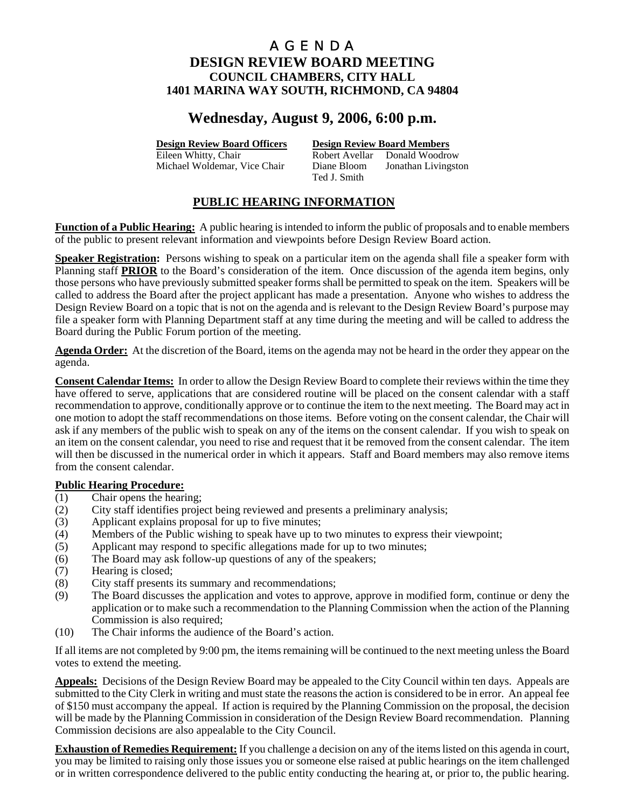# **Wednesday, August 9, 2006, 6:00 p.m.**

**Design Review Board Officers Design Review Board Members**

Eileen Whitty, Chair **Robert Avellar** Donald Woodrow Michael Woldemar, Vice Chair Diane Bloom Jonathan Livingston Ted J. Smith

# **PUBLIC HEARING INFORMATION**

**Function of a Public Hearing:** A public hearing is intended to inform the public of proposals and to enable members of the public to present relevant information and viewpoints before Design Review Board action.

**Speaker Registration:** Persons wishing to speak on a particular item on the agenda shall file a speaker form with Planning staff **PRIOR** to the Board's consideration of the item. Once discussion of the agenda item begins, only those persons who have previously submitted speaker forms shall be permitted to speak on the item. Speakers will be called to address the Board after the project applicant has made a presentation. Anyone who wishes to address the Design Review Board on a topic that is not on the agenda and is relevant to the Design Review Board's purpose may file a speaker form with Planning Department staff at any time during the meeting and will be called to address the Board during the Public Forum portion of the meeting.

**Agenda Order:** At the discretion of the Board, items on the agenda may not be heard in the order they appear on the agenda.

**Consent Calendar Items:** In order to allow the Design Review Board to complete their reviews within the time they have offered to serve, applications that are considered routine will be placed on the consent calendar with a staff recommendation to approve, conditionally approve or to continue the item to the next meeting. The Board may act in one motion to adopt the staff recommendations on those items. Before voting on the consent calendar, the Chair will ask if any members of the public wish to speak on any of the items on the consent calendar. If you wish to speak on an item on the consent calendar, you need to rise and request that it be removed from the consent calendar. The item will then be discussed in the numerical order in which it appears. Staff and Board members may also remove items from the consent calendar.

## **Public Hearing Procedure:**

- (1) Chair opens the hearing;
- (2) City staff identifies project being reviewed and presents a preliminary analysis;
- (3) Applicant explains proposal for up to five minutes;
- (4) Members of the Public wishing to speak have up to two minutes to express their viewpoint;
- (5) Applicant may respond to specific allegations made for up to two minutes;
- (6) The Board may ask follow-up questions of any of the speakers;
- (7) Hearing is closed;
- (8) City staff presents its summary and recommendations;
- (9) The Board discusses the application and votes to approve, approve in modified form, continue or deny the application or to make such a recommendation to the Planning Commission when the action of the Planning Commission is also required;
- (10) The Chair informs the audience of the Board's action.

If all items are not completed by 9:00 pm, the items remaining will be continued to the next meeting unless the Board votes to extend the meeting.

**Appeals:** Decisions of the Design Review Board may be appealed to the City Council within ten days. Appeals are submitted to the City Clerk in writing and must state the reasons the action is considered to be in error. An appeal fee of \$150 must accompany the appeal. If action is required by the Planning Commission on the proposal, the decision will be made by the Planning Commission in consideration of the Design Review Board recommendation. Planning Commission decisions are also appealable to the City Council.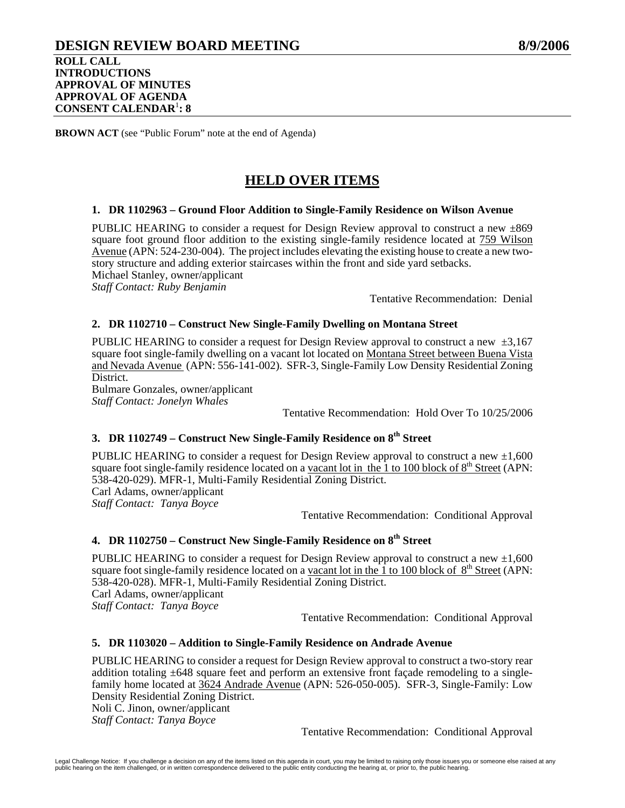# **DESIGN REVIEW BOARD MEETING 8/9/2006 ROLL CALL INTRODUCTIONS APPROVAL OF MINUTES APPROVAL OF AGENDA CONSENT CALENDAR**<sup>1</sup> **: 8**

**BROWN ACT** (see "Public Forum" note at the end of Agenda)

# **HELD OVER ITEMS**

### **1. DR 1102963 – Ground Floor Addition to Single-Family Residence on Wilson Avenue**

PUBLIC HEARING to consider a request for Design Review approval to construct a new  $\pm 869$ square foot ground floor addition to the existing single-family residence located at 759 Wilson Avenue (APN: 524-230-004). The project includes elevating the existing house to create a new twostory structure and adding exterior staircases within the front and side yard setbacks. Michael Stanley, owner/applicant *Staff Contact: Ruby Benjamin* 

Tentative Recommendation: Denial

### **2. DR 1102710 – Construct New Single-Family Dwelling on Montana Street**

PUBLIC HEARING to consider a request for Design Review approval to construct a new  $\pm 3.167$ square foot single-family dwelling on a vacant lot located on Montana Street between Buena Vista and Nevada Avenue (APN: 556-141-002). SFR-3, Single-Family Low Density Residential Zoning District.

Bulmare Gonzales, owner/applicant *Staff Contact: Jonelyn Whales* 

Tentative Recommendation: Hold Over To 10/25/2006

# **3. DR 1102749 – Construct New Single-Family Residence on 8th Street**

PUBLIC HEARING to consider a request for Design Review approval to construct a new  $\pm 1,600$ square foot single-family residence located on a vacant lot in the 1 to 100 block of  $8<sup>th</sup>$  Street (APN: 538-420-029). MFR-1, Multi-Family Residential Zoning District. Carl Adams, owner/applicant *Staff Contact: Tanya Boyce* 

Tentative Recommendation: Conditional Approval

# **4. DR 1102750 – Construct New Single-Family Residence on 8th Street**

PUBLIC HEARING to consider a request for Design Review approval to construct a new  $\pm 1,600$ square foot single-family residence located on a vacant lot in the  $\hat{1}$  to 100 block of 8<sup>th</sup> Street (APN: 538-420-028). MFR-1, Multi-Family Residential Zoning District. Carl Adams, owner/applicant *Staff Contact: Tanya Boyce* 

Tentative Recommendation: Conditional Approval

## **5. DR 1103020 – Addition to Single-Family Residence on Andrade Avenue**

PUBLIC HEARING to consider a request for Design Review approval to construct a two-story rear addition totaling  $\pm 648$  square feet and perform an extensive front facade remodeling to a singlefamily home located at 3624 Andrade Avenue (APN: 526-050-005). SFR-3, Single-Family: Low Density Residential Zoning District. Noli C. Jinon, owner/applicant

*Staff Contact: Tanya Boyce*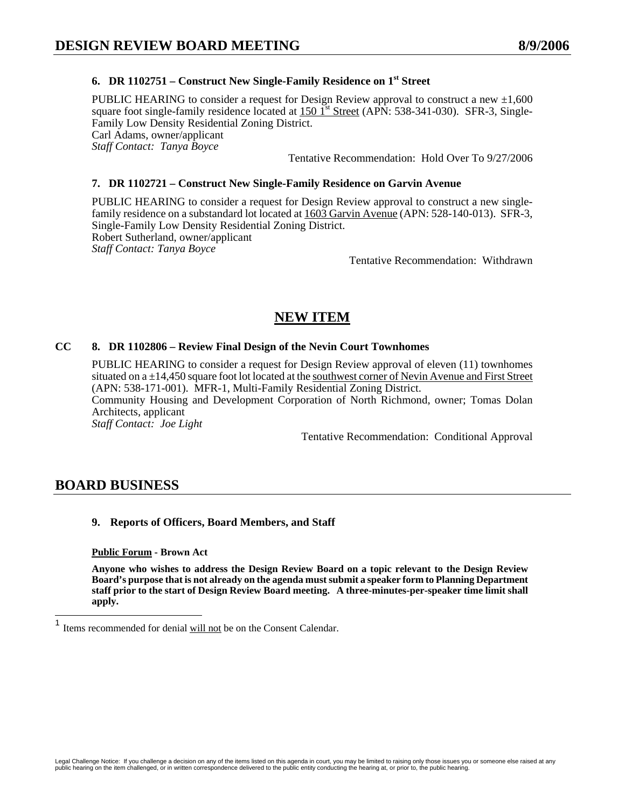# **6. DR 1102751 – Construct New Single-Family Residence on 1st Street**

PUBLIC HEARING to consider a request for Design Review approval to construct a new  $\pm 1,600$ square foot single-family residence located at  $150 \text{ 1}^{\text{st}}$  Street (APN: 538-341-030). SFR-3, Single-Family Low Density Residential Zoning District. Carl Adams, owner/applicant *Staff Contact: Tanya Boyce*  Tentative Recommendation: Hold Over To 9/27/2006

### **7. DR 1102721 – Construct New Single-Family Residence on Garvin Avenue**

PUBLIC HEARING to consider a request for Design Review approval to construct a new singlefamily residence on a substandard lot located at  $1603$  Garvin Avenue (APN: 528-140-013). SFR-3, Single-Family Low Density Residential Zoning District. Robert Sutherland, owner/applicant *Staff Contact: Tanya Boyce* 

Tentative Recommendation: Withdrawn

# **NEW ITEM**

### **CC 8. DR 1102806 – Review Final Design of the Nevin Court Townhomes**

PUBLIC HEARING to consider a request for Design Review approval of eleven (11) townhomes situated on  $a \pm 14,450$  square foot lot located at the southwest corner of Nevin Avenue and First Street (APN: 538-171-001). MFR-1, Multi-Family Residential Zoning District. Community Housing and Development Corporation of North Richmond, owner; Tomas Dolan Architects, applicant *Staff Contact: Joe Light* 

Tentative Recommendation: Conditional Approval

# **BOARD BUSINESS**

## **9. Reports of Officers, Board Members, and Staff**

#### **Public Forum - Brown Act**

**Anyone who wishes to address the Design Review Board on a topic relevant to the Design Review Board's purpose that is not already on the agenda must submit a speaker form to Planning Department staff prior to the start of Design Review Board meeting. A three-minutes-per-speaker time limit shall apply.** 

 $\mathbf{1}$ Items recommended for denial will not be on the Consent Calendar.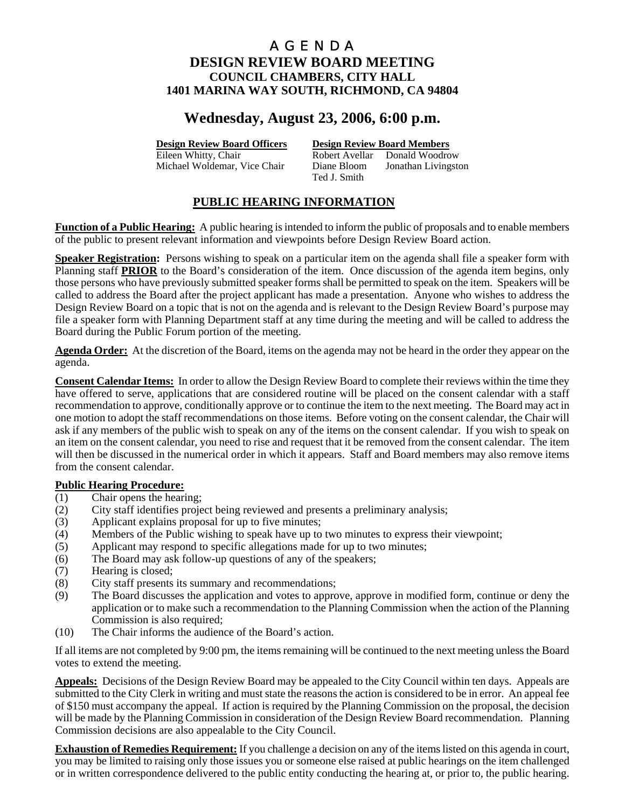# **Wednesday, August 23, 2006, 6:00 p.m.**

**Design Review Board Officers Design Review Board Members**

Eileen Whitty, Chair **Robert Avellar** Donald Woodrow Michael Woldemar, Vice Chair Diane Bloom Jonathan Livingston Ted J. Smith

# **PUBLIC HEARING INFORMATION**

**Function of a Public Hearing:** A public hearing is intended to inform the public of proposals and to enable members of the public to present relevant information and viewpoints before Design Review Board action.

**Speaker Registration:** Persons wishing to speak on a particular item on the agenda shall file a speaker form with Planning staff **PRIOR** to the Board's consideration of the item. Once discussion of the agenda item begins, only those persons who have previously submitted speaker forms shall be permitted to speak on the item. Speakers will be called to address the Board after the project applicant has made a presentation. Anyone who wishes to address the Design Review Board on a topic that is not on the agenda and is relevant to the Design Review Board's purpose may file a speaker form with Planning Department staff at any time during the meeting and will be called to address the Board during the Public Forum portion of the meeting.

**Agenda Order:** At the discretion of the Board, items on the agenda may not be heard in the order they appear on the agenda.

**Consent Calendar Items:** In order to allow the Design Review Board to complete their reviews within the time they have offered to serve, applications that are considered routine will be placed on the consent calendar with a staff recommendation to approve, conditionally approve or to continue the item to the next meeting. The Board may act in one motion to adopt the staff recommendations on those items. Before voting on the consent calendar, the Chair will ask if any members of the public wish to speak on any of the items on the consent calendar. If you wish to speak on an item on the consent calendar, you need to rise and request that it be removed from the consent calendar. The item will then be discussed in the numerical order in which it appears. Staff and Board members may also remove items from the consent calendar.

## **Public Hearing Procedure:**

- (1) Chair opens the hearing;
- (2) City staff identifies project being reviewed and presents a preliminary analysis;
- (3) Applicant explains proposal for up to five minutes;
- (4) Members of the Public wishing to speak have up to two minutes to express their viewpoint;
- (5) Applicant may respond to specific allegations made for up to two minutes;
- (6) The Board may ask follow-up questions of any of the speakers;
- (7) Hearing is closed;
- (8) City staff presents its summary and recommendations;
- (9) The Board discusses the application and votes to approve, approve in modified form, continue or deny the application or to make such a recommendation to the Planning Commission when the action of the Planning Commission is also required;
- (10) The Chair informs the audience of the Board's action.

If all items are not completed by 9:00 pm, the items remaining will be continued to the next meeting unless the Board votes to extend the meeting.

**Appeals:** Decisions of the Design Review Board may be appealed to the City Council within ten days. Appeals are submitted to the City Clerk in writing and must state the reasons the action is considered to be in error. An appeal fee of \$150 must accompany the appeal. If action is required by the Planning Commission on the proposal, the decision will be made by the Planning Commission in consideration of the Design Review Board recommendation. Planning Commission decisions are also appealable to the City Council.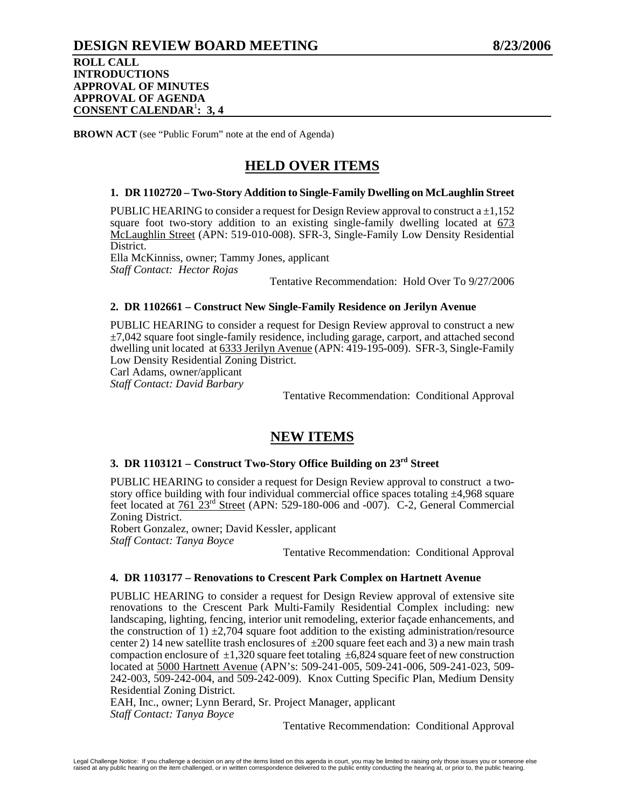# **DESIGN REVIEW BOARD MEETING 8/23/2006**

#### **ROLL CALL INTRODUCTIONS APPROVAL OF MINUTES APPROVAL OF AGENDA CONSENT CALENDAR**<sup>1</sup> **: 3, 4**

**BROWN ACT** (see "Public Forum" note at the end of Agenda)

# **HELD OVER ITEMS**

#### **1. DR 1102720 – Two-Story Addition to Single-Family Dwelling on McLaughlin Street**

PUBLIC HEARING to consider a request for Design Review approval to construct  $a \pm 1.152$ square foot two-story addition to an existing single-family dwelling located at  $673$ McLaughlin Street (APN: 519-010-008). SFR-3, Single-Family Low Density Residential District.

Ella McKinniss, owner; Tammy Jones, applicant *Staff Contact: Hector Rojas* 

Tentative Recommendation: Hold Over To 9/27/2006

### **2. DR 1102661 – Construct New Single-Family Residence on Jerilyn Avenue**

PUBLIC HEARING to consider a request for Design Review approval to construct a new  $\pm$ 7,042 square foot single-family residence, including garage, carport, and attached second dwelling unit located at 6333 Jerilyn Avenue (APN: 419-195-009). SFR-3, Single-Family Low Density Residential Zoning District.

Carl Adams, owner/applicant

*Staff Contact: David Barbary* 

Tentative Recommendation: Conditional Approval

# **NEW ITEMS**

# **3. DR 1103121 – Construct Two-Story Office Building on 23rd Street**

PUBLIC HEARING to consider a request for Design Review approval to construct a twostory office building with four individual commercial office spaces totaling ±4,968 square feet located at  $761\overline{23}^{rd}$  Street (APN: 529-180-006 and -007). C-2, General Commercial Zoning District.

Robert Gonzalez, owner; David Kessler, applicant *Staff Contact: Tanya Boyce* 

Tentative Recommendation: Conditional Approval

# **4. DR 1103177 – Renovations to Crescent Park Complex on Hartnett Avenue**

PUBLIC HEARING to consider a request for Design Review approval of extensive site renovations to the Crescent Park Multi-Family Residential Complex including: new landscaping, lighting, fencing, interior unit remodeling, exterior façade enhancements, and the construction of 1)  $\pm$ 2,704 square foot addition to the existing administration/resource center 2) 14 new satellite trash enclosures of  $\pm 200$  square feet each and 3) a new main trash compaction enclosure of  $\pm 1,320$  square feet totaling  $\pm 6,824$  square feet of new construction located at 5000 Hartnett Avenue (APN's: 509-241-005, 509-241-006, 509-241-023, 509- 242-003, 509-242-004, and 509-242-009). Knox Cutting Specific Plan, Medium Density Residential Zoning District.

EAH, Inc., owner; Lynn Berard, Sr. Project Manager, applicant *Staff Contact: Tanya Boyce*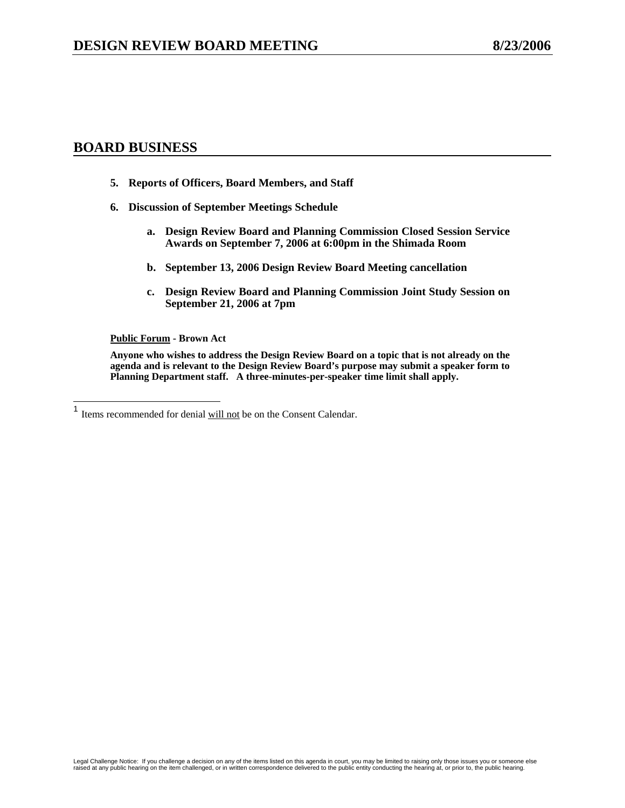# **BOARD BUSINESS**

- **5. Reports of Officers, Board Members, and Staff**
- **6. Discussion of September Meetings Schedule** 
	- **a. Design Review Board and Planning Commission Closed Session Service Awards on September 7, 2006 at 6:00pm in the Shimada Room**
	- **b. September 13, 2006 Design Review Board Meeting cancellation**
	- **c. Design Review Board and Planning Commission Joint Study Session on September 21, 2006 at 7pm**

#### **Public Forum - Brown Act**

**Anyone who wishes to address the Design Review Board on a topic that is not already on the agenda and is relevant to the Design Review Board's purpose may submit a speaker form to Planning Department staff. A three-minutes-per-speaker time limit shall apply.** 

 $\mathbf{1}$ Items recommended for denial will not be on the Consent Calendar.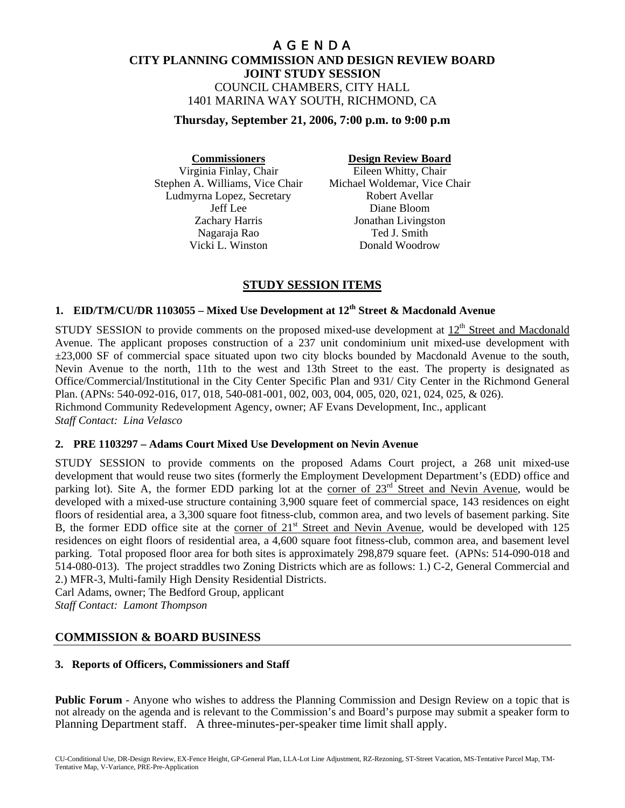# A G E N D A **CITY PLANNING COMMISSION AND DESIGN REVIEW BOARD JOINT STUDY SESSION** COUNCIL CHAMBERS, CITY HALL 1401 MARINA WAY SOUTH, RICHMOND, CA

**Thursday, September 21, 2006, 7:00 p.m. to 9:00 p.m** 

**Commissioners Design Review Board** Virginia Finlay, Chair Eileen Whitty, Chair Stephen A. Williams, Vice Chair Michael Woldemar, Vice Chair Ludmyrna Lopez, Secretary Robert Avellar Nagaraja Rao Ted J. Smith Vicki L. Winston Donald Woodrow

Jeff Lee Diane Bloom Zachary Harris Jonathan Livingston

# **STUDY SESSION ITEMS**

# **1. EID/TM/CU/DR 1103055 – Mixed Use Development at 12th Street & Macdonald Avenue**

STUDY SESSION to provide comments on the proposed mixed-use development at 12<sup>th</sup> Street and Macdonald Avenue. The applicant proposes construction of a 237 unit condominium unit mixed-use development with ±23,000 SF of commercial space situated upon two city blocks bounded by Macdonald Avenue to the south, Nevin Avenue to the north, 11th to the west and 13th Street to the east. The property is designated as Office/Commercial/Institutional in the City Center Specific Plan and 931/ City Center in the Richmond General Plan. (APNs: 540-092-016, 017, 018, 540-081-001, 002, 003, 004, 005, 020, 021, 024, 025, & 026). Richmond Community Redevelopment Agency, owner; AF Evans Development, Inc., applicant *Staff Contact: Lina Velasco* 

## **2. PRE 1103297 – Adams Court Mixed Use Development on Nevin Avenue**

STUDY SESSION to provide comments on the proposed Adams Court project, a 268 unit mixed-use development that would reuse two sites (formerly the Employment Development Department's (EDD) office and parking lot). Site A, the former EDD parking lot at the corner of 23<sup>rd</sup> Street and Nevin Avenue, would be developed with a mixed-use structure containing 3,900 square feet of commercial space, 143 residences on eight floors of residential area, a 3,300 square foot fitness-club, common area, and two levels of basement parking. Site B, the former EDD office site at the corner of 21<sup>st</sup> Street and Nevin Avenue, would be developed with 125 residences on eight floors of residential area, a 4,600 square foot fitness-club, common area, and basement level parking. Total proposed floor area for both sites is approximately 298,879 square feet. (APNs: 514-090-018 and 514-080-013). The project straddles two Zoning Districts which are as follows: 1.) C-2, General Commercial and 2.) MFR-3, Multi-family High Density Residential Districts.

Carl Adams, owner; The Bedford Group, applicant *Staff Contact: Lamont Thompson*

# **COMMISSION & BOARD BUSINESS**

## **3. Reports of Officers, Commissioners and Staff**

**Public Forum** - Anyone who wishes to address the Planning Commission and Design Review on a topic that is not already on the agenda and is relevant to the Commission's and Board's purpose may submit a speaker form to Planning Department staff. A three-minutes-per-speaker time limit shall apply.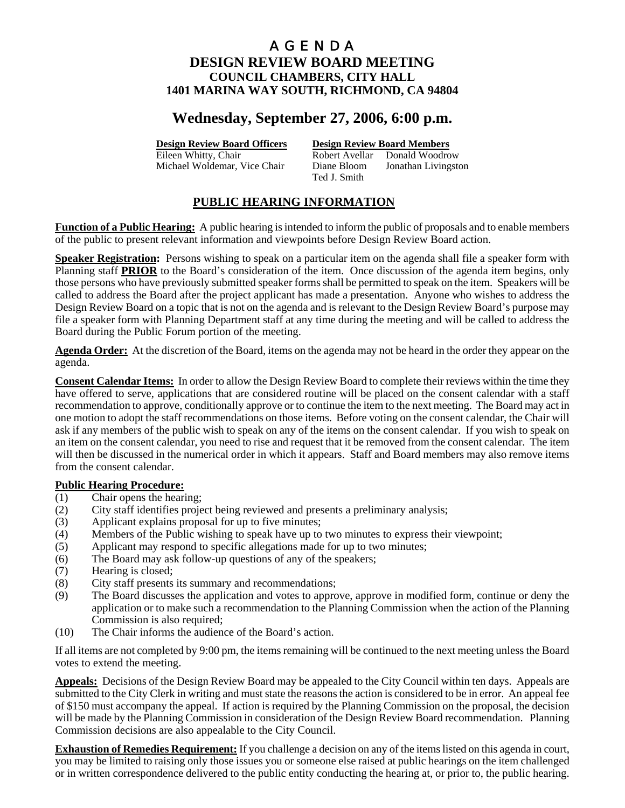# **Wednesday, September 27, 2006, 6:00 p.m.**

**Design Review Board Officers Design Review Board Members**

Eileen Whitty, Chair **Robert Avellar** Donald Woodrow Michael Woldemar, Vice Chair Diane Bloom Jonathan Livingston Ted J. Smith

# **PUBLIC HEARING INFORMATION**

**Function of a Public Hearing:** A public hearing is intended to inform the public of proposals and to enable members of the public to present relevant information and viewpoints before Design Review Board action.

**Speaker Registration:** Persons wishing to speak on a particular item on the agenda shall file a speaker form with Planning staff **PRIOR** to the Board's consideration of the item. Once discussion of the agenda item begins, only those persons who have previously submitted speaker forms shall be permitted to speak on the item. Speakers will be called to address the Board after the project applicant has made a presentation. Anyone who wishes to address the Design Review Board on a topic that is not on the agenda and is relevant to the Design Review Board's purpose may file a speaker form with Planning Department staff at any time during the meeting and will be called to address the Board during the Public Forum portion of the meeting.

**Agenda Order:** At the discretion of the Board, items on the agenda may not be heard in the order they appear on the agenda.

**Consent Calendar Items:** In order to allow the Design Review Board to complete their reviews within the time they have offered to serve, applications that are considered routine will be placed on the consent calendar with a staff recommendation to approve, conditionally approve or to continue the item to the next meeting. The Board may act in one motion to adopt the staff recommendations on those items. Before voting on the consent calendar, the Chair will ask if any members of the public wish to speak on any of the items on the consent calendar. If you wish to speak on an item on the consent calendar, you need to rise and request that it be removed from the consent calendar. The item will then be discussed in the numerical order in which it appears. Staff and Board members may also remove items from the consent calendar.

## **Public Hearing Procedure:**

- (1) Chair opens the hearing;
- (2) City staff identifies project being reviewed and presents a preliminary analysis;
- (3) Applicant explains proposal for up to five minutes;
- (4) Members of the Public wishing to speak have up to two minutes to express their viewpoint;
- (5) Applicant may respond to specific allegations made for up to two minutes;
- (6) The Board may ask follow-up questions of any of the speakers;
- (7) Hearing is closed;
- (8) City staff presents its summary and recommendations;
- (9) The Board discusses the application and votes to approve, approve in modified form, continue or deny the application or to make such a recommendation to the Planning Commission when the action of the Planning Commission is also required;
- (10) The Chair informs the audience of the Board's action.

If all items are not completed by 9:00 pm, the items remaining will be continued to the next meeting unless the Board votes to extend the meeting.

**Appeals:** Decisions of the Design Review Board may be appealed to the City Council within ten days. Appeals are submitted to the City Clerk in writing and must state the reasons the action is considered to be in error. An appeal fee of \$150 must accompany the appeal. If action is required by the Planning Commission on the proposal, the decision will be made by the Planning Commission in consideration of the Design Review Board recommendation. Planning Commission decisions are also appealable to the City Council.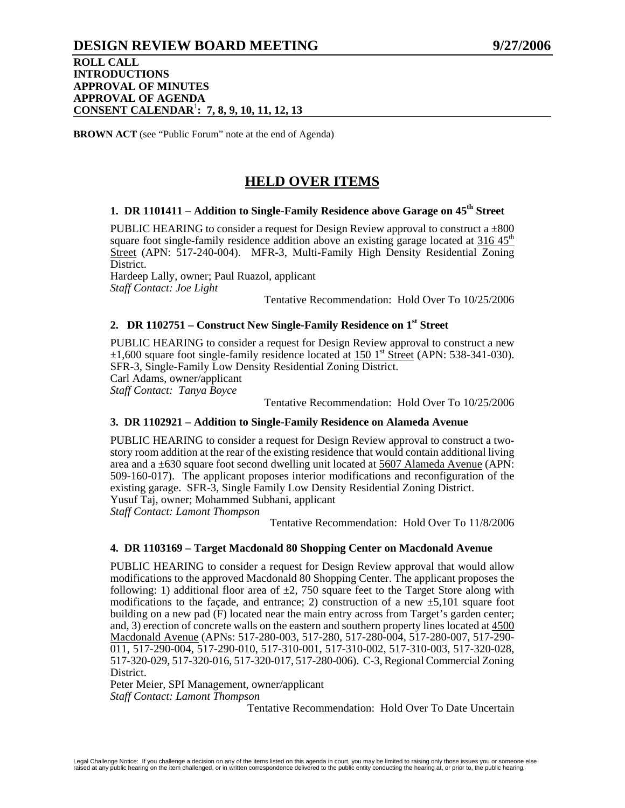# **DESIGN REVIEW BOARD MEETING 9/27/2006**

### **ROLL CALL INTRODUCTIONS APPROVAL OF MINUTES APPROVAL OF AGENDA CONSENT CALENDAR**<sup>1</sup> **: 7, 8, 9, 10, 11, 12, 13**

**BROWN ACT** (see "Public Forum" note at the end of Agenda)

# **HELD OVER ITEMS**

# 1. DR 1101411 – Addition to Single-Family Residence above Garage on 45<sup>th</sup> Street

PUBLIC HEARING to consider a request for Design Review approval to construct  $a \pm 800$ square foot single-family residence addition above an existing garage located at  $316.45<sup>th</sup>$ Street (APN: 517-240-004). MFR-3, Multi-Family High Density Residential Zoning District.

Hardeep Lally, owner; Paul Ruazol, applicant *Staff Contact: Joe Light* 

Tentative Recommendation: Hold Over To 10/25/2006

# **2. DR 1102751 – Construct New Single-Family Residence on 1st Street**

PUBLIC HEARING to consider a request for Design Review approval to construct a new  $\pm 1,600$  square foot single-family residence located at 150 1<sup>st</sup> Street (APN: 538-341-030). SFR-3, Single-Family Low Density Residential Zoning District. Carl Adams, owner/applicant *Staff Contact: Tanya Boyce* 

Tentative Recommendation: Hold Over To 10/25/2006

#### **3. DR 1102921 – Addition to Single-Family Residence on Alameda Avenue**

PUBLIC HEARING to consider a request for Design Review approval to construct a twostory room addition at the rear of the existing residence that would contain additional living area and a ±630 square foot second dwelling unit located at 5607 Alameda Avenue (APN: 509-160-017). The applicant proposes interior modifications and reconfiguration of the existing garage. SFR-3, Single Family Low Density Residential Zoning District. Yusuf Taj, owner; Mohammed Subhani, applicant

*Staff Contact: Lamont Thompson* 

Tentative Recommendation: Hold Over To 11/8/2006

#### **4. DR 1103169 – Target Macdonald 80 Shopping Center on Macdonald Avenue**

PUBLIC HEARING to consider a request for Design Review approval that would allow modifications to the approved Macdonald 80 Shopping Center. The applicant proposes the following: 1) additional floor area of  $\pm 2$ , 750 square feet to the Target Store along with modifications to the facade, and entrance; 2) construction of a new  $\pm$ 5,101 square foot building on a new pad (F) located near the main entry across from Target's garden center; and, 3) erection of concrete walls on the eastern and southern property lines located at 4500 Macdonald Avenue (APNs: 517-280-003, 517-280, 517-280-004, 517-280-007, 517-290- 011, 517-290-004, 517-290-010, 517-310-001, 517-310-002, 517-310-003, 517-320-028, 517-320-029, 517-320-016, 517-320-017, 517-280-006). C-3, Regional Commercial Zoning District.

Peter Meier, SPI Management, owner/applicant *Staff Contact: Lamont Thompson* 

Tentative Recommendation: Hold Over To Date Uncertain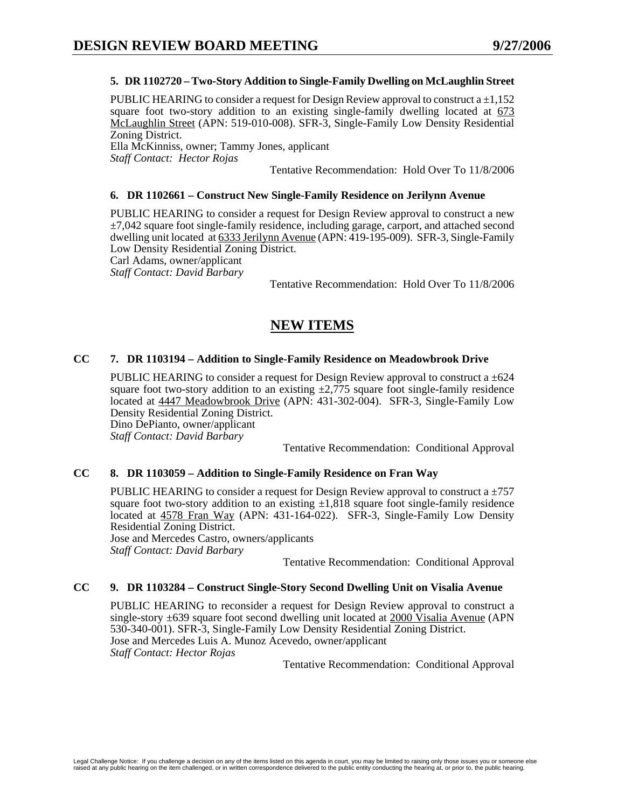#### **5. DR 1102720 – Two-Story Addition to Single-Family Dwelling on McLaughlin Street**

PUBLIC HEARING to consider a request for Design Review approval to construct a  $\pm 1,152$ square foot two-story addition to an existing single-family dwelling located at  $673$ McLaughlin Street (APN: 519-010-008). SFR-3, Single-Family Low Density Residential Zoning District.

Ella McKinniss, owner; Tammy Jones, applicant *Staff Contact: Hector Rojas* 

Tentative Recommendation: Hold Over To 11/8/2006

#### **6. DR 1102661 – Construct New Single-Family Residence on Jerilynn Avenue**

PUBLIC HEARING to consider a request for Design Review approval to construct a new  $\pm$ 7,042 square foot single-family residence, including garage, carport, and attached second dwelling unit located at 6333 Jerilynn Avenue (APN: 419-195-009). SFR-3, Single-Family Low Density Residential Zoning District.

Carl Adams, owner/applicant *Staff Contact: David Barbary* 

Tentative Recommendation: Hold Over To 11/8/2006

# **NEW ITEMS**

### **CC 7. DR 1103194 – Addition to Single-Family Residence on Meadowbrook Drive**

PUBLIC HEARING to consider a request for Design Review approval to construct a  $\pm 624$ square foot two-story addition to an existing  $\pm$ 2,775 square foot single-family residence located at 4447 Meadowbrook Drive (APN: 431-302-004). SFR-3, Single-Family Low Density Residential Zoning District.

Dino DePianto, owner/applicant *Staff Contact: David Barbary* 

Tentative Recommendation: Conditional Approval

### **CC 8. DR 1103059 – Addition to Single-Family Residence on Fran Way**

PUBLIC HEARING to consider a request for Design Review approval to construct a  $\pm$ 757 square foot two-story addition to an existing  $\pm 1.818$  square foot single-family residence located at 4578 Fran Way (APN: 431-164-022). SFR-3, Single-Family Low Density Residential Zoning District.

Jose and Mercedes Castro, owners/applicants *Staff Contact: David Barbary* 

Tentative Recommendation: Conditional Approval

#### **CC 9. DR 1103284 – Construct Single-Story Second Dwelling Unit on Visalia Avenue**

PUBLIC HEARING to reconsider a request for Design Review approval to construct a single-story  $\pm 639$  square foot second dwelling unit located at 2000 Visalia Avenue (APN) 530-340-001). SFR-3, Single-Family Low Density Residential Zoning District. Jose and Mercedes Luis A. Munoz Acevedo, owner/applicant *Staff Contact: Hector Rojas*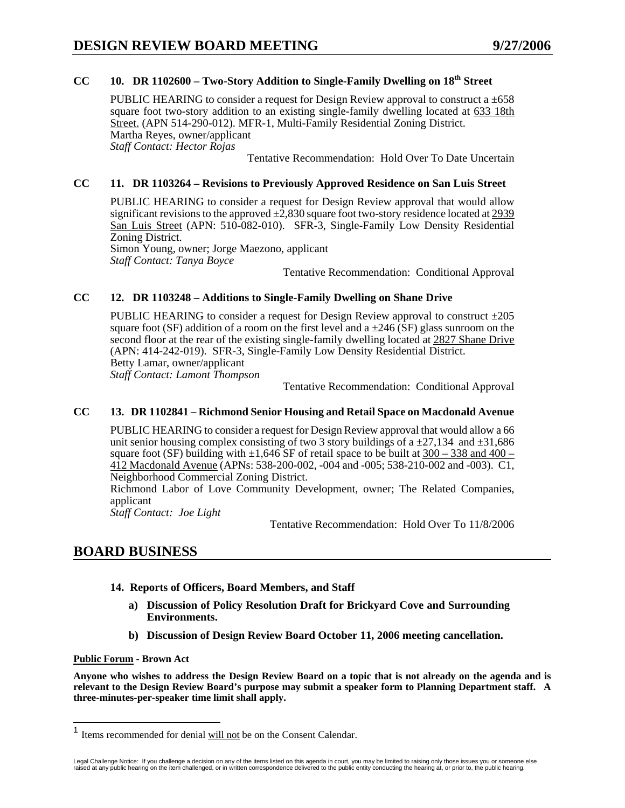# CC 10. DR 1102600 – Two-Story Addition to Single-Family Dwelling on 18<sup>th</sup> Street

PUBLIC HEARING to consider a request for Design Review approval to construct a  $\pm 658$ square foot two-story addition to an existing single-family dwelling located at 633 18th Street. (APN 514-290-012). MFR-1, Multi-Family Residential Zoning District. Martha Reyes, owner/applicant *Staff Contact: Hector Rojas* 

Tentative Recommendation: Hold Over To Date Uncertain

#### **CC 11. DR 1103264 – Revisions to Previously Approved Residence on San Luis Street**

PUBLIC HEARING to consider a request for Design Review approval that would allow significant revisions to the approved  $\pm 2,830$  square foot two-story residence located at 2939 San Luis Street (APN: 510-082-010). SFR-3, Single-Family Low Density Residential Zoning District.

Simon Young, owner; Jorge Maezono, applicant *Staff Contact: Tanya Boyce* 

Tentative Recommendation: Conditional Approval

### **CC 12. DR 1103248 – Additions to Single-Family Dwelling on Shane Drive**

PUBLIC HEARING to consider a request for Design Review approval to construct ±205 square foot (SF) addition of a room on the first level and a  $\pm$ 246 (SF) glass sunroom on the second floor at the rear of the existing single-family dwelling located at 2827 Shane Drive (APN: 414-242-019). SFR-3, Single-Family Low Density Residential District. Betty Lamar, owner/applicant *Staff Contact: Lamont Thompson* 

Tentative Recommendation: Conditional Approval

#### **CC 13. DR 1102841 – Richmond Senior Housing and Retail Space on Macdonald Avenue**

PUBLIC HEARING to consider a request for Design Review approval that would allow a 66 unit senior housing complex consisting of two 3 story buildings of a  $\pm$ 27,134 and  $\pm$ 31,686 square foot (SF) building with  $\pm 1,646$  SF of retail space to be built at  $300 - 338$  and  $400 -$ 412 Macdonald Avenue (APNs: 538-200-002, -004 and -005; 538-210-002 and -003). C1, Neighborhood Commercial Zoning District.

Richmond Labor of Love Community Development, owner; The Related Companies, applicant

*Staff Contact: Joe Light* 

Tentative Recommendation: Hold Over To 11/8/2006

# **BOARD BUSINESS**

- **14. Reports of Officers, Board Members, and Staff** 
	- **a) Discussion of Policy Resolution Draft for Brickyard Cove and Surrounding Environments.**
	- **b) Discussion of Design Review Board October 11, 2006 meeting cancellation.**

#### **Public Forum - Brown Act**

 $\overline{a}$ 

**Anyone who wishes to address the Design Review Board on a topic that is not already on the agenda and is relevant to the Design Review Board's purpose may submit a speaker form to Planning Department staff. A three-minutes-per-speaker time limit shall apply.** 

<sup>&</sup>lt;sup>1</sup> Items recommended for denial will not be on the Consent Calendar.

Legal Challenge Notice: If you challenge a decision on any of the items listed on this agenda in court, you may be limited to raising only those issues you or someone else<br>raised at any public hearing on the item challenge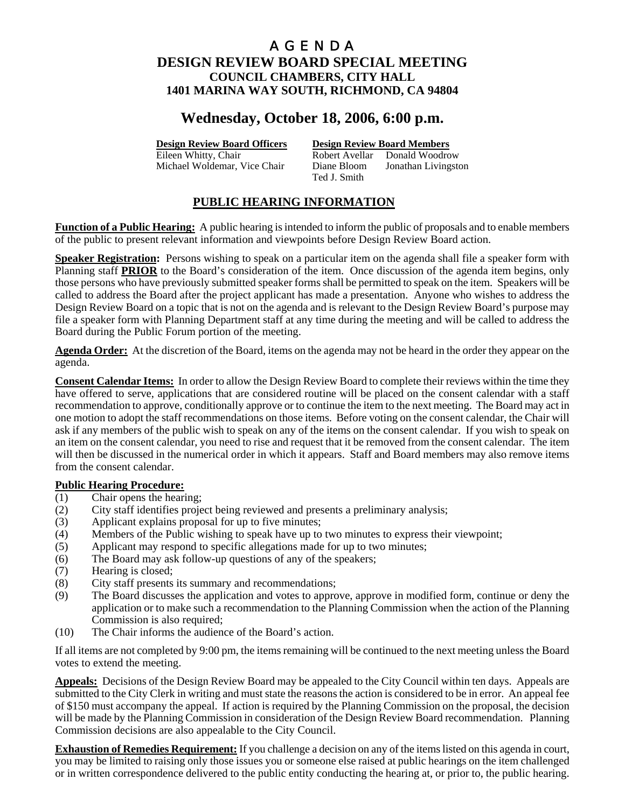# **Wednesday, October 18, 2006, 6:00 p.m.**

**Design Review Board Officers Design Review Board Members**

Eileen Whitty, Chair **Robert Avellar** Donald Woodrow Michael Woldemar, Vice Chair Diane Bloom Jonathan Livingston Ted J. Smith

# **PUBLIC HEARING INFORMATION**

**Function of a Public Hearing:** A public hearing is intended to inform the public of proposals and to enable members of the public to present relevant information and viewpoints before Design Review Board action.

**Speaker Registration:** Persons wishing to speak on a particular item on the agenda shall file a speaker form with Planning staff **PRIOR** to the Board's consideration of the item. Once discussion of the agenda item begins, only those persons who have previously submitted speaker forms shall be permitted to speak on the item. Speakers will be called to address the Board after the project applicant has made a presentation. Anyone who wishes to address the Design Review Board on a topic that is not on the agenda and is relevant to the Design Review Board's purpose may file a speaker form with Planning Department staff at any time during the meeting and will be called to address the Board during the Public Forum portion of the meeting.

**Agenda Order:** At the discretion of the Board, items on the agenda may not be heard in the order they appear on the agenda.

**Consent Calendar Items:** In order to allow the Design Review Board to complete their reviews within the time they have offered to serve, applications that are considered routine will be placed on the consent calendar with a staff recommendation to approve, conditionally approve or to continue the item to the next meeting. The Board may act in one motion to adopt the staff recommendations on those items. Before voting on the consent calendar, the Chair will ask if any members of the public wish to speak on any of the items on the consent calendar. If you wish to speak on an item on the consent calendar, you need to rise and request that it be removed from the consent calendar. The item will then be discussed in the numerical order in which it appears. Staff and Board members may also remove items from the consent calendar.

## **Public Hearing Procedure:**

- (1) Chair opens the hearing;
- (2) City staff identifies project being reviewed and presents a preliminary analysis;
- (3) Applicant explains proposal for up to five minutes;
- (4) Members of the Public wishing to speak have up to two minutes to express their viewpoint;
- (5) Applicant may respond to specific allegations made for up to two minutes;
- (6) The Board may ask follow-up questions of any of the speakers;
- (7) Hearing is closed;
- (8) City staff presents its summary and recommendations;
- (9) The Board discusses the application and votes to approve, approve in modified form, continue or deny the application or to make such a recommendation to the Planning Commission when the action of the Planning Commission is also required;
- (10) The Chair informs the audience of the Board's action.

If all items are not completed by 9:00 pm, the items remaining will be continued to the next meeting unless the Board votes to extend the meeting.

**Appeals:** Decisions of the Design Review Board may be appealed to the City Council within ten days. Appeals are submitted to the City Clerk in writing and must state the reasons the action is considered to be in error. An appeal fee of \$150 must accompany the appeal. If action is required by the Planning Commission on the proposal, the decision will be made by the Planning Commission in consideration of the Design Review Board recommendation. Planning Commission decisions are also appealable to the City Council.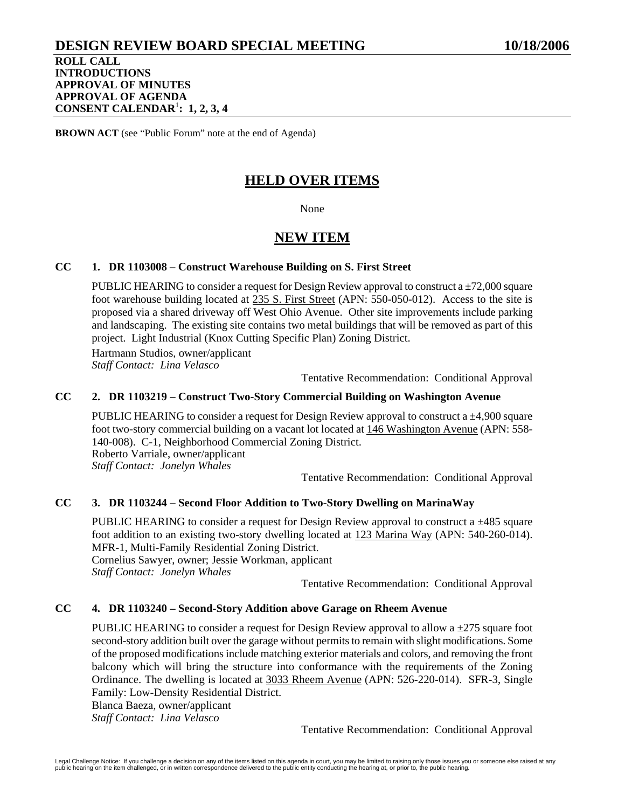# **DESIGN REVIEW BOARD SPECIAL MEETING 10/18/2006**

**ROLL CALL INTRODUCTIONS APPROVAL OF MINUTES APPROVAL OF AGENDA CONSENT CALENDAR**<sup>1</sup> **: 1, 2, 3, 4**

**BROWN ACT** (see "Public Forum" note at the end of Agenda)

# **HELD OVER ITEMS**

None

# **NEW ITEM**

# **CC 1. DR 1103008 – Construct Warehouse Building on S. First Street**

PUBLIC HEARING to consider a request for Design Review approval to construct a  $\pm$ 72,000 square foot warehouse building located at 235 S. First Street (APN: 550-050-012). Access to the site is proposed via a shared driveway off West Ohio Avenue. Other site improvements include parking and landscaping. The existing site contains two metal buildings that will be removed as part of this project. Light Industrial (Knox Cutting Specific Plan) Zoning District.

Hartmann Studios, owner/applicant *Staff Contact: Lina Velasco* 

Tentative Recommendation: Conditional Approval

## **CC 2. DR 1103219 – Construct Two-Story Commercial Building on Washington Avenue**

PUBLIC HEARING to consider a request for Design Review approval to construct a ±4,900 square foot two-story commercial building on a vacant lot located at 146 Washington Avenue (APN: 558- 140-008). C-1, Neighborhood Commercial Zoning District. Roberto Varriale, owner/applicant *Staff Contact: Jonelyn Whales* 

Tentative Recommendation: Conditional Approval

# **CC 3. DR 1103244 – Second Floor Addition to Two-Story Dwelling on MarinaWay**

PUBLIC HEARING to consider a request for Design Review approval to construct a  $\pm$ 485 square foot addition to an existing two-story dwelling located at 123 Marina Way (APN: 540-260-014). MFR-1, Multi-Family Residential Zoning District. Cornelius Sawyer, owner; Jessie Workman, applicant *Staff Contact: Jonelyn Whales* 

Tentative Recommendation: Conditional Approval

## **CC 4. DR 1103240 – Second-Story Addition above Garage on Rheem Avenue**

PUBLIC HEARING to consider a request for Design Review approval to allow a ±275 square foot second-story addition built over the garage without permits to remain with slight modifications. Some of the proposed modifications include matching exterior materials and colors, and removing the front balcony which will bring the structure into conformance with the requirements of the Zoning Ordinance. The dwelling is located at 3033 Rheem Avenue (APN: 526-220-014). SFR-3, Single Family: Low-Density Residential District.

Blanca Baeza, owner/applicant *Staff Contact: Lina Velasco*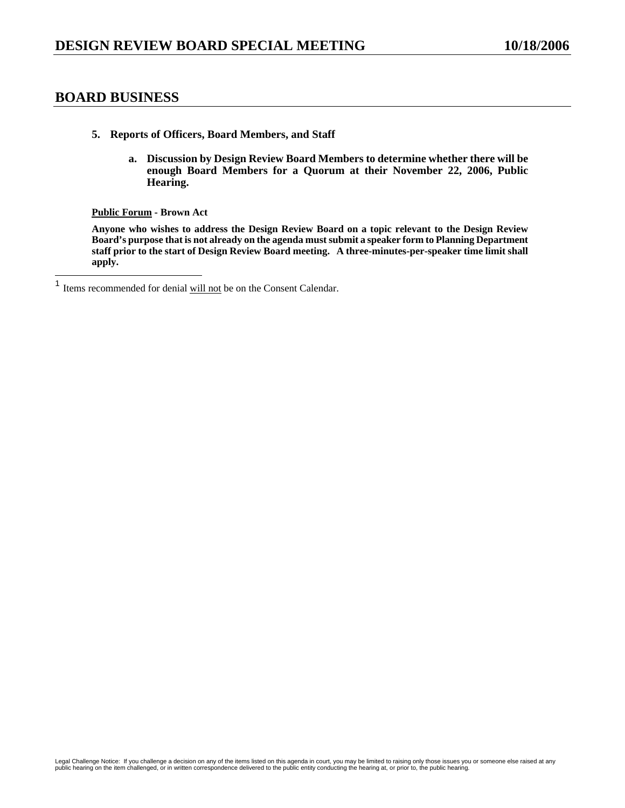# **BOARD BUSINESS**

- **5. Reports of Officers, Board Members, and Staff** 
	- **a. Discussion by Design Review Board Members to determine whether there will be enough Board Members for a Quorum at their November 22, 2006, Public Hearing.**

**Public Forum - Brown Act** 

**Anyone who wishes to address the Design Review Board on a topic relevant to the Design Review Board's purpose that is not already on the agenda must submit a speaker form to Planning Department staff prior to the start of Design Review Board meeting. A three-minutes-per-speaker time limit shall apply.** 

 $\mathbf{1}$ Items recommended for denial will not be on the Consent Calendar.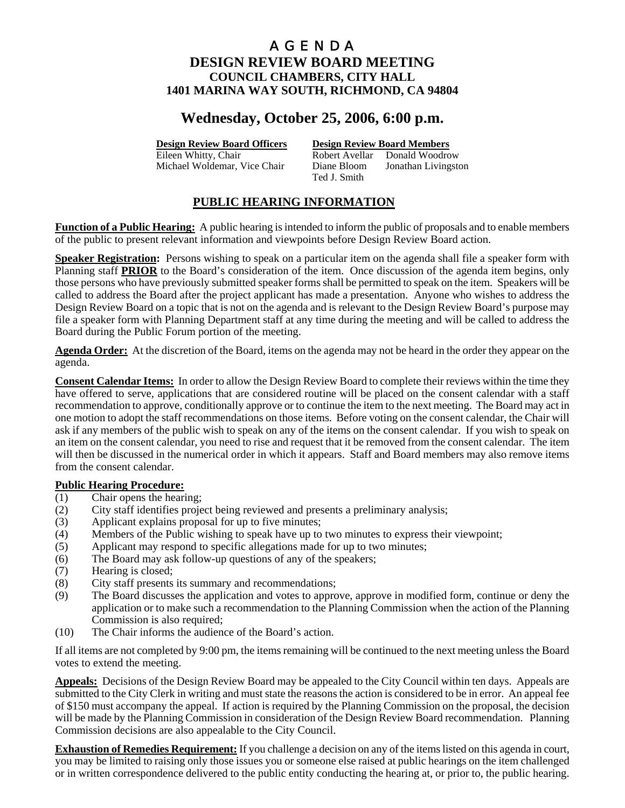# **Wednesday, October 25, 2006, 6:00 p.m.**

**Design Review Board Officers Design Review Board Members**

Eileen Whitty, Chair **Robert Avellar** Donald Woodrow Michael Woldemar, Vice Chair Diane Bloom Jonathan Livingston Ted J. Smith

# **PUBLIC HEARING INFORMATION**

**Function of a Public Hearing:** A public hearing is intended to inform the public of proposals and to enable members of the public to present relevant information and viewpoints before Design Review Board action.

**Speaker Registration:** Persons wishing to speak on a particular item on the agenda shall file a speaker form with Planning staff **PRIOR** to the Board's consideration of the item. Once discussion of the agenda item begins, only those persons who have previously submitted speaker forms shall be permitted to speak on the item. Speakers will be called to address the Board after the project applicant has made a presentation. Anyone who wishes to address the Design Review Board on a topic that is not on the agenda and is relevant to the Design Review Board's purpose may file a speaker form with Planning Department staff at any time during the meeting and will be called to address the Board during the Public Forum portion of the meeting.

**Agenda Order:** At the discretion of the Board, items on the agenda may not be heard in the order they appear on the agenda.

**Consent Calendar Items:** In order to allow the Design Review Board to complete their reviews within the time they have offered to serve, applications that are considered routine will be placed on the consent calendar with a staff recommendation to approve, conditionally approve or to continue the item to the next meeting. The Board may act in one motion to adopt the staff recommendations on those items. Before voting on the consent calendar, the Chair will ask if any members of the public wish to speak on any of the items on the consent calendar. If you wish to speak on an item on the consent calendar, you need to rise and request that it be removed from the consent calendar. The item will then be discussed in the numerical order in which it appears. Staff and Board members may also remove items from the consent calendar.

## **Public Hearing Procedure:**

- (1) Chair opens the hearing;
- (2) City staff identifies project being reviewed and presents a preliminary analysis;
- (3) Applicant explains proposal for up to five minutes;
- (4) Members of the Public wishing to speak have up to two minutes to express their viewpoint;
- (5) Applicant may respond to specific allegations made for up to two minutes;
- (6) The Board may ask follow-up questions of any of the speakers;
- (7) Hearing is closed;
- (8) City staff presents its summary and recommendations;
- (9) The Board discusses the application and votes to approve, approve in modified form, continue or deny the application or to make such a recommendation to the Planning Commission when the action of the Planning Commission is also required;
- (10) The Chair informs the audience of the Board's action.

If all items are not completed by 9:00 pm, the items remaining will be continued to the next meeting unless the Board votes to extend the meeting.

**Appeals:** Decisions of the Design Review Board may be appealed to the City Council within ten days. Appeals are submitted to the City Clerk in writing and must state the reasons the action is considered to be in error. An appeal fee of \$150 must accompany the appeal. If action is required by the Planning Commission on the proposal, the decision will be made by the Planning Commission in consideration of the Design Review Board recommendation. Planning Commission decisions are also appealable to the City Council.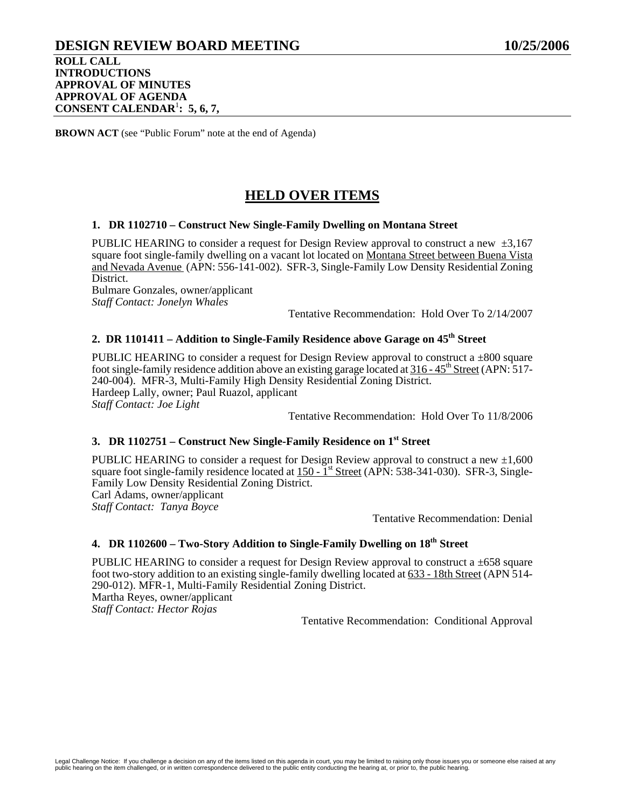# **DESIGN REVIEW BOARD MEETING 10/25/2006 ROLL CALL INTRODUCTIONS APPROVAL OF MINUTES APPROVAL OF AGENDA CONSENT CALENDAR**<sup>1</sup> **: 5, 6, 7,**

**BROWN ACT** (see "Public Forum" note at the end of Agenda)

# **HELD OVER ITEMS**

### **1. DR 1102710 – Construct New Single-Family Dwelling on Montana Street**

PUBLIC HEARING to consider a request for Design Review approval to construct a new  $\pm 3.167$ square foot single-family dwelling on a vacant lot located on Montana Street between Buena Vista and Nevada Avenue (APN: 556-141-002). SFR-3, Single-Family Low Density Residential Zoning District. Bulmare Gonzales, owner/applicant

*Staff Contact: Jonelyn Whales* 

Tentative Recommendation: Hold Over To 2/14/2007

# 2. DR 1101411 – Addition to Single-Family Residence above Garage on 45<sup>th</sup> Street

PUBLIC HEARING to consider a request for Design Review approval to construct a  $\pm 800$  square foot single-family residence addition above an existing garage located at  $316 - 45^{\text{th}}$  Street (APN: 517-240-004). MFR-3, Multi-Family High Density Residential Zoning District. Hardeep Lally, owner; Paul Ruazol, applicant *Staff Contact: Joe Light* 

Tentative Recommendation: Hold Over To 11/8/2006

# **3. DR 1102751 – Construct New Single-Family Residence on 1st Street**

PUBLIC HEARING to consider a request for Design Review approval to construct a new  $\pm 1,600$ square foot single-family residence located at  $150 - 1$ <sup>st</sup> Street (APN: 538-341-030). SFR-3, Single-Family Low Density Residential Zoning District. Carl Adams, owner/applicant

*Staff Contact: Tanya Boyce* 

Tentative Recommendation: Denial

# **4. DR 1102600 – Two-Story Addition to Single-Family Dwelling on 18th Street**

PUBLIC HEARING to consider a request for Design Review approval to construct a  $\pm 658$  square foot two-story addition to an existing single-family dwelling located at 633 - 18th Street (APN 514- 290-012). MFR-1, Multi-Family Residential Zoning District.

Martha Reyes, owner/applicant *Staff Contact: Hector Rojas*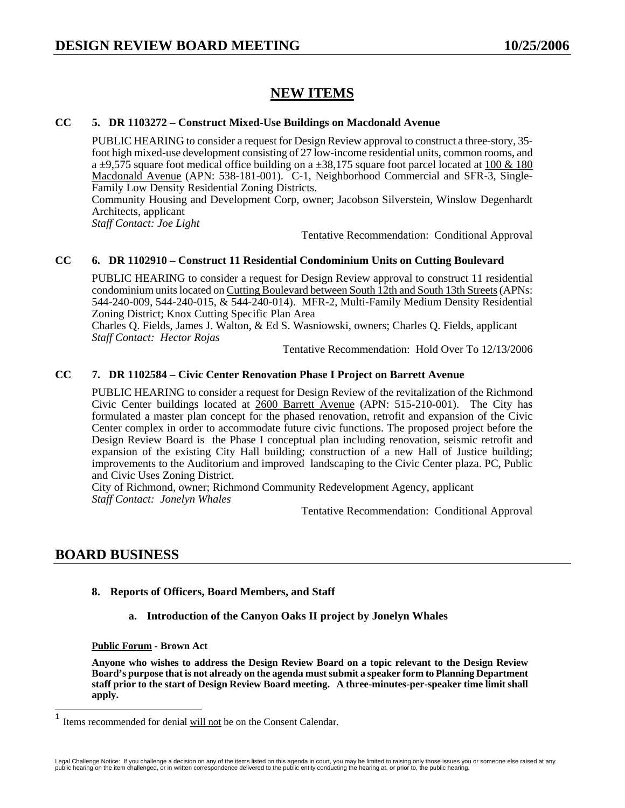# **NEW ITEMS**

### **CC 5. DR 1103272 – Construct Mixed-Use Buildings on Macdonald Avenue**

PUBLIC HEARING to consider a request for Design Review approval to construct a three-story, 35 foot high mixed-use development consisting of 27 low-income residential units, common rooms, and a  $\pm$ 9,575 square foot medical office building on a  $\pm$ 38,175 square foot parcel located at 100 & 180 Macdonald Avenue (APN: 538-181-001). C-1, Neighborhood Commercial and SFR-3, Single-Family Low Density Residential Zoning Districts.

Community Housing and Development Corp, owner; Jacobson Silverstein, Winslow Degenhardt Architects, applicant

*Staff Contact: Joe Light* 

Tentative Recommendation: Conditional Approval

# **CC 6. DR 1102910 – Construct 11 Residential Condominium Units on Cutting Boulevard**

PUBLIC HEARING to consider a request for Design Review approval to construct 11 residential condominium units located on Cutting Boulevard between South 12th and South 13th Streets (APNs: 544-240-009, 544-240-015, & 544-240-014). MFR-2, Multi-Family Medium Density Residential Zoning District; Knox Cutting Specific Plan Area

Charles Q. Fields, James J. Walton, & Ed S. Wasniowski, owners; Charles Q. Fields, applicant *Staff Contact: Hector Rojas* 

Tentative Recommendation: Hold Over To 12/13/2006

### **CC 7. DR 1102584 – Civic Center Renovation Phase I Project on Barrett Avenue**

PUBLIC HEARING to consider a request for Design Review of the revitalization of the Richmond Civic Center buildings located at 2600 Barrett Avenue (APN: 515-210-001). The City has formulated a master plan concept for the phased renovation, retrofit and expansion of the Civic Center complex in order to accommodate future civic functions. The proposed project before the Design Review Board is the Phase I conceptual plan including renovation, seismic retrofit and expansion of the existing City Hall building; construction of a new Hall of Justice building; improvements to the Auditorium and improved landscaping to the Civic Center plaza. PC, Public and Civic Uses Zoning District.

City of Richmond, owner; Richmond Community Redevelopment Agency, applicant *Staff Contact: Jonelyn Whales* 

Tentative Recommendation: Conditional Approval

# **BOARD BUSINESS**

- **8. Reports of Officers, Board Members, and Staff** 
	- **a. Introduction of the Canyon Oaks II project by Jonelyn Whales**

**Public Forum - Brown Act** 

**Anyone who wishes to address the Design Review Board on a topic relevant to the Design Review Board's purpose that is not already on the agenda must submit a speaker form to Planning Department staff prior to the start of Design Review Board meeting. A three-minutes-per-speaker time limit shall apply.** 

 $\overline{1}$ Items recommended for denial will not be on the Consent Calendar.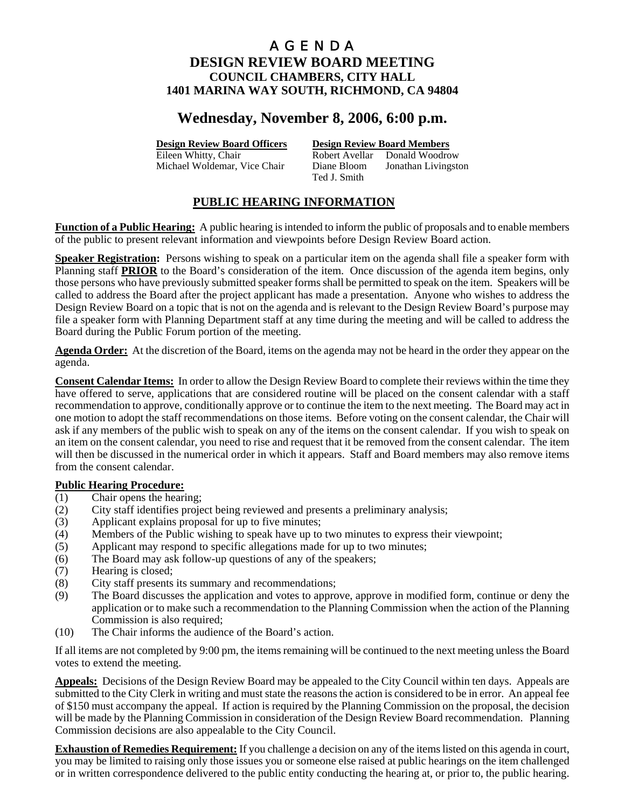# **Wednesday, November 8, 2006, 6:00 p.m.**

**Design Review Board Officers Design Review Board Members**

Eileen Whitty, Chair **Robert Avellar** Donald Woodrow Michael Woldemar, Vice Chair Diane Bloom Jonathan Livingston Ted J. Smith

# **PUBLIC HEARING INFORMATION**

**Function of a Public Hearing:** A public hearing is intended to inform the public of proposals and to enable members of the public to present relevant information and viewpoints before Design Review Board action.

**Speaker Registration:** Persons wishing to speak on a particular item on the agenda shall file a speaker form with Planning staff **PRIOR** to the Board's consideration of the item. Once discussion of the agenda item begins, only those persons who have previously submitted speaker forms shall be permitted to speak on the item. Speakers will be called to address the Board after the project applicant has made a presentation. Anyone who wishes to address the Design Review Board on a topic that is not on the agenda and is relevant to the Design Review Board's purpose may file a speaker form with Planning Department staff at any time during the meeting and will be called to address the Board during the Public Forum portion of the meeting.

**Agenda Order:** At the discretion of the Board, items on the agenda may not be heard in the order they appear on the agenda.

**Consent Calendar Items:** In order to allow the Design Review Board to complete their reviews within the time they have offered to serve, applications that are considered routine will be placed on the consent calendar with a staff recommendation to approve, conditionally approve or to continue the item to the next meeting. The Board may act in one motion to adopt the staff recommendations on those items. Before voting on the consent calendar, the Chair will ask if any members of the public wish to speak on any of the items on the consent calendar. If you wish to speak on an item on the consent calendar, you need to rise and request that it be removed from the consent calendar. The item will then be discussed in the numerical order in which it appears. Staff and Board members may also remove items from the consent calendar.

## **Public Hearing Procedure:**

- (1) Chair opens the hearing;
- (2) City staff identifies project being reviewed and presents a preliminary analysis;
- (3) Applicant explains proposal for up to five minutes;
- (4) Members of the Public wishing to speak have up to two minutes to express their viewpoint;
- (5) Applicant may respond to specific allegations made for up to two minutes;
- (6) The Board may ask follow-up questions of any of the speakers;
- (7) Hearing is closed;
- (8) City staff presents its summary and recommendations;
- (9) The Board discusses the application and votes to approve, approve in modified form, continue or deny the application or to make such a recommendation to the Planning Commission when the action of the Planning Commission is also required;
- (10) The Chair informs the audience of the Board's action.

If all items are not completed by 9:00 pm, the items remaining will be continued to the next meeting unless the Board votes to extend the meeting.

**Appeals:** Decisions of the Design Review Board may be appealed to the City Council within ten days. Appeals are submitted to the City Clerk in writing and must state the reasons the action is considered to be in error. An appeal fee of \$150 must accompany the appeal. If action is required by the Planning Commission on the proposal, the decision will be made by the Planning Commission in consideration of the Design Review Board recommendation. Planning Commission decisions are also appealable to the City Council.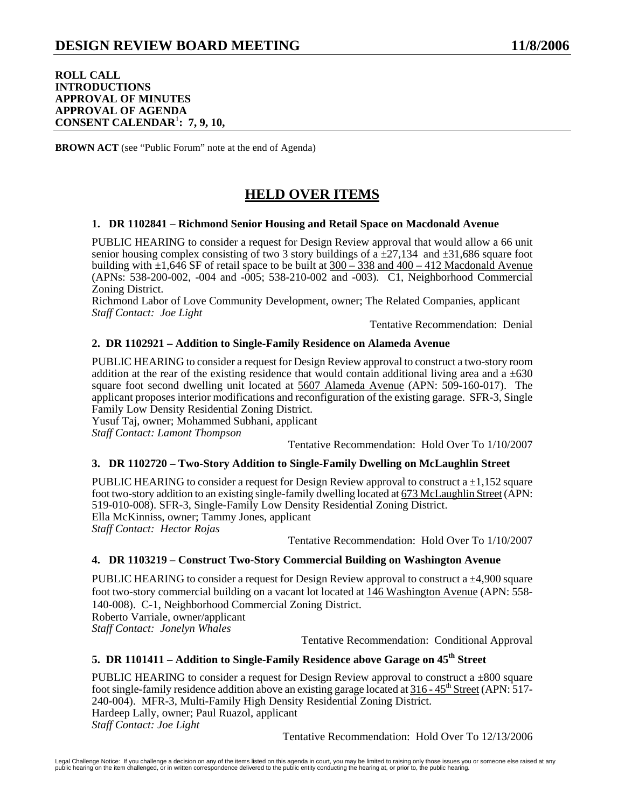### **ROLL CALL INTRODUCTIONS APPROVAL OF MINUTES APPROVAL OF AGENDA CONSENT CALENDAR**<sup>1</sup> **: 7, 9, 10,**

**BROWN ACT** (see "Public Forum" note at the end of Agenda)

# **HELD OVER ITEMS**

## **1. DR 1102841 – Richmond Senior Housing and Retail Space on Macdonald Avenue**

PUBLIC HEARING to consider a request for Design Review approval that would allow a 66 unit senior housing complex consisting of two 3 story buildings of a  $\pm$ 27,134 and  $\pm$ 31,686 square foot building with  $\pm 1,646$  SF of retail space to be built at  $300 - 338$  and  $400 - 412$  Macdonald Avenue (APNs: 538-200-002, -004 and -005; 538-210-002 and -003). C1, Neighborhood Commercial Zoning District.

Richmond Labor of Love Community Development, owner; The Related Companies, applicant *Staff Contact: Joe Light* 

Tentative Recommendation: Denial

## **2. DR 1102921 – Addition to Single-Family Residence on Alameda Avenue**

PUBLIC HEARING to consider a request for Design Review approval to construct a two-story room addition at the rear of the existing residence that would contain additional living area and  $a \pm 630$ square foot second dwelling unit located at 5607 Alameda Avenue (APN: 509-160-017). The applicant proposes interior modifications and reconfiguration of the existing garage. SFR-3, Single Family Low Density Residential Zoning District.

Yusuf Taj, owner; Mohammed Subhani, applicant *Staff Contact: Lamont Thompson* 

Tentative Recommendation: Hold Over To 1/10/2007

## **3. DR 1102720 – Two-Story Addition to Single-Family Dwelling on McLaughlin Street**

PUBLIC HEARING to consider a request for Design Review approval to construct  $a \pm 1.152$  square foot two-story addition to an existing single-family dwelling located at 673 McLaughlin Street (APN: 519-010-008). SFR-3, Single-Family Low Density Residential Zoning District. Ella McKinniss, owner; Tammy Jones, applicant *Staff Contact: Hector Rojas* 

Tentative Recommendation: Hold Over To 1/10/2007

## **4. DR 1103219 – Construct Two-Story Commercial Building on Washington Avenue**

PUBLIC HEARING to consider a request for Design Review approval to construct a ±4,900 square foot two-story commercial building on a vacant lot located at 146 Washington Avenue (APN: 558- 140-008). C-1, Neighborhood Commercial Zoning District. Roberto Varriale, owner/applicant *Staff Contact: Jonelyn Whales* 

Tentative Recommendation: Conditional Approval

# **5. DR 1101411 – Addition to Single-Family Residence above Garage on 45<sup>th</sup> Street**

PUBLIC HEARING to consider a request for Design Review approval to construct a  $\pm 800$  square foot single-family residence addition above an existing garage located at  $316 - 45<sup>th</sup>$  Street (APN: 517-240-004). MFR-3, Multi-Family High Density Residential Zoning District. Hardeep Lally, owner; Paul Ruazol, applicant *Staff Contact: Joe Light* 

Tentative Recommendation: Hold Over To 12/13/2006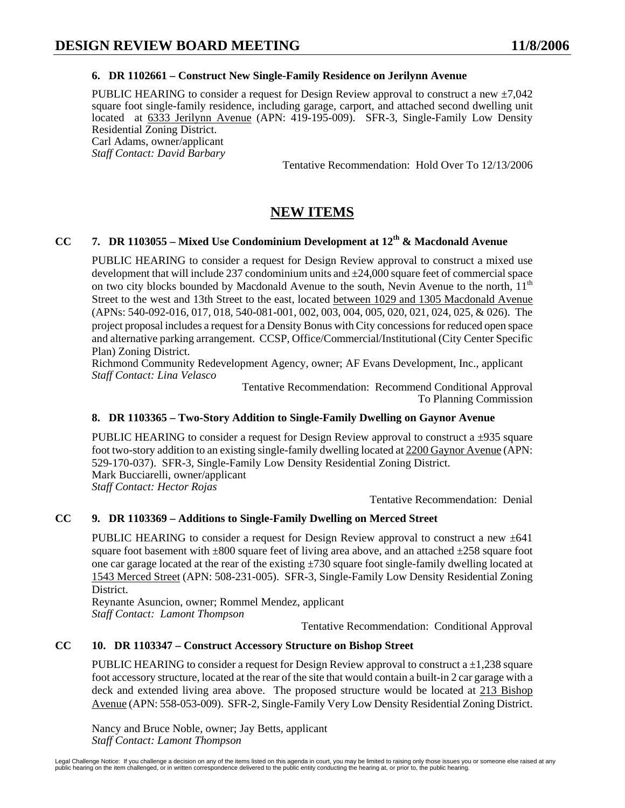# **6. DR 1102661 – Construct New Single-Family Residence on Jerilynn Avenue**

PUBLIC HEARING to consider a request for Design Review approval to construct a new  $\pm 7.042$ square foot single-family residence, including garage, carport, and attached second dwelling unit located at 6333 Jerilynn Avenue (APN: 419-195-009). SFR-3, Single-Family Low Density Residential Zoning District. Carl Adams, owner/applicant *Staff Contact: David Barbary* 

Tentative Recommendation: Hold Over To 12/13/2006

# **NEW ITEMS**

# **CC 7. DR 1103055 – Mixed Use Condominium Development at 12th & Macdonald Avenue**

PUBLIC HEARING to consider a request for Design Review approval to construct a mixed use development that will include 237 condominium units and ±24,000 square feet of commercial space on two city blocks bounded by Macdonald Avenue to the south, Nevin Avenue to the north,  $11<sup>th</sup>$ Street to the west and 13th Street to the east, located between 1029 and 1305 Macdonald Avenue (APNs: 540-092-016, 017, 018, 540-081-001, 002, 003, 004, 005, 020, 021, 024, 025, & 026). The project proposal includes a request for a Density Bonus with City concessions for reduced open space and alternative parking arrangement. CCSP, Office/Commercial/Institutional (City Center Specific Plan) Zoning District.

Richmond Community Redevelopment Agency, owner; AF Evans Development, Inc., applicant *Staff Contact: Lina Velasco* 

Tentative Recommendation: Recommend Conditional Approval To Planning Commission

## **8. DR 1103365 – Two-Story Addition to Single-Family Dwelling on Gaynor Avenue**

PUBLIC HEARING to consider a request for Design Review approval to construct a  $\pm$ 935 square foot two-story addition to an existing single-family dwelling located at 2200 Gaynor Avenue (APN: 529-170-037). SFR-3, Single-Family Low Density Residential Zoning District. Mark Bucciarelli, owner/applicant *Staff Contact: Hector Rojas* 

Tentative Recommendation: Denial

## **CC 9. DR 1103369 – Additions to Single-Family Dwelling on Merced Street**

PUBLIC HEARING to consider a request for Design Review approval to construct a new  $\pm 641$ square foot basement with  $\pm 800$  square feet of living area above, and an attached  $\pm 258$  square foot one car garage located at the rear of the existing  $\pm$ 730 square foot single-family dwelling located at 1543 Merced Street (APN: 508-231-005). SFR-3, Single-Family Low Density Residential Zoning District.

Reynante Asuncion, owner; Rommel Mendez, applicant *Staff Contact: Lamont Thompson* 

Tentative Recommendation: Conditional Approval

# **CC 10. DR 1103347 – Construct Accessory Structure on Bishop Street**

PUBLIC HEARING to consider a request for Design Review approval to construct a  $\pm 1,238$  square foot accessory structure, located at the rear of the site that would contain a built-in 2 car garage with a deck and extended living area above. The proposed structure would be located at 213 Bishop Avenue (APN: 558-053-009). SFR-2, Single-Family Very Low Density Residential Zoning District.

Nancy and Bruce Noble, owner; Jay Betts, applicant *Staff Contact: Lamont Thompson*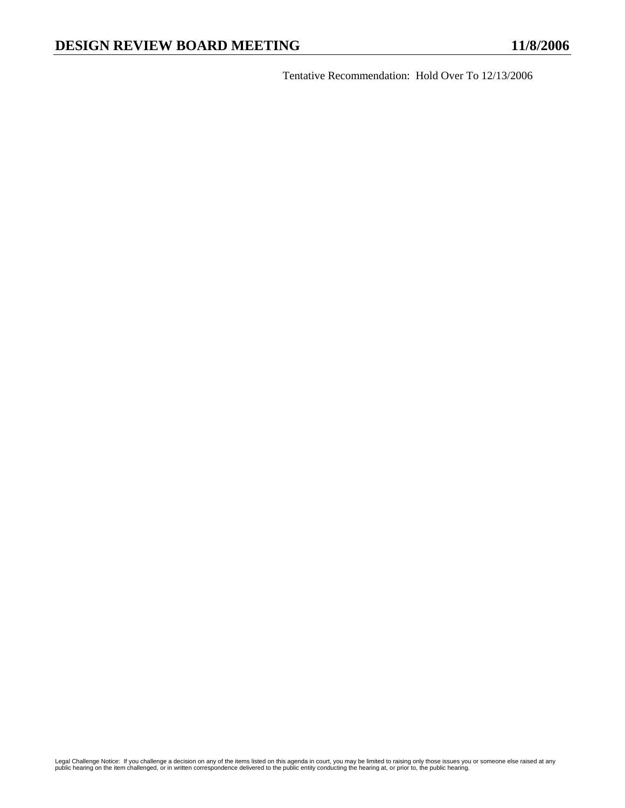Tentative Recommendation: Hold Over To 12/13/2006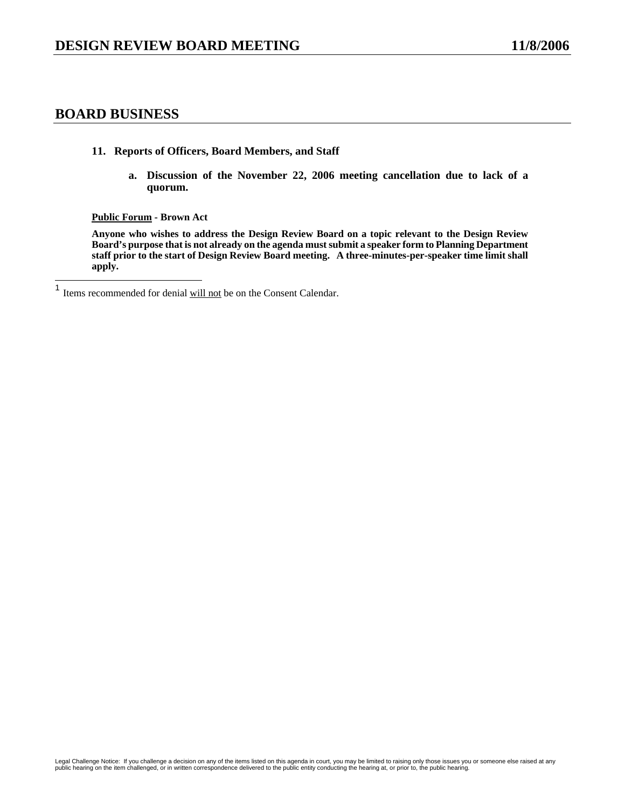# **BOARD BUSINESS**

- **11. Reports of Officers, Board Members, and Staff** 
	- **a. Discussion of the November 22, 2006 meeting cancellation due to lack of a quorum.**

**Public Forum - Brown Act** 

**Anyone who wishes to address the Design Review Board on a topic relevant to the Design Review Board's purpose that is not already on the agenda must submit a speaker form to Planning Department staff prior to the start of Design Review Board meeting. A three-minutes-per-speaker time limit shall apply.** 

 $\mathbf{1}$ Items recommended for denial will not be on the Consent Calendar.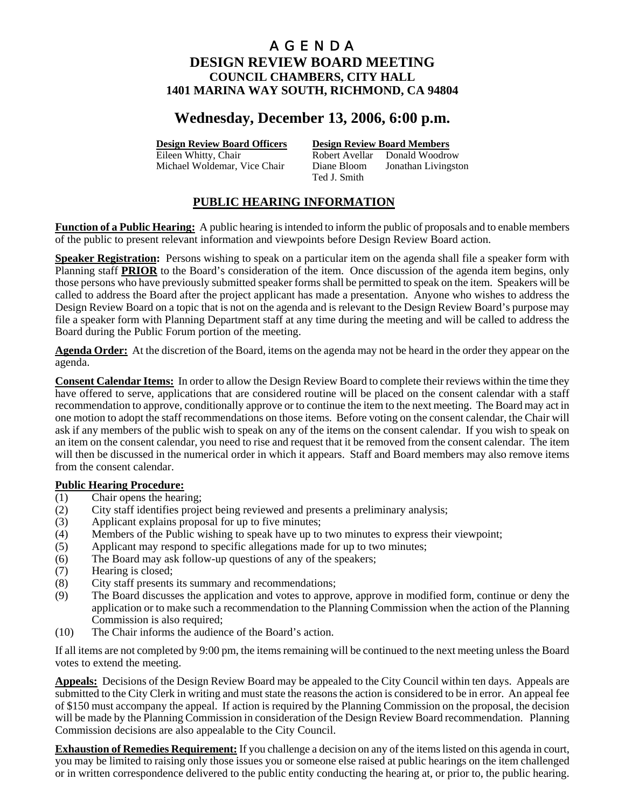# **Wednesday, December 13, 2006, 6:00 p.m.**

**Design Review Board Officers Design Review Board Members**

Eileen Whitty, Chair **Robert Avellar** Donald Woodrow Michael Woldemar, Vice Chair Diane Bloom Jonathan Livingston Ted J. Smith

# **PUBLIC HEARING INFORMATION**

**Function of a Public Hearing:** A public hearing is intended to inform the public of proposals and to enable members of the public to present relevant information and viewpoints before Design Review Board action.

**Speaker Registration:** Persons wishing to speak on a particular item on the agenda shall file a speaker form with Planning staff **PRIOR** to the Board's consideration of the item. Once discussion of the agenda item begins, only those persons who have previously submitted speaker forms shall be permitted to speak on the item. Speakers will be called to address the Board after the project applicant has made a presentation. Anyone who wishes to address the Design Review Board on a topic that is not on the agenda and is relevant to the Design Review Board's purpose may file a speaker form with Planning Department staff at any time during the meeting and will be called to address the Board during the Public Forum portion of the meeting.

**Agenda Order:** At the discretion of the Board, items on the agenda may not be heard in the order they appear on the agenda.

**Consent Calendar Items:** In order to allow the Design Review Board to complete their reviews within the time they have offered to serve, applications that are considered routine will be placed on the consent calendar with a staff recommendation to approve, conditionally approve or to continue the item to the next meeting. The Board may act in one motion to adopt the staff recommendations on those items. Before voting on the consent calendar, the Chair will ask if any members of the public wish to speak on any of the items on the consent calendar. If you wish to speak on an item on the consent calendar, you need to rise and request that it be removed from the consent calendar. The item will then be discussed in the numerical order in which it appears. Staff and Board members may also remove items from the consent calendar.

## **Public Hearing Procedure:**

- (1) Chair opens the hearing;
- (2) City staff identifies project being reviewed and presents a preliminary analysis;
- (3) Applicant explains proposal for up to five minutes;
- (4) Members of the Public wishing to speak have up to two minutes to express their viewpoint;
- (5) Applicant may respond to specific allegations made for up to two minutes;
- (6) The Board may ask follow-up questions of any of the speakers;
- (7) Hearing is closed;
- (8) City staff presents its summary and recommendations;
- (9) The Board discusses the application and votes to approve, approve in modified form, continue or deny the application or to make such a recommendation to the Planning Commission when the action of the Planning Commission is also required;
- (10) The Chair informs the audience of the Board's action.

If all items are not completed by 9:00 pm, the items remaining will be continued to the next meeting unless the Board votes to extend the meeting.

**Appeals:** Decisions of the Design Review Board may be appealed to the City Council within ten days. Appeals are submitted to the City Clerk in writing and must state the reasons the action is considered to be in error. An appeal fee of \$150 must accompany the appeal. If action is required by the Planning Commission on the proposal, the decision will be made by the Planning Commission in consideration of the Design Review Board recommendation. Planning Commission decisions are also appealable to the City Council.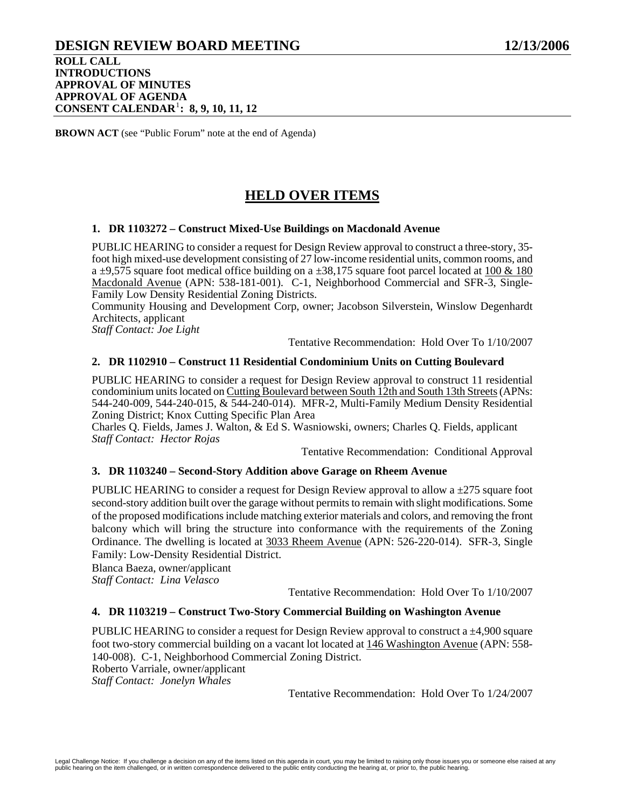### **DESIGN REVIEW BOARD MEETING 12/13/2006 ROLL CALL INTRODUCTIONS APPROVAL OF MINUTES APPROVAL OF AGENDA CONSENT CALENDAR**[1](#page-74-0) **: 8, 9, 10, 11, 12**

**BROWN ACT** (see "Public Forum" note at the end of Agenda)

# **HELD OVER ITEMS**

#### **1. DR 1103272 – Construct Mixed-Use Buildings on Macdonald Avenue**

PUBLIC HEARING to consider a request for Design Review approval to construct a three-story, 35 foot high mixed-use development consisting of 27 low-income residential units, common rooms, and a  $\pm$ 9,575 square foot medical office building on a  $\pm$ 38,175 square foot parcel located at 100 & 180 Macdonald Avenue (APN: 538-181-001). C-1, Neighborhood Commercial and SFR-3, Single-Family Low Density Residential Zoning Districts.

Community Housing and Development Corp, owner; Jacobson Silverstein, Winslow Degenhardt Architects, applicant

*Staff Contact: Joe Light* 

Tentative Recommendation: Hold Over To 1/10/2007

### **2. DR 1102910 – Construct 11 Residential Condominium Units on Cutting Boulevard**

PUBLIC HEARING to consider a request for Design Review approval to construct 11 residential condominium units located on Cutting Boulevard between South 12th and South 13th Streets (APNs: 544-240-009, 544-240-015, & 544-240-014). MFR-2, Multi-Family Medium Density Residential Zoning District; Knox Cutting Specific Plan Area

Charles Q. Fields, James J. Walton, & Ed S. Wasniowski, owners; Charles Q. Fields, applicant *Staff Contact: Hector Rojas* 

Tentative Recommendation: Conditional Approval

### **3. DR 1103240 – Second-Story Addition above Garage on Rheem Avenue**

PUBLIC HEARING to consider a request for Design Review approval to allow a  $\pm$ 275 square foot second-story addition built over the garage without permits to remain with slight modifications. Some of the proposed modifications include matching exterior materials and colors, and removing the front balcony which will bring the structure into conformance with the requirements of the Zoning Ordinance. The dwelling is located at 3033 Rheem Avenue (APN: 526-220-014). SFR-3, Single Family: Low-Density Residential District.

Blanca Baeza, owner/applicant *Staff Contact: Lina Velasco* 

Tentative Recommendation: Hold Over To 1/10/2007

### **4. DR 1103219 – Construct Two-Story Commercial Building on Washington Avenue**

PUBLIC HEARING to consider a request for Design Review approval to construct a ±4,900 square foot two-story commercial building on a vacant lot located at 146 Washington Avenue (APN: 558- 140-008). C-1, Neighborhood Commercial Zoning District. Roberto Varriale, owner/applicant *Staff Contact: Jonelyn Whales* 

Tentative Recommendation: Hold Over To 1/24/2007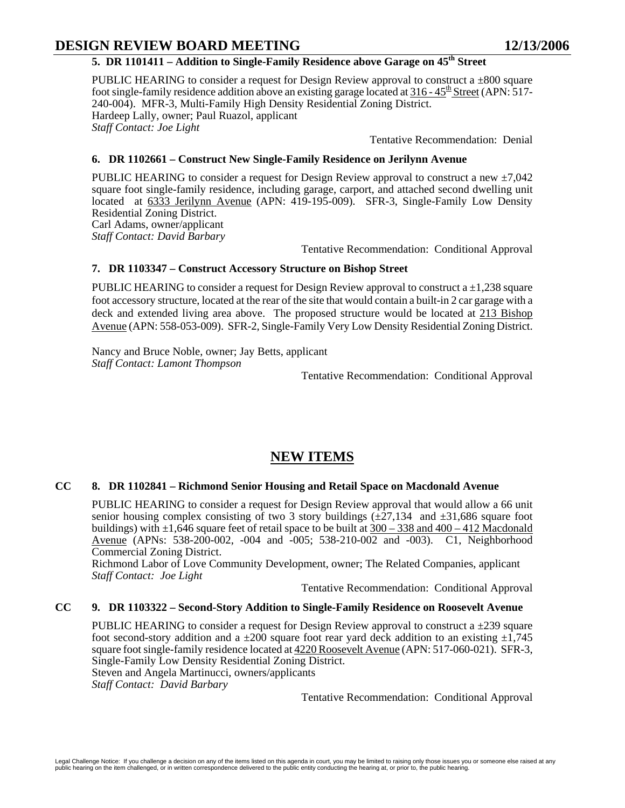# **DESIGN REVIEW BOARD MEETING 12/13/2006**

## 5. DR 1101411 – Addition to Single-Family Residence above Garage on 45<sup>th</sup> Street

PUBLIC HEARING to consider a request for Design Review approval to construct a  $\pm 800$  square foot single-family residence addition above an existing garage located at  $316 - 45^{\text{th}}$  Street (APN: 517-240-004). MFR-3, Multi-Family High Density Residential Zoning District. Hardeep Lally, owner; Paul Ruazol, applicant *Staff Contact: Joe Light* 

Tentative Recommendation: Denial

#### **6. DR 1102661 – Construct New Single-Family Residence on Jerilynn Avenue**

PUBLIC HEARING to consider a request for Design Review approval to construct a new  $\pm 7,042$ square foot single-family residence, including garage, carport, and attached second dwelling unit located at 6333 Jerilynn Avenue (APN: 419-195-009). SFR-3, Single-Family Low Density Residential Zoning District.

Carl Adams, owner/applicant *Staff Contact: David Barbary* 

Tentative Recommendation: Conditional Approval

### **7. DR 1103347 – Construct Accessory Structure on Bishop Street**

PUBLIC HEARING to consider a request for Design Review approval to construct a  $\pm 1,238$  square foot accessory structure, located at the rear of the site that would contain a built-in 2 car garage with a deck and extended living area above. The proposed structure would be located at 213 Bishop Avenue (APN: 558-053-009). SFR-2, Single-Family Very Low Density Residential Zoning District.

Nancy and Bruce Noble, owner; Jay Betts, applicant *Staff Contact: Lamont Thompson* 

Tentative Recommendation: Conditional Approval

# **NEW ITEMS**

#### **CC 8. DR 1102841 – Richmond Senior Housing and Retail Space on Macdonald Avenue**

PUBLIC HEARING to consider a request for Design Review approval that would allow a 66 unit senior housing complex consisting of two 3 story buildings  $(\pm 27,134$  and  $\pm 31,686$  square foot buildings) with  $\pm 1,646$  square feet of retail space to be built at  $300 - 338$  and  $400 - 412$  Macdonald Avenue (APNs: 538-200-002, -004 and -005; 538-210-002 and -003). C1, Neighborhood Commercial Zoning District.

Richmond Labor of Love Community Development, owner; The Related Companies, applicant *Staff Contact: Joe Light* 

Tentative Recommendation: Conditional Approval

#### **CC 9. DR 1103322 – Second-Story Addition to Single-Family Residence on Roosevelt Avenue**

PUBLIC HEARING to consider a request for Design Review approval to construct a  $\pm$ 239 square foot second-story addition and a  $\pm 200$  square foot rear yard deck addition to an existing  $\pm 1,745$ square foot single-family residence located at 4220 Roosevelt Avenue (APN: 517-060-021). SFR-3, Single-Family Low Density Residential Zoning District. Steven and Angela Martinucci, owners/applicants *Staff Contact: David Barbary* 

Tentative Recommendation: Conditional Approval